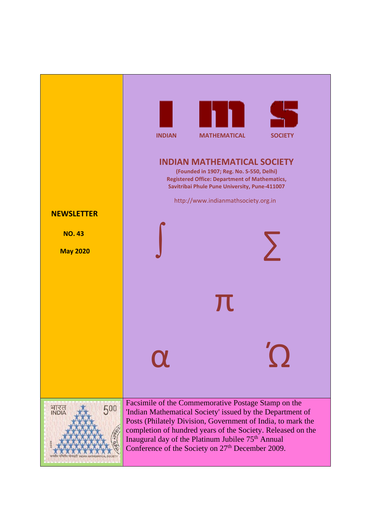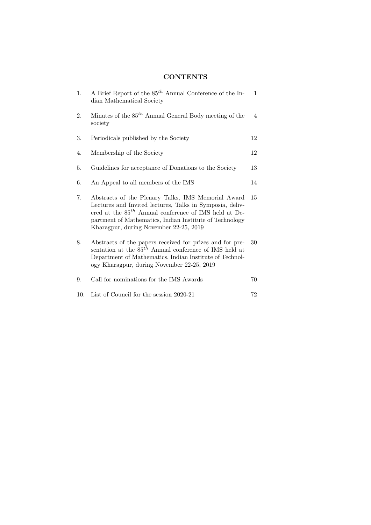## **CONTENTS**

| 1.  | A Brief Report of the $85^{th}$ Annual Conference of the In-<br>dian Mathematical Society                                                                                                                                                                                         | $\mathbf{1}$ |
|-----|-----------------------------------------------------------------------------------------------------------------------------------------------------------------------------------------------------------------------------------------------------------------------------------|--------------|
| 2.  | Minutes of the $85^{th}$ Annual General Body meeting of the<br>society                                                                                                                                                                                                            | 4            |
| 3.  | Periodicals published by the Society                                                                                                                                                                                                                                              | 12           |
| 4.  | Membership of the Society                                                                                                                                                                                                                                                         | 12           |
| 5.  | Guidelines for acceptance of Donations to the Society                                                                                                                                                                                                                             | 13           |
| 6.  | An Appeal to all members of the IMS                                                                                                                                                                                                                                               | 14           |
| 7.  | Abstracts of the Plenary Talks, IMS Memorial Award<br>Lectures and Invited lectures, Talks in Symposia, deliv-<br>ered at the $85^{th}$ Annual conference of IMS held at De-<br>partment of Mathematics, Indian Institute of Technology<br>Kharagpur, during November 22-25, 2019 | 15           |
| 8.  | Abstracts of the papers received for prizes and for pre-<br>sentation at the $85^{th}$ Annual conference of IMS held at<br>Department of Mathematics, Indian Institute of Technol-<br>ogy Kharagpur, during November 22-25, 2019                                                  | 30           |
| 9.  | Call for nominations for the IMS Awards                                                                                                                                                                                                                                           | 70           |
| 10. | List of Council for the session 2020-21                                                                                                                                                                                                                                           | 72           |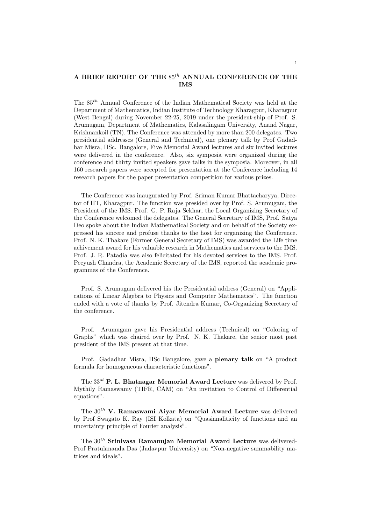## A BRIEF REPORT OF THE  $85^{th}$  ANNUAL CONFERENCE OF THE IMS

The 85th Annual Conference of the Indian Mathematical Society was held at the Department of Mathematics, Indian Institute of Technology Kharagpur, Kharagpur (West Bengal) during November 22-25, 2019 under the president-ship of Prof. S. Arumugam, Department of Mathematics, Kalasalingam University, Anand Nagar, Krishnankoil (TN). The Conference was attended by more than 200 delegates. Two presidential addresses (General and Technical), one plenary talk by Prof Gadadhar Misra, IISc. Bangalore, Five Memorial Award lectures and six invited lectures were delivered in the conference. Also, six symposia were organized during the conference and thirty invited speakers gave talks in the symposia. Moreover, in all 160 research papers were accepted for presentation at the Conference including 14 research papers for the paper presentation competition for various prizes.

The Conference was inaugurated by Prof. Sriman Kumar Bhattacharyya, Director of IIT, Kharagpur. The function was presided over by Prof. S. Arumugam, the President of the IMS. Prof. G. P. Raja Sekhar, the Local Organizing Secretary of the Conference welcomed the delegates. The General Secretary of IMS, Prof. Satya Deo spoke about the Indian Mathematical Society and on behalf of the Society expressed his sincere and profuse thanks to the host for organizing the Conference. Prof. N. K. Thakare (Former General Secretary of IMS) was awarded the Life time achivement award for his valuable research in Mathematics and services to the IMS. Prof. J. R. Patadia was also felicitated for his devoted services to the IMS. Prof. Peeyush Chandra, the Academic Secretary of the IMS, reported the academic programmes of the Conference.

Prof. S. Arumugam delivered his the Presidential address (General) on "Applications of Linear Algebra to Physics and Computer Mathematics". The function ended with a vote of thanks by Prof. Jitendra Kumar, Co-Organizing Secretary of the conference.

Prof. Arumugam gave his Presidential address (Technical) on "Coloring of Graphs" which was chaired over by Prof. N. K. Thakare, the senior most past president of the IMS present at that time.

Prof. Gadadhar Misra, IISc Bangalore, gave a plenary talk on "A product formula for homogeneous characteristic functions".

The  $33^{st}$  P. L. Bhatnagar Memorial Award Lecture was delivered by Prof. Mythily Ramaswamy (TIFR, CAM) on "An invitation to Control of Differential equations".

The  $30<sup>th</sup>$  V. Ramaswami Aivar Memorial Award Lecture was delivered by Prof Swagato K. Ray (ISI Kolkata) on "Quasianaliticity of functions and an uncertainty principle of Fourier analysis".

The  $30<sup>th</sup>$  Srinivasa Ramanujan Memorial Award Lecture was delivered-Prof Pratulananda Das (Jadavpur University) on "Non-negative summability matrices and ideals".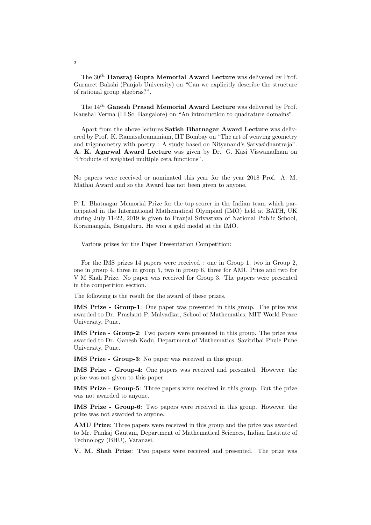The  $30<sup>th</sup>$  Hansraj Gupta Memorial Award Lecture was delivered by Prof. Gurmeet Bakshi (Panjab University) on "Can we explicitly describe the structure of rational group algebras?".

The  $14^{th}$  Ganesh Prasad Memorial Award Lecture was delivered by Prof. Kaushal Verma (I.I.Sc, Bangalore) on "An introduction to quadrature domains".

Apart from the above lectures Satish Bhatnagar Award Lecture was delivered by Prof. K. Ramasubramaniam, IIT Bombay on "The art of weaving geometry and trigonometry with poetry : A study based on Nityanand's Sarvasidhantraja". A. K. Agarwal Award Lecture was given by Dr. G. Kasi Viswanadham on "Products of weighted multiple zeta functions".

No papers were received or nominated this year for the year 2018 Prof. A. M. Mathai Award and so the Award has not been given to anyone.

P. L. Bhatnagar Memorial Prize for the top scorer in the Indian team which participated in the International Mathematical Olympiad (IMO) held at BATH, UK during July 11-22, 2019 is given to Pranjal Srivastava of National Public School, Koramangala, Bengaluru. He won a gold medal at the IMO.

Various prizes for the Paper Presentation Competition:

For the IMS prizes 14 papers were received : one in Group 1, two in Group 2, one in group 4, three in group 5, two in group 6, three for AMU Prize and two for V M Shah Prize. No paper was received for Group 3. The papers were presented in the competition section.

The following is the result for the award of these prizes.

IMS Prize - Group-1: One paper was presented in this group. The prize was awarded to Dr. Prashant P. Malvadkar, School of Mathematics, MIT World Peace University, Pune.

IMS Prize - Group-2: Two papers were presented in this group. The prize was awarded to Dr. Ganesh Kadu, Department of Mathematics, Savitribai Phule Pune University, Pune.

IMS Prize - Group-3: No paper was received in this group.

IMS Prize - Group-4: One papers was received and presented. However, the prize was not given to this paper.

IMS Prize - Group-5: Three papers were received in this group. But the prize was not awarded to anyone.

IMS Prize - Group-6: Two papers were received in this group. However, the prize was not awarded to anyone.

AMU Prize: Three papers were received in this group and the prize was awarded to Mr. Pankaj Gautam, Department of Mathematical Sciences, Indian Institute of Technology (BHU), Varanasi.

V. M. Shah Prize: Two papers were received and presented. The prize was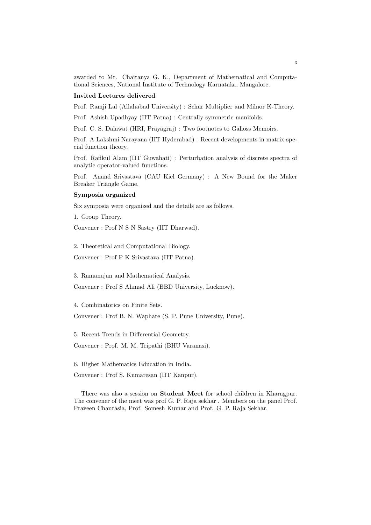awarded to Mr. Chaitanya G. K., Department of Mathematical and Computational Sciences, National Institute of Technology Karnataka, Mangalore.

#### Invited Lectures delivered

Prof. Ramji Lal (Allahabad University) : Schur Multiplier and Milnor K-Theory.

Prof. Ashish Upadhyay (IIT Patna) : Centrally symmetric manifolds.

Prof. C. S. Dalawat (HRI, Prayagraj) : Two footnotes to Galioss Memoirs.

Prof. A Lakshmi Narayana (IIT Hyderabad) : Recent developments in matrix special function theory.

Prof. Rafikul Alam (IIT Guwahati) : Perturbation analysis of discrete spectra of analytic operator-valued functions.

Prof. Anand Srivastava (CAU Kiel Germany) : A New Bound for the Maker Breaker Triangle Game.

### Symposia organized

Six symposia were organized and the details are as follows.

1. Group Theory.

Convener : Prof N S N Sastry (IIT Dharwad).

2. Theoretical and Computational Biology.

Convener : Prof P K Srivastava (IIT Patna).

3. Ramanujan and Mathematical Analysis.

Convener : Prof S Ahmad Ali (BBD University, Lucknow).

4. Combinatorics on Finite Sets.

Convener : Prof B. N. Waphare (S. P. Pune University, Pune).

5. Recent Trends in Differential Geometry.

Convener : Prof. M. M. Tripathi (BHU Varanasi).

6. Higher Mathematics Education in India.

Convener : Prof S. Kumaresan (IIT Kanpur).

There was also a session on Student Meet for school children in Kharagpur. The convener of the meet was prof G. P. Raja sekhar . Members on the panel Prof. Praveen Chaurasia, Prof. Somesh Kumar and Prof. G. P. Raja Sekhar.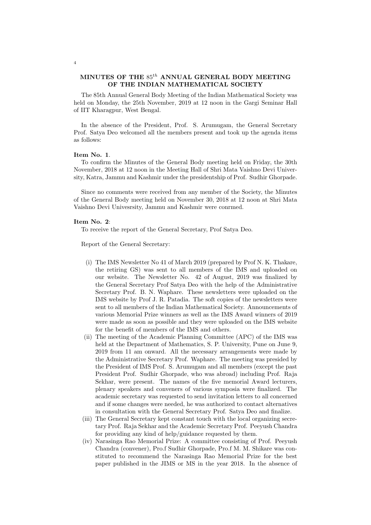## MINUTES OF THE  $85^{th}$  ANNUAL GENERAL BODY MEETING OF THE INDIAN MATHEMATICAL SOCIETY

The 85th Annual General Body Meeting of the Indian Mathematical Society was held on Monday, the 25th November, 2019 at 12 noon in the Gargi Seminar Hall of IIT Kharagpur, West Bengal.

In the absence of the President, Prof. S. Arumugam, the General Secretary Prof. Satya Deo welcomed all the members present and took up the agenda items as follows:

### Item No. 1.

To confirm the Minutes of the General Body meeting held on Friday, the 30th November, 2018 at 12 noon in the Meeting Hall of Shri Mata Vaishno Devi University, Katra, Jammu and Kashmir under the presidentship of Prof. Sudhir Ghorpade.

Since no comments were received from any member of the Society, the Minutes of the General Body meeting held on November 30, 2018 at 12 noon at Shri Mata Vaishno Devi Univesrsity, Jammu and Kashmir were conrmed.

### Item No. 2:

To receive the report of the General Secretary, Prof Satya Deo.

Report of the General Secretary:

- (i) The IMS Newsletter No 41 of March 2019 (prepared by Prof N. K. Thakare, the retiring GS) was sent to all members of the IMS and uploaded on our website. The Newsletter No. 42 of August, 2019 was finalized by the General Secretary Prof Satya Deo with the help of the Administrative Secretary Prof. B. N. Waphare. These newsletters were uploaded on the IMS website by Prof J. R. Patadia. The soft copies of the newsletters were sent to all members of the Indian Mathematical Society. Announcements of various Memorial Prize winners as well as the IMS Award winners of 2019 were made as soon as possible and they were uploaded on the IMS website for the benefit of members of the IMS and others.
- (ii) The meeting of the Academic Planning Committee (APC) of the IMS was held at the Department of Mathematics, S. P. University, Pune on June 9, 2019 from 11 am onward. All the necessary arrangements were made by the Administrative Secretary Prof. Waphare. The meeting was presided by the President of IMS Prof. S. Arumugam and all members (except the past President Prof. Sudhir Ghorpade, who was abroad) including Prof. Raja Sekhar, were present. The names of the five memorial Award lecturers, plenary speakers and conveners of various symposia were finalized. The academic secretary was requested to send invitation letters to all concerned and if some changes were needed, he was authorized to contact alternatives in consultation with the General Secretary Prof. Satya Deo and finalize.
- (iii) The General Secretary kept constant touch with the local organizing secretary Prof. Raja Sekhar and the Academic Secretary Prof. Peeyush Chandra for providing any kind of help/guidance requested by them.
- (iv) Narasinga Rao Memorial Prize: A committee consisting of Prof. Peeyush Chandra (convener), Pro.f Sudhir Ghorpade, Pro.f M. M. Shikare was constituted to recommend the Narasinga Rao Memorial Prize for the best paper published in the JIMS or MS in the year 2018. In the absence of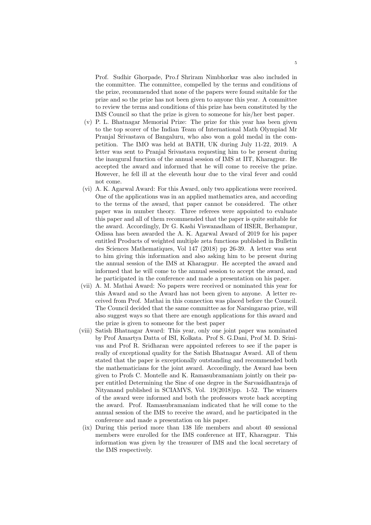Prof. Sudhir Ghorpade, Pro.f Shriram Nimbhorkar was also included in the committee. The committee, compelled by the terms and conditions of the prize, recommended that none of the papers were found suitable for the prize and so the prize has not been given to anyone this year. A committee to review the terms and conditions of this prize has been constituted by the IMS Council so that the prize is given to someone for his/her best paper.

- (v) P. L. Bhatnagar Memorial Prize: The prize for this year has been given to the top scorer of the Indian Team of International Math Olympiad Mr Pranjal Srivastava of Bangaluru, who also won a gold medal in the competition. The IMO was held at BATH, UK during July 11-22, 2019. A letter was sent to Pranjal Srivastava requesting him to be present during the inaugural function of the annual session of IMS at IIT, Kharagpur. He accepted the award and informed that he will come to receive the prize. However, he fell ill at the eleventh hour due to the viral fever and could not come.
- (vi) A. K. Agarwal Award: For this Award, only two applications were received. One of the applications was in an applied mathematics area, and according to the terms of the award, that paper cannot be considered. The other paper was in number theory. Three referees were appointed to evaluate this paper and all of them recommended that the paper is quite suitable for the award. Accordingly, Dr G. Kashi Viswanadham of IISER, Berhampur, Odissa has been awarded the A. K. Agarwal Award of 2019 for his paper entitled Products of weighted multiple zeta functions published in Bulletin des Sciences Mathematiques, Vol 147 (2018) pp 26-39. A letter was sent to him giving this information and also asking him to be present during the annual session of the IMS at Kharagpur. He accepted the award and informed that he will come to the annual session to accept the award, and he participated in the conference and made a presentation on his paper.
- (vii) A. M. Mathai Award: No papers were received or nominated this year for this Award and so the Award has not been given to anyone. A letter received from Prof. Mathai in this connection was placed before the Council. The Council decided that the same committee as for Narsingarao prize, will also suggest ways so that there are enough applications for this award and the prize is given to someone for the best paper
- (viii) Satish Bhatnagar Award: This year, only one joint paper was nominated by Prof Amartya Datta of ISI, Kolkata. Prof S. G.Dani, Prof M. D. Srinivas and Prof R. Sridharan were appointed referees to see if the paper is really of exceptional quality for the Satish Bhatnagar Award. All of them stated that the paper is exceptionally outstanding and recommended both the mathematicians for the joint award. Accordingly, the Award has been given to Profs C. Montelle and K. Ramasubramaniam jointly on their paper entitled Determining the Sine of one degree in the Sarvasidhantraja of Nityanand published in SCIAMVS, Vol. 19(2018)pp. 1-52. The winners of the award were informed and both the professors wrote back accepting the award. Prof. Ramasubramaniam indicated that he will come to the annual session of the IMS to receive the award, and he participated in the conference and made a presentation on his paper.
	- (ix) During this period more than 138 life members and about 40 sessional members were enrolled for the IMS conference at IIT, Kharagpur. This information was given by the treasurer of IMS and the local secretary of the IMS respectively.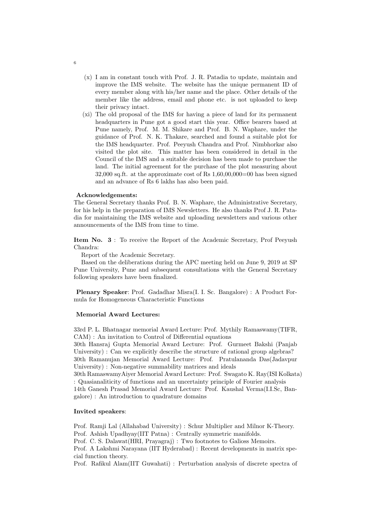- (x) I am in constant touch with Prof. J. R. Patadia to update, maintain and improve the IMS website. The website has the unique permanent ID of every member along with his/her name and the place. Other details of the member like the address, email and phone etc. is not uploaded to keep their privacy intact.
- (xi) The old proposal of the IMS for having a piece of land for its permanent headquarters in Pune got a good start this year. Office bearers based at Pune namely, Prof. M. M. Shikare and Prof. B. N. Waphare, under the guidance of Prof. N. K. Thakare, searched and found a suitable plot for the IMS headquarter. Prof. Peeyush Chandra and Prof. Nimbhorkar also visited the plot site. This matter has been considered in detail in the Council of the IMS and a suitable decision has been made to purchase the land. The initial agreement for the purchase of the plot measuring about 32,000 sq.ft. at the approximate cost of Rs 1,60,00,000=00 has been signed and an advance of Rs 6 lakhs has also been paid.

### Acknowledgements:

The General Secretary thanks Prof. B. N. Waphare, the Administrative Secretary, for his help in the preparation of IMS Newsletters. He also thanks Prof J. R. Patadia for maintaining the IMS website and uploading newsletters and various other announcements of the IMS from time to time.

Item No. 3 : To receive the Report of the Academic Secretary, Prof Peeyush Chandra:

Report of the Academic Secretary.

Based on the deliberations during the APC meeting held on June 9, 2019 at SP Pune University, Pune and subsequent consultations with the General Secretary following speakers have been finalized.

Plenary Speaker: Prof. Gadadhar Misra(I. I. Sc. Bangalore) : A Product Formula for Homogeneous Characteristic Functions

### Memorial Award Lectures:

33rd P. L. Bhatnagar memorial Award Lecture: Prof. Mythily Ramaswamy(TIFR, CAM) : An invitation to Control of Differential equations

30th Hansraj Gupta Memorial Award Lecture: Prof. Gurmeet Bakshi (Panjab University) : Can we explicitly describe the structure of rational group algebras? 30th Ramanujan Memorial Award Lecture: Prof. Pratulananda Das(Jadavpur University) : Non-negative summability matrices and ideals

30th RamaswamyAiyer Memorial Award Lecture: Prof. Swagato K. Ray(ISI Kolkata) : Quasianaliticity of functions and an uncertainty principle of Fourier analysis

14th Ganesh Prasad Memorial Award Lecture: Prof. Kaushal Verma(I.I.Sc, Bangalore) : An introduction to quadrature domains

### Invited speakers:

Prof. Ramji Lal (Allahabad University) : Schur Multiplier and Milnor K-Theory. Prof. Ashish Upadhyay(IIT Patna) : Centrally symmetric manifolds.

Prof. C. S. Dalawat(HRI, Prayagraj) : Two footnotes to Galioss Memoirs.

Prof. A Lakshmi Narayana (IIT Hyderabad) : Recent developments in matrix special function theory.

Prof. Rafikul Alam(IIT Guwahati) : Perturbation analysis of discrete spectra of

6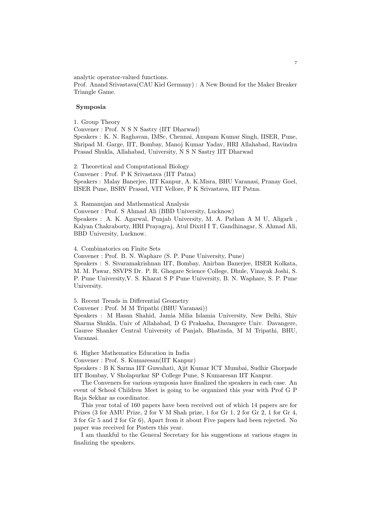analytic operator-valued functions.

Prof. Anand Srivastava(CAU Kiel Germany) : A New Bound for the Maker Breaker Triangle Game.

### Symposia

1. Group Theory

Convener : Prof. N S N Sastry (IIT Dharwad) Speakers : K. N. Raghavan, IMSc, Chennai, Anupam Kumar Singh, IISER, Pune, Shripad M. Garge, IIT, Bombay, Manoj Kumar Yadav, HRI Allahabad, Ravindra Prasad Shukla, Allahabad, University, N S N Sastry IIT Dharwad

2. Theoretical and Computational Biology Convener : Prof. P K Srivastava (IIT Patna) Speakers : Malay Banerjee, IIT Kanpur, A. K.Misra, BHU Varanasi, Pranay Goel, IISER Pune, BSRV Prasad, VIT Vellore, P K Srivastava, IIT Patna.

3. Ramanujan and Mathematical Analysis

Convener : Prof. S Ahmad Ali (BBD University, Lucknow) Speakers : A. K. Agarwal, Punjab University, M. A. Pathan A M U, Aligarh , Kalyan Chakraborty, HRI Prayagraj, Atul DixitI I T, Gandhinagar, S. Ahmad Ali, BBD University, Lucknow.

4. Combinatorics on Finite Sets

Convener : Prof. B. N. Waphare (S. P. Pune University, Pune) Speakers : S. Sivaramakrishnan IIT, Bombay, Anirban Banerjee, IISER Kolkata,

M. M. Pawar, SSVPS Dr. P. R. Ghogare Science College, Dhule, Vinayak Joshi, S. P. Pune University,V. S. Kharat S P Pune University, B. N. Waphare, S. P. Pune University.

5. Recent Trends in Differential Geometry

Convener : Prof. M M Tripathi (BHU Varanasi))

Speakers : M Hasan Shahid, Jamia Milia Islamia University, New Delhi, Shiv Sharma Shukla, Univ of Allahabad, D G Prakasha, Davangere Univ. Davangere, Gauree Shanker Central University of Panjab, Bhatinda, M M Tripathi, BHU, Varanasi.

6. Higher Mathematics Education in India

Convener : Prof. S. Kumaresan(IIT Kanpur)

Speakers : B K Sarma IIT Guwahati, Ajit Kumar ICT Mumbai, Sudhir Ghorpade IIT Bombay, V Sholapurkar SP College Pune, S Kumaresan IIT Kanpur.

The Conveners for various symposia have finalized the speakers in each case. An event of School Children Meet is going to be organized this year with Prof G P Raja Sekhar as coordinator.

This year total of 160 papers have been received out of which 14 papers are for Prizes (3 for AMU Prize, 2 for V M Shah prize, 1 for Gr 1, 2 for Gr 2, 1 for Gr 4, 3 for Gr 5 and 2 for Gr 6), Apart from it about Five papers had been rejected. No paper was received for Posters this year.

I am thankful to the General Secretary for his suggestions at various stages in finalizing the speakers.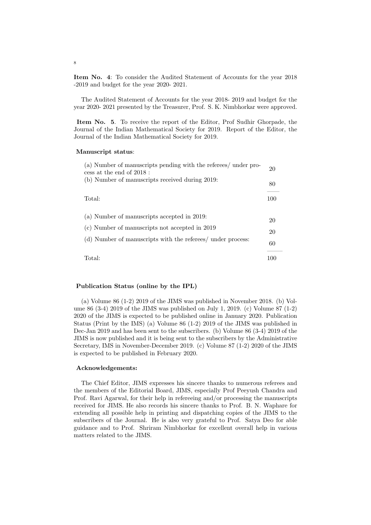Item No. 4: To consider the Audited Statement of Accounts for the year 2018 -2019 and budget for the year 2020- 2021.

The Audited Statement of Accounts for the year 2018- 2019 and budget for the year 2020- 2021 presented by the Treasurer, Prof. S. K. Nimbhorkar were approved.

Item No. 5. To receive the report of the Editor, Prof Sudhir Ghorpade, the Journal of the Indian Mathematical Society for 2019. Report of the Editor, the Journal of the Indian Mathematical Society for 2019.

#### Manuscript status:

| (a) Number of manuscripts pending with the referees/ under pro-<br>cess at the end of 2018 : | 20  |
|----------------------------------------------------------------------------------------------|-----|
| (b) Number of manuscripts received during 2019:                                              | 80  |
| Total:                                                                                       | 100 |
| (a) Number of manuscripts accepted in 2019:                                                  |     |
| (c) Number of manuscripts not accepted in 2019                                               |     |
| (d) Number of manuscripts with the referees/ under process:                                  | 60  |
| Total:                                                                                       | 100 |

### Publication Status (online by the IPL)

(a) Volume  $86$  (1-2) 2019 of the JIMS was published in November 2018. (b) Volume 86 (3-4) 2019 of the JIMS was published on July 1, 2019. (c) Volume 87 (1-2) 2020 of the JIMS is expected to be published online in January 2020. Publication Status (Print by the IMS) (a) Volume 86 (1-2) 2019 of the JIMS was published in Dec-Jan 2019 and has been sent to the subscribers. (b) Volume 86 (3-4) 2019 of the JIMS is now published and it is being sent to the subscribers by the Administrative Secretary, IMS in November-December 2019. (c) Volume 87 (1-2) 2020 of the JIMS is expected to be published in February 2020.

### Acknowledgements:

The Chief Editor, JIMS expresses his sincere thanks to numerous referees and the members of the Editorial Board, JIMS, especially Prof Peeyush Chandra and Prof. Ravi Agarwal, for their help in refereeing and/or processing the manuscripts received for JIMS. He also records his sincere thanks to Prof. B. N. Waphare for extending all possible help in printing and dispatching copies of the JIMS to the subscribers of the Journal. He is also very grateful to Prof. Satya Deo for able guidance and to Prof. Shriram Nimbhorkar for excellent overall help in various matters related to the JIMS.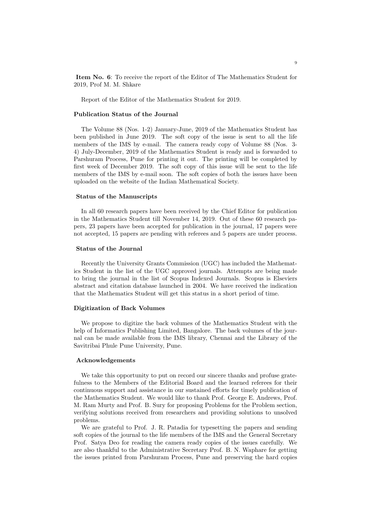Item No. 6: To receive the report of the Editor of The Mathematics Student for 2019, Prof M. M. Shkare

Report of the Editor of the Mathematics Student for 2019.

## Publication Status of the Journal

The Volume 88 (Nos. 1-2) January-June, 2019 of the Mathematics Student has been published in June 2019. The soft copy of the issue is sent to all the life members of the IMS by e-mail. The camera ready copy of Volume 88 (Nos. 3- 4) July-December, 2019 of the Mathematics Student is ready and is forwarded to Parshuram Process, Pune for printing it out. The printing will be completed by first week of December 2019. The soft copy of this issue will be sent to the life members of the IMS by e-mail soon. The soft copies of both the issues have been uploaded on the website of the Indian Mathematical Society.

### Status of the Manuscripts

In all 60 research papers have been received by the Chief Editor for publication in the Mathematics Student till November 14, 2019. Out of these 60 research papers, 23 papers have been accepted for publication in the journal, 17 papers were not accepted, 15 papers are pending with referees and 5 papers are under process.

### Status of the Journal

Recently the University Grants Commission (UGC) has included the Mathematics Student in the list of the UGC approved journals. Attempts are being made to bring the journal in the list of Scopus Indexed Journals. Scopus is Elseviers abstract and citation database launched in 2004. We have received the indication that the Mathematics Student will get this status in a short period of time.

#### Digitization of Back Volumes

We propose to digitize the back volumes of the Mathematics Student with the help of Informatics Publishing Limited, Bangalore. The back volumes of the journal can be made available from the IMS library, Chennai and the Library of the Savitribai Phule Pune University, Pune.

### Acknowledgements

We take this opportunity to put on record our sincere thanks and profuse gratefulness to the Members of the Editorial Board and the learned referees for their continuous support and assistance in our sustained efforts for timely publication of the Mathematics Student. We would like to thank Prof. George E. Andrews, Prof. M. Ram Murty and Prof. B. Sury for proposing Problems for the Problem section, verifying solutions received from researchers and providing solutions to unsolved problems.

We are grateful to Prof. J. R. Patadia for typesetting the papers and sending soft copies of the journal to the life members of the IMS and the General Secretary Prof. Satya Deo for reading the camera ready copies of the issues carefully. We are also thankful to the Administrative Secretary Prof. B. N. Waphare for getting the issues printed from Parshuram Process, Pune and preserving the hard copies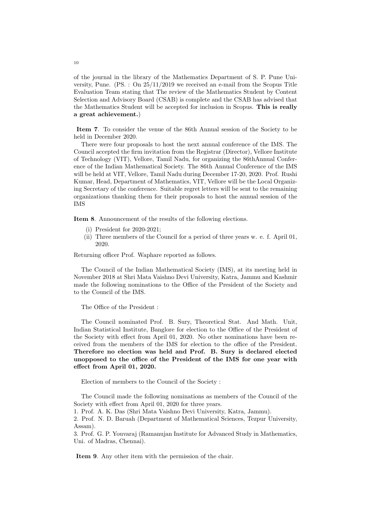of the journal in the library of the Mathematics Department of S. P. Pune University, Pune. (PS. : On 25/11/2019 we received an e-mail from the Scopus Title Evaluation Team stating that The review of the Mathematics Student by Content Selection and Advisory Board (CSAB) is complete and the CSAB has advised that the Mathematics Student will be accepted for inclusion in Scopus. This is really a great achievement.)

Item 7. To consider the venue of the 86th Annual session of the Society to be held in December 2020.

There were four proposals to host the next annual conference of the IMS. The Council accepted the firm invitation from the Registrar (Director), Vellore Institute of Technology (VIT), Vellore, Tamil Nadu, for organizing the 86thAnnual Conference of the Indian Mathematical Society. The 86th Annual Conference of the IMS will be held at VIT, Vellore, Tamil Nadu during December 17-20, 2020. Prof. Rushi Kumar, Head, Department of Mathematics, VIT, Vellore will be the Local Organizing Secretary of the conference. Suitable regret letters will be sent to the remaining organizations thanking them for their proposals to host the annual session of the IMS

Item 8. Announcement of the results of the following elections.

- (i) President for 2020-2021;
- (ii) Three members of the Council for a period of three years w. e. f. April 01, 2020.

Returning officer Prof. Waphare reported as follows.

The Council of the Indian Mathematical Society (IMS), at its meeting held in November 2018 at Shri Mata Vaishno Devi University, Katra, Jammu and Kashmir made the following nominations to the Office of the President of the Society and to the Council of the IMS.

The Office of the President :

The Council nominated Prof. B. Sury, Theoretical Stat. And Math. Unit, Indian Statistical Institute, Banglore for election to the Office of the President of the Society with effect from April 01, 2020. No other nominations have been received from the members of the IMS for election to the office of the President. Therefore no election was held and Prof. B. Sury is declared elected unopposed to the office of the President of the IMS for one year with effect from April 01, 2020.

Election of members to the Council of the Society :

The Council made the following nominations as members of the Council of the Society with effect from April 01, 2020 for three years.

1. Prof. A. K. Das (Shri Mata Vaishno Devi University, Katra, Jammu).

2. Prof. N. D. Baruah (Department of Mathematical Sciences, Tezpur University, Assam).

3. Prof. G. P. Youvaraj (Ramanujan Institute for Advanced Study in Mathematics, Uni. of Madras, Chennai).

Item 9. Any other item with the permission of the chair.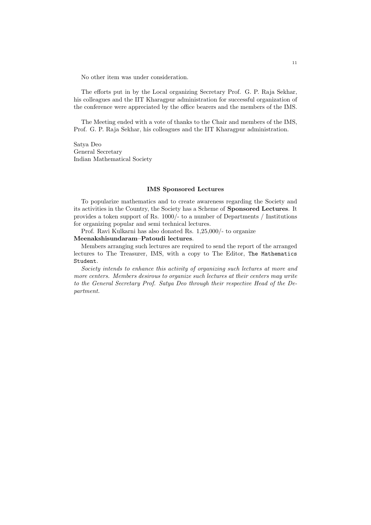No other item was under consideration.

The efforts put in by the Local organizing Secretary Prof. G. P. Raja Sekhar, his colleagues and the IIT Kharagpur administration for successful organization of the conference were appreciated by the office bearers and the members of the IMS.

The Meeting ended with a vote of thanks to the Chair and members of the IMS, Prof. G. P. Raja Sekhar, his colleagues and the IIT Kharagpur administration.

Satya Deo General Secretary Indian Mathematical Society

### IMS Sponsored Lectures

To popularize mathematics and to create awareness regarding the Society and its activities in the Country, the Society has a Scheme of Sponsored Lectures. It provides a token support of Rs. 1000/- to a number of Departments / Institutions for organizing popular and semi technical lectures.

Prof. Ravi Kulkarni has also donated Rs. 1,25,000/- to organize

### Meenakshisundaram–Patoudi lectures.

Members arranging such lectures are required to send the report of the arranged lectures to The Treasurer, IMS, with a copy to The Editor, The Mathematics Student.

Society intends to enhance this activity of organizing such lectures at more and more centers. Members desirous to organize such lectures at their centers may write to the General Secretary Prof. Satya Deo through their respective Head of the Department.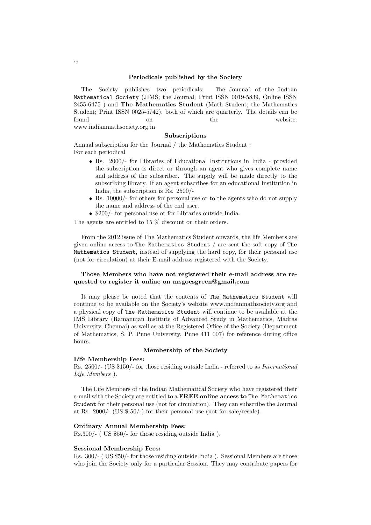### Periodicals published by the Society

The Society publishes two periodicals: The Journal of the Indian Mathematical Society (JIMS; the Journal; Print ISSN 0019-5839, Online ISSN 2455-6475 ) and The Mathematics Student (Math Student; the Mathematics Student; Print ISSN 0025-5742), both of which are quarterly. The details can be found on on the website: www.indianmathsociety.org.in

#### Subscriptions

Annual subscription for the Journal / the Mathematics Student : For each periodical

- Rs. 2000/- for Libraries of Educational Institutions in India provided the subscription is direct or through an agent who gives complete name and address of the subscriber. The supply will be made directly to the subscribing library. If an agent subscribes for an educational Institution in India, the subscription is Rs. 2500/-
- Rs. 10000/- for others for personal use or to the agents who do not supply the name and address of the end user.
- \$200/- for personal use or for Libraries outside India.

The agents are entitled to 15 % discount on their orders.

From the 2012 issue of The Mathematics Student onwards, the life Members are given online access to The Mathematics Student / are sent the soft copy of The Mathematics Student, instead of supplying the hard copy, for their personal use (not for circulation) at their E-mail address registered with the Society.

### Those Members who have not registered their e-mail address are requested to register it online on msgoesgreen@gmail.com

It may please be noted that the contents of The Mathematics Student will continue to be available on the Society's website www.indianmathsociety.org and a physical copy of The Mathematics Student will continue to be available at the IMS Library (Ramanujan Institute of Advanced Study in Mathematics, Madras University, Chennai) as well as at the Registered Office of the Society (Department of Mathematics, S. P. Pune University, Pune 411 007) for reference during office hours.

### Membership of the Society

### Life Membership Fees:

Rs. 2500/- (US \$150/- for those residing outside India - referred to as International Life Members ).

The Life Members of the Indian Mathematical Society who have registered their e-mail with the Society are entitled to a FREE online access to The Mathematics Student for their personal use (not for circulation). They can subscribe the Journal at Rs. 2000/- (US \$ 50/-) for their personal use (not for sale/resale).

### Ordinary Annual Membership Fees:

Rs.300/- ( US \$50/- for those residing outside India ).

### Sessional Membership Fees:

Rs. 300/- ( US \$50/- for those residing outside India ). Sessional Members are those who join the Society only for a particular Session. They may contribute papers for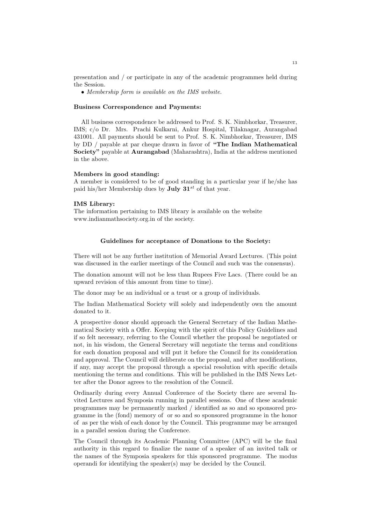presentation and / or participate in any of the academic programmes held during the Session.

• Membership form is available on the IMS website.

### Business Correspondence and Payments:

All business correspondence be addressed to Prof. S. K. Nimbhorkar, Treasurer, IMS; c/o Dr. Mrs. Prachi Kulkarni, Ankur Hospital, Tilaknagar, Aurangabad 431001. All payments should be sent to Prof. S. K. Nimbhorkar, Treasurer, IMS by DD / payable at par cheque drawn in favor of "The Indian Mathematical Society" payable at Aurangabad (Maharashtra), India at the address mentioned in the above.

### Members in good standing:

A member is considered to be of good standing in a particular year if he/she has paid his/her Membership dues by **July 31**<sup>st</sup> of that year.

### IMS Library:

The information pertaining to IMS library is available on the website www.indianmathsociety.org.in of the society.

### Guidelines for acceptance of Donations to the Society:

There will not be any further institution of Memorial Award Lectures. (This point was discussed in the earlier meetings of the Council and such was the consensus).

The donation amount will not be less than Rupees Five Lacs. (There could be an upward revision of this amount from time to time).

The donor may be an individual or a trust or a group of individuals.

The Indian Mathematical Society will solely and independently own the amount donated to it.

A prospective donor should approach the General Secretary of the Indian Mathematical Society with a Offer. Keeping with the spirit of this Policy Guidelines and if so felt necessary, referring to the Council whether the proposal be negotiated or not, in his wisdom, the General Secretary will negotiate the terms and conditions for each donation proposal and will put it before the Council for its consideration and approval. The Council will deliberate on the proposal, and after modifications, if any, may accept the proposal through a special resolution with specific details mentioning the terms and conditions. This will be published in the IMS News Letter after the Donor agrees to the resolution of the Council.

Ordinarily during every Annual Conference of the Society there are several Invited Lectures and Symposia running in parallel sessions. One of these academic programmes may be permanently marked / identified as so and so sponsored programme in the (fond) memory of or so and so sponsored programme in the honor of as per the wish of each donor by the Council. This programme may be arranged in a parallel session during the Conference.

The Council through its Academic Planning Committee (APC) will be the final authority in this regard to finalize the name of a speaker of an invited talk or the names of the Symposia speakers for this sponsored programme. The modus operandi for identifying the speaker(s) may be decided by the Council.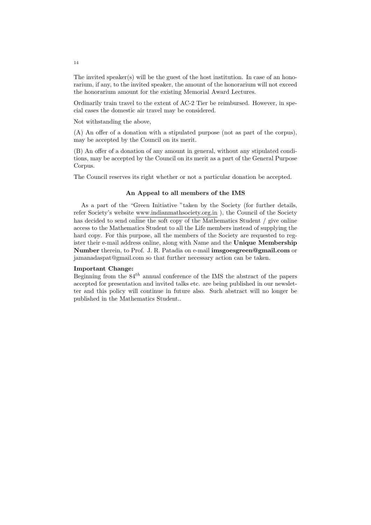The invited speaker(s) will be the guest of the host institution. In case of an honorarium, if any, to the invited speaker, the amount of the honorarium will not exceed the honorarium amount for the existing Memorial Award Lectures.

Ordinarily train travel to the extent of AC-2 Tier be reimbursed. However, in special cases the domestic air travel may be considered.

Not withstanding the above,

(A) An offer of a donation with a stipulated purpose (not as part of the corpus), may be accepted by the Council on its merit.

(B) An offer of a donation of any amount in general, without any stipulated conditions, may be accepted by the Council on its merit as a part of the General Purpose Corpus.

The Council reserves its right whether or not a particular donation be accepted.

### An Appeal to all members of the IMS

As a part of the "Green Initiative "taken by the Society (for further details, refer Society's website www.indianmathsociety.org.in ), the Council of the Society has decided to send online the soft copy of the Mathematics Student / give online access to the Mathematics Student to all the Life members instead of supplying the hard copy. For this purpose, all the members of the Society are requested to register their e-mail address online, along with Name and the Unique Membership Number therein, to Prof. J. R. Patadia on e-mail imsgoesgreen@gmail.com or jamanadaspat@gmail.com so that further necessary action can be taken.

### Important Change:

Beginning from the  $84^{th}$  annual conference of the IMS the abstract of the papers accepted for presentation and invited talks etc. are being published in our newsletter and this policy will continue in future also. Such abstract will no longer be published in the Mathematics Student..

14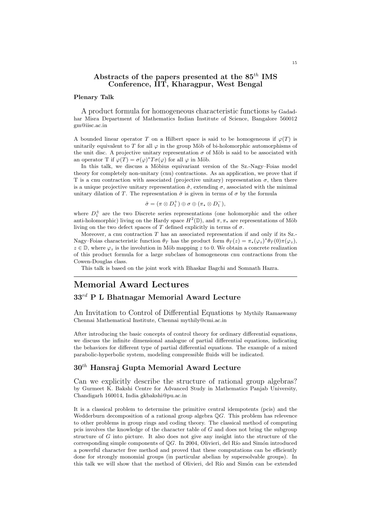## Abstracts of the papers presented at the  $85^{th}$  IMS Conference, IIT, Kharagpur, West Bengal

### Plenary Talk

A product formula for homogeneous characteristic functions by Gadadhar Misra Department of Mathematics Indian Institute of Science, Bangalore 560012 gm@iisc.ac.in

A bounded linear operator T on a Hilbert space is said to be homogeneous if  $\varphi(T)$  is unitarily equivalent to T for all  $\varphi$  in the group Möb of bi-holomorphic automorphisms of the unit disc. A projective unitary representation  $\sigma$  of Möb is said to be associated with an operator T if  $\varphi(T) = \sigma(\varphi)^* T \sigma(\varphi)$  for all  $\varphi$  in Möb.

In this talk, we discuss a Möbius equivariant version of the Sz.-Nagy–Foias model theory for completely non-unitary (cnu) contractions. As an application, we prove that if T is a cnu contraction with associated (projective unitary) representation  $\sigma$ , then there is a unique projective unitary representation  $\hat{\sigma}$ , extending  $\sigma$ , associated with the minimal unitary dilation of T. The representation  $\hat{\sigma}$  is given in terms of  $\sigma$  by the formula

$$
\hat{\sigma} = (\pi \otimes D_1^+) \oplus \sigma \oplus (\pi \star \otimes D_1^-),
$$

where  $D_1^{\pm}$  are the two Discrete series representations (one holomorphic and the other anti-holomorphic) living on the Hardy space  $H^2(\mathbb{D})$ , and  $\pi, \pi_*$  are representations of Möb living on the two defect spaces of T defined explicitly in terms of  $\sigma$ .

Moreover, a cnu contraction  $T$  has an associated representation if and only if its Sz.-Nagy–Foias characteristic function  $\theta_T$  has the product form  $\theta_T(z) = \pi_*(\varphi_z)^* \theta_T(0) \pi(\varphi_z)$ ,  $z \in \mathbb{D}$ , where  $\varphi_z$  is the involution in Möb mapping z to 0. We obtain a concrete realization of this product formula for a large subclass of homogeneous cnu contractions from the Cowen-Douglas class.

This talk is based on the joint work with Bhaskar Bagchi and Somnath Hazra.

# Memorial Award Lectures

## $33^{rd}$  P L Bhatnagar Memorial Award Lecture

An Invitation to Control of Differential Equations by Mythily Ramaswamy Chennai Mathematical Institute, Chennai mythily@cmi.ac.in

After introducing the basic concepts of control theory for ordinary differential equations, we discuss the infinite dimensional analogue of partial differential equations, indicating the behaviors for different type of partial differential equations. The example of a mixed parabolic-hyperbolic system, modeling compressible fluids will be indicated.

# $30^{th}$  Hansraj Gupta Memorial Award Lecture

Can we explicitly describe the structure of rational group algebras? by Gurmeet K. Bakshi Centre for Advanced Study in Mathematics Panjab University, Chandigarh 160014, India gkbakshi@pu.ac.in

It is a classical problem to determine the primitive central idempotents (pcis) and the Wedderburn decomposition of a rational group algebra  $\mathbb{Q}G$ . This problem has relevence to other problems in group rings and coding theory. The classical method of computing pcis involves the knowledge of the character table of G and does not bring the subgroup structure of G into picture. It also does not give any insight into the structure of the corresponding simple components of  $\mathbb{Q}G$ . In 2004, Olivieri, del Río and Simón introduced a powerful character free method and proved that these computations can be efficiently done for strongly monomial groups (in particular abelian by supersolvable groups). In this talk we will show that the method of Olivieri, del Río and Simón can be extended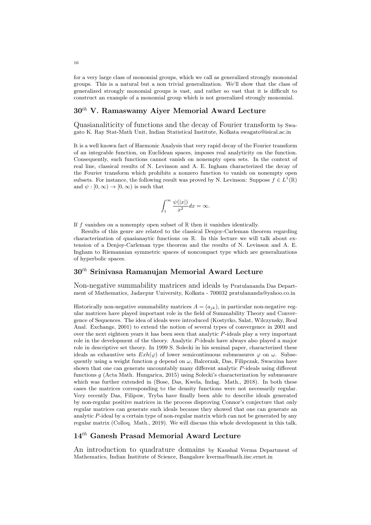for a very large class of monomial groups, which we call as generalized strongly monomial groups. This is a natural but a non trivial generalization. We'll show that the class of generalized strongly monomial groups is vast, and rather so vast that it is difficult to construct an example of a monomial group which is not generalized strongly monomial.

## $30<sup>th</sup>$  V. Ramaswamy Aiyer Memorial Award Lecture

Quasianaliticity of functions and the decay of Fourier transform by Swagato K. Ray Stat-Math Unit, Indian Statistical Institute, Kolkata swagato@isical.ac.in

It is a well known fact of Harmonic Analysis that very rapid decay of the Fourier transform of an integrable function, on Euclidean spaces, imposes real analyticity on the function. Consequently, such functions cannot vanish on nonempty open sets. In the context of real line, classical results of N. Levinson and A. E. Ingham characterized the decay of the Fourier transform which prohibits a nonzero function to vanish on nonempty open subsets. For instance, the following result was proved by N. Levinson: Suppose  $f \in L^1(\mathbb{R})$ and  $\psi : [0, \infty) \to [0, \infty)$  is such that

$$
\int_{1}^{\infty} \frac{\psi(|x|)}{x^2} dx = \infty.
$$

If f vanishes on a nonempty open subset of  $\mathbb R$  then it vanishes identically.

Results of this genre are related to the classical Denjoy-Carleman theorem regarding characterization of quasianaytic functions on R. In this lecture we will talk about extension of a Denjoy-Carleman type theorem and the results of N. Levinson and A. E. Ingham to Riemannian symmetric spaces of noncompact type which are generalizations of hyperbolic spaces.

# $30<sup>th</sup>$  Srinivasa Ramanujan Memorial Award Lecture

Non-negative summability matrices and ideals by Pratulananda Das Department of Mathematics, Jadavpur University, Kolkata - 700032 pratulananda@yahoo.co.in

Historically non-negative summability matrices  $A = (a_{ik})$ , in particular non-negative regular matrices have played important role in the field of Summability Theory and Convergence of Sequences. The idea of ideals were introduced (Kostyrko, Salat, Wilczynsky, Real Anal. Exchange, 2001) to extend the notion of several types of convergence in 2001 and over the next eighteen years it has been seen that analytic P-ideals play a very important role in the development of the theory. Analytic P-ideals have always also played a major role in descriptive set theory. In 1999 S. Solecki in his seminal paper, characterized these ideals as exhaustive sets  $Exh(\varphi)$  of lower semicontinuous submeasures  $\varphi$  on  $\omega$ . Subsequently using a weight function g depend on  $\omega$ , Balcerzak, Das, Filipczak, Swaczina have shown that one can generate uncountably many different analytic P-ideals using different functions g (Acta Math. Hungarica, 2015) using Solecki's characterization by submeasure which was further extended in (Bose, Das, Kwela, Indag. Math., 2018). In both these cases the matrices corresponding to the density functions were not necessarily regular. Very recently Das, Filipow, Tryba have finally been able to describe ideals generated by non-regular positive matrices in the process disproving Connor's conjecture that only regular matrices can generate such ideals because they showed that one can generate an analytic  $P$ -ideal by a certain type of non-regular matrix which can not be generated by any regular matrix (Colloq. Math., 2019). We will discuss this whole development in this talk.

# 14th Ganesh Prasad Memorial Award Lecture

An introduction to quadrature domains by Kaushal Verma Department of Mathematics, Indian Institute of Science, Bangalore kverma@math.iisc.ernet.in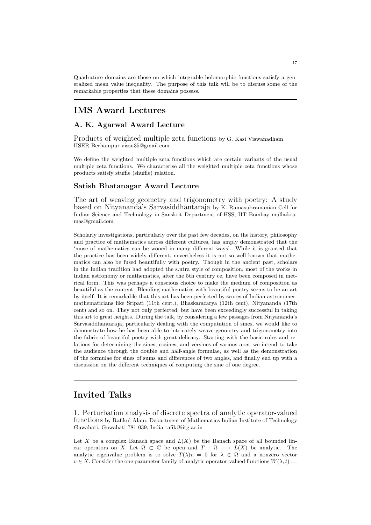Quadrature domains are those on which integrable holomorphic functions satisfy a generalized mean value inequality. The purpose of this talk will be to discuss some of the remarkable properties that these domains possess.

# IMS Award Lectures

## A. K. Agarwal Award Lecture

Products of weighted multiple zeta functions by G. Kasi Viswanadham IISER Berhampur vissu35@gmail.com

We define the weighted multiple zeta functions which are certain variants of the usual multiple zeta functions. We characterise all the weighted multiple zeta functions whose products satisfy stuffle (shuffle) relation.

## Satish Bhatanagar Award Lecture

The art of weaving geometry and trigonometry with poetry: A study based on Nityānanda's Sarvasiddhāntarāja by K. Ramasubramanian Cell for Indian Science and Technology in Sanskrit Department of HSS, IIT Bombay mullaikramas@gmail.com

Scholarly investigations, particularly over the past few decades, on the history, philosophy and practice of mathematics across different cultures, has amply demonstrated that the 'muse of mathematics can be wooed in many different ways'. While it is granted that the practice has been widely different, nevertheless it is not so well known that mathematics can also be fused beautifully with poetry. Though in the ancient past, scholars in the Indian tradition had adopted the s.utra style of composition, most of the works in Indian astronomy or mathematics, after the 5th century ce, have been composed in metrical form. This was perhaps a conscious choice to make the medium of composition as beautiful as the content. Blending mathematics with beautiful poetry seems to be an art by itself. It is remarkable that this art has been perfected by scores of Indian astronomermathematicians like Sripati (11th cent.), Bhaskaracarya (12th cent), Nityananda (17th cent) and so on. They not only perfected, but have been exceedingly successful in taking this art to great heights. During the talk, by considering a few passages from Nityananda's Sarvasiddhantaraja, particularly dealing with the computation of sines, we would like to demonstrate how he has been able to intricately weave geometry and trigonometry into the fabric of beautiful poetry with great delicacy. Starting with the basic rules and relations for determining the sines, cosines, and versines of various arcs, we intend to take the audience through the double and half-angle formulae, as well as the demonstration of the formulae for sines of sums and differences of two angles, and finally end up with a discussion on the different techniques of computing the sine of one degree.

# Invited Talks

1. Perturbation analysis of discrete spectra of analytic operator-valued functions by Rafikul Alam, Department of Mathematics Indian Institute of Technology Guwahati, Guwahati-781 039, India rafik@iitg.ac.in

Let X be a complex Banach space and  $L(X)$  be the Banach space of all bounded linear operators on X. Let  $\Omega \subset \mathbb{C}$  be open and  $T : \Omega \longrightarrow L(X)$  be analytic. The analytic eigenvalue problem is to solve  $T(\lambda)v = 0$  for  $\lambda \in \Omega$  and a nonzero vector  $v \in X$ . Consider the one parameter family of analytic operator-valued functions  $W(\lambda, t)$  :=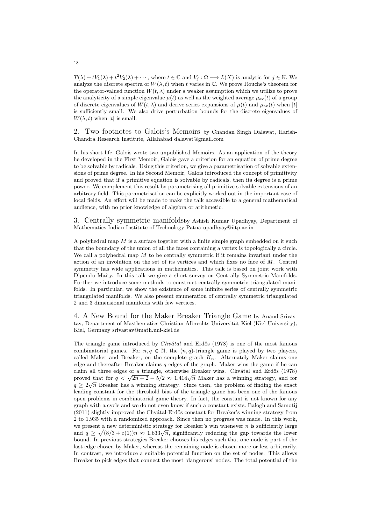$T(\lambda) + tV_1(\lambda) + t^2V_2(\lambda) + \cdots$ , where  $t \in \mathbb{C}$  and  $V_j : \Omega \longrightarrow L(X)$  is analytic for  $j \in \mathbb{N}$ . We analyze the discrete spectra of  $W(\lambda, t)$  when t varies in  $\mathbb{C}$ . We prove Rouche's theorem for the operator-valued function  $W(t, \lambda)$  under a weaker assumption which we utilize to prove the analyticity of a simple eigenvalue  $\mu(t)$  as well as the weighted average  $\mu_{av}(t)$  of a group of discrete eigenvalues of  $W(t, \lambda)$  and derive series expansions of  $\mu(t)$  and  $\mu_{av}(t)$  when  $|t|$ is sufficiently small. We also drive perturbation bounds for the discrete eigenvalues of  $W(\lambda, t)$  when |t| is small.

2. Two footnotes to Galois's Memoirs by Chandan Singh Dalawat, Harish-Chandra Research Institute, Allahabad dalawat@gmail.com

In his short life, Galois wrote two unpublished Memoirs. As an application of the theory he developed in the First Memoir, Galois gave a criterion for an equation of prime degree to be solvable by radicals. Using this criterion, we give a parametrisation of solvable extensions of prime degree. In his Second Memoir, Galois introduced the concept of primitivity and proved that if a primitive equation is solvable by radicals, then its degree is a prime power. We complement this result by parametrising all primitive solvable extensions of an arbitrary field. This parametrisation can be explicitly worked out in the important case of local fields. An effort will be made to make the talk accessible to a general mathematical audience, with no prior knowledge of algebra or arithmetic.

3. Centrally symmetric manifoldsby Ashish Kumar Upadhyay, Department of Mathematics Indian Institute of Technology Patna upadhyay@iitp.ac.in

A polyhedral map  $M$  is a surface together with a finite simple graph embedded on it such that the boundary of the union of all the faces containing a vertex is topologically a circle. We call a polyhedral map  $M$  to be centrally symmetric if it remains invariant under the action of an involution on the set of its vertices and which fixes no face of M. Central symmetry has wide applications in mathematics. This talk is based on joint work with Dipendu Maity. In this talk we give a short survey on Centrally Symmetric Manifolds. Further we introduce some methods to construct centrally symmetric triangulated manifolds. In particular, we show the existence of some infinite series of centrally symmetric triangulated manifolds. We also present enumeration of centrally symmetric triangulated 2 and 3 dimensional manifolds with few vertices.

4. A New Bound for the Maker Breaker Triangle Game by Anand Srivastav, Department of Masthematics Christian-Albrechts Universität Kiel (Kiel University), Kiel, Germany srivastav@math.uni-kiel.de

The triangle game introduced by  $Chvátal$  and Erdős (1978) is one of the most famous combinatorial games. For  $n, q \in \mathbb{N}$ , the  $(n, q)$ -triangle game is played by two players, called Maker and Breaker, on the complete graph  $K_n$ . Alternately Maker claims one edge and thereafter Breaker claims  $q$  edges of the graph. Maker wins the game if he can claim all three edges of a triangle, otherwise Breaker wins. Chvátal and Erdős (1978) proved that for  $q < \sqrt{2n+2} - 5/2 \approx 1.414\sqrt{n}$  Maker has a winning strategy, and for  $q \geq 2\sqrt{n}$  Breaker has a winning strategy. Since then, the problem of finding the exact leading constant for the threshold bias of the triangle game has been one of the famous open problems in combinatorial game theory. In fact, the constant is not known for any graph with a cycle and we do not even know if such a constant exists. Balogh and Samotij (2011) slightly improved the Chvatal-Erdős constant for Breaker's winning strategy from 2 to 1.935 with a randomized approach. Since then no progress was made. In this work, we present a new deterministic strategy for Breaker's win whenever  $n$  is sufficiently large we present a new deterministic strategy for Breaker's will whenever *n* is suinciently large<br>and  $q \ge \sqrt{(8/3 + o(1))n} \approx 1.633\sqrt{n}$ , significantly reducing the gap towards the lower bound. In previous strategies Breaker chooses his edges such that one node is part of the last edge chosen by Maker, whereas the remaining node is chosen more or less arbitrarily. In contrast, we introduce a suitable potential function on the set of nodes. This allows Breaker to pick edges that connect the most 'dangerous' nodes. The total potential of the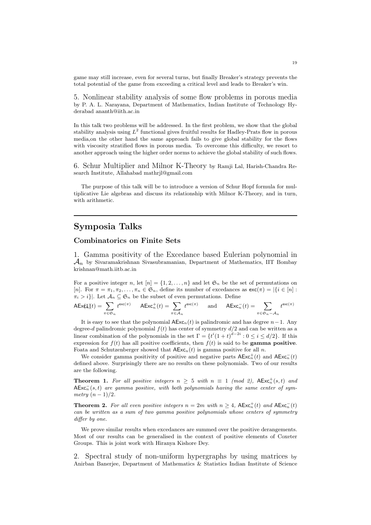game may still increase, even for several turns, but finally Breaker's strategy prevents the total potential of the game from exceeding a critical level and leads to Breaker's win.

5. Nonlinear stability analysis of some flow problems in porous media by P. A. L. Narayana, Department of Mathematics, Indian Institute of Technology Hyderabad ananth@iith.ac.in

In this talk two problems will be addressed. In the first problem, we show that the global stability analysis using  $L^2$  functional gives fruitful results for Hadley-Prats flow in porous media,on the other hand the same approach fails to give global stability for the flows with viscosity stratified flows in porous media. To overcome this difficulty, we resort to another approach using the higher order norms to achieve the global stability of such flows.

6. Schur Multiplier and Milnor K-Theory by Ramji Lal, Harish-Chandra Research Institute, Allahabad mathrjl@gmail.com

The purpose of this talk will be to introduce a version of Schur Hopf formula for multiplicative Lie algebras and discuss its relationship with Milnor K-Theory, and in turn, with arithmetic.

## Symposia Talks

## Combinatorics on Finite Sets

1. Gamma positivity of the Excedance based Eulerian polynomial in  $\mathcal{A}_n$  by Sivaramakrishnan Sivasubramanian, Department of Mathematics, IIT Bombay krishnan@math.iitb.ac.in

For a positive integer n, let  $[n] = \{1, 2, ..., n\}$  and let  $\mathfrak{S}_n$  be the set of permutations on [n]. For  $\pi = \pi_1, \pi_2, \ldots, \pi_n \in \mathfrak{S}_n$ , define its number of excedances as  $\mathsf{exc}(\pi) = |\{i \in [n]:$  $\pi_i > i$ . Let  $\mathcal{A}_n \subseteq \mathfrak{S}_n$  be the subset of even permutations. Define

$$
\mathsf{AEx}(t_n(t)) = \sum_{\pi \in \mathfrak{S}_n} t^{\mathsf{exc}(\pi)} \qquad \mathsf{AExc}_n^+(t) = \sum_{\pi \in \mathcal{A}_n} t^{\mathsf{exc}(\pi)} \qquad \text{and} \qquad \mathsf{AExc}_n^-(t) = \sum_{\pi \in \mathfrak{S}_n - \mathcal{A}_n} t^{\mathsf{exc}(\pi)}
$$

It is easy to see that the polynomial  $AExc_n(t)$  is palindromic and has degree  $n-1$ . Any degree-d palindromic polynomial  $f(t)$  has center of symmetry  $d/2$  and can be written as a linear combination of the polynomials in the set  $\Gamma = \{t^{i}(1+t)^{d-2i} : 0 \leq i \leq d/2\}$ . If this expression for  $f(t)$  has all positive coefficients, then  $f(t)$  is said to be **gamma positive**. Foata and Schutzenberger showed that  $\mathsf{AExc}_n(t)$  is gamma positive for all n.

We consider gamma positivity of positive and negative parts  $\mathsf{AExc}_n^+(t)$  and  $\mathsf{AExc}_n^-(t)$ defined above. Surprisingly there are no results on these polynomials. Two of our results are the following.

**Theorem 1.** For all positive integers  $n \geq 5$  with  $n \equiv 1 \pmod{2}$ ,  $AExc_n^+(s,t)$  and  $\mathsf{AExc}_n^-(s,t)$  are gamma positive, with both polynomials having the same center of symmetry  $(n-1)/2$ .

**Theorem 2.** For all even positive integers  $n = 2m$  with  $n \geq 4$ ,  $AExc_n^+(t)$  and  $AExc_n^-(t)$ can be written as a sum of two gamma positive polynomials whose centers of symmetry differ by one.

We prove similar results when excedances are summed over the positive derangements. Most of our results can be generalised in the context of positive elements of Coxeter Groups. This is joint work with Hiranya Kishore Dey.

2. Spectral study of non-uniform hypergraphs by using matrices by Anirban Banerjee, Department of Mathematics & Statistics Indian Institute of Science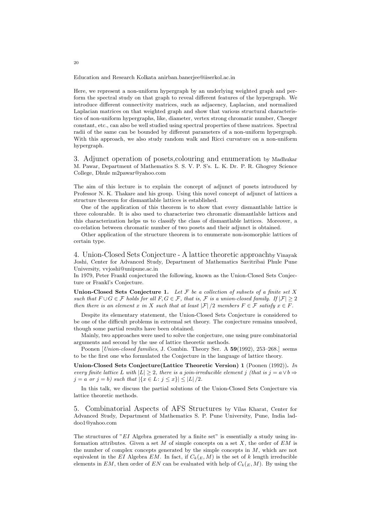Education and Research Kolkata anirban.banerjee@iiserkol.ac.in

Here, we represent a non-uniform hypergraph by an underlying weighted graph and perform the spectral study on that graph to reveal different features of the hypergraph. We introduce different connectivity matrices, such as adjacency, Laplacian, and normalized Laplacian matrices on that weighted graph and show that various structural characteristics of non-uniform hypergraphs, like, diameter, vertex strong chromatic number, Cheeger constant, etc., can also be well studied using spectral properties of these matrices. Spectral radii of the same can be bounded by different parameters of a non-uniform hypergraph. With this approach, we also study random walk and Ricci curvature on a non-uniform hypergraph.

3. Adjunct operation of posets,colouring and enumeration by Madhukar M. Pawar, Department of Mathematics S. S. V. P. S's. L. K. Dr. P. R. Ghogrey Science College, Dhule m2pawar@yahoo.com

The aim of this lecture is to explain the concept of adjunct of posets introduced by Professor N. K. Thakare and his group. Using this novel concept of adjunct of lattices a structure theorem for dismantlable lattices is established.

One of the application of this theorem is to show that every dismantlable lattice is three colourable. It is also used to characterize two chromatic dismantlable lattices and this characterization helps us to classify the class of dismantlable lattices. Moreover, a co-relation between chromatic number of two posets and their adjunct is obtained.

Other application of the structure theorem is to enumerate non-isomorphic lattices of certain type.

4. Union-Closed Sets Conjecture - A lattice theoretic approachby Vinayak Joshi, Center for Advanced Study, Department of Mathematics Savitribai Phule Pune University, vvjoshi@unipune.ac.in

In 1979, Peter Frankl conjectured the following, known as the Union-Closed Sets Conjecture or Frankl's Conjecture.

Union-Closed Sets Conjecture 1. Let  $\mathcal F$  be a collection of subsets of a finite set  $X$ such that  $F \cup G \in \mathcal{F}$  holds for all  $F, G \in \mathcal{F}$ , that is,  $\mathcal{F}$  is a union-closed family. If  $|\mathcal{F}| \geq 2$ then there is an element x in X such that at least  $|\mathcal{F}|/2$  members  $F \in \mathcal{F}$  satisfy  $x \in F$ .

Despite its elementary statement, the Union-Closed Sets Conjecture is considered to be one of the difficult problems in extremal set theory. The conjecture remains unsolved, though some partial results have been obtained.

Mainly, two approaches were used to solve the conjecture, one using pure combinatorial arguments and second by the use of lattice theoretic methods.

Poonen [*Union-closed families*, J. Combin. Theory Ser. A 59(1992), 253–268.] seems to be the first one who formulated the Conjecture in the language of lattice theory.

Union-Closed Sets Conjecture(Lattice Theoretic Version) 1 (Poonen (1992)). In every finite lattice L with  $|L| > 2$ , there is a join-irreducible element j (that is  $j = a \vee b \Rightarrow$  $j = a \text{ or } j = b$ ) such that  $|\{x \in L : j \leq x\}| \leq |L|/2$ .

In this talk, we discuss the partial solutions of the Union-Closed Sets Conjecture via lattice theoretic methods.

5. Combinatorial Aspects of AFS Structures by Vilas Kharat, Center for Advanced Study, Department of Mathematics S. P. Pune University, Pune, India laddoo1@yahoo.com

The structures of " $EI$  Algebra generated by a finite set" is essentially a study using information attributes. Given a set  $M$  of simple concepts on a set  $X$ , the order of  $EM$  is the number of complex concepts generated by the simple concepts in M, which are not equivalent in the EI Algebra EM. In fact, if  $C_k(E, M)$  is the set of k length irreducible elements in EM, then order of EN can be evaluated with help of  $C_k(E, M)$ . By using the

20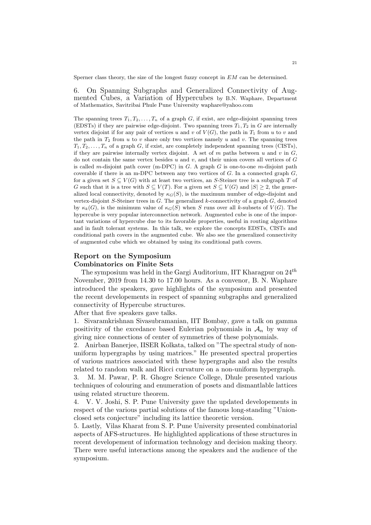Sperner class theory, the size of the longest fuzzy concept in  $EM$  can be determined.

6. On Spanning Subgraphs and Generalized Connectivity of Augmented Cubes, a Variation of Hypercubes by B.N. Waphare, Department of Mathematics, Savitribai Phule Pune University waphare@yahoo.com

The spanning trees  $T_1, T_2, \ldots, T_n$  of a graph G, if exist, are edge-disjoint spanning trees (EDSTs) if they are pairwise edge-disjoint. Two spanning trees  $T_1, T_2$  in G are internally vertex disjoint if for any pair of vertices u and v of  $V(G)$ , the path in  $T_1$  from u to v and the path in  $T_2$  from u to v share only two vertices namely u and v. The spanning trees  $T_1, T_2, \ldots, T_n$  of a graph G, if exist, are completely independent spanning trees (CISTs), if they are pairwise internally vertex disjoint. A set of  $m$  paths between  $u$  and  $v$  in  $G$ , do not contain the same vertex besides  $u$  and  $v$ , and their union covers all vertices of  $G$ is called m-disjoint path cover (m-DPC) in  $G$ . A graph  $G$  is one-to-one m-disjoint path coverable if there is an m-DPC between any two vertices of  $G$ . In a connected graph  $G$ , for a given set  $S \subseteq V(G)$  with at least two vertices, an S-Steiner tree is a subgraph T of G such that it is a tree with  $S \subseteq V(T)$ . For a given set  $S \subseteq V(G)$  and  $|S| \geq 2$ , the generalized local connectivity, denoted by  $\kappa_G(S)$ , is the maximum number of edge-disjoint and vertex-disjoint  $S$ -Steiner trees in  $G$ . The generalized  $k$ -connectivity of a graph  $G$ , denoted by  $\kappa_k(G)$ , is the minimum value of  $\kappa_G(S)$  when S runs over all k-subsets of  $V(G)$ . The hypercube is very popular interconnection network. Augmented cube is one of the important variations of hypercube due to its favorable properties, useful in routing algorithms and in fault tolerant systems. In this talk, we explore the concepts EDSTs, CISTs and conditional path covers in the augmented cube. We also see the generalized connectivity of augmented cube which we obtained by using its conditional path covers.

## Report on the Symposium Combinatorics on Finite Sets

The symposium was held in the Gargi Auditorium, IIT Kharagpur on  $24^{th}$ November, 2019 from 14.30 to 17.00 hours. As a convenor, B. N. Waphare introduced the speakers, gave highlights of the symposium and presented the recent developements in respect of spanning subgraphs and generalized connectivity of Hypercube structures.

After that five speakers gave talks.

1. Sivaramkrishnan Sivasubramanian, IIT Bombay, gave a talk on gamma positivity of the excedance based Eulerian polynomials in  $A_n$  by way of giving nice connections of center of symmetries of these polynomials.

2. Anirban Banerjee, IISER Kolkata, talked on "The spectral study of nonuniform hypergraphs by using matrices." He presented spectral properties of various matrices associated with these hypergraphs and also the results related to random walk and Ricci curvature on a non-uniform hypergraph.

3. M. M. Pawar, P. R. Ghogre Science College, Dhule presented various techniques of colouring and enumeration of posets and dismantlable lattices using related structure theorem.

4. V. V. Joshi, S. P. Pune University gave the updated developements in respect of the various partial solutions of the famous long-standing "Unionclosed sets conjecture" including its lattice theoretic version.

5. Lastly, Vilas Kharat from S. P. Pune University presented combinatorial aspects of AFS-structures. He highlighted applications of these structures in recent developement of information technology and decision making theory. There were useful interactions among the speakers and the audience of the symposium.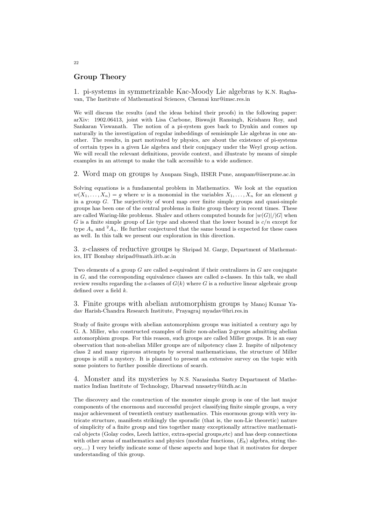## Group Theory

1. pi-systems in symmetrizable Kac-Moody Lie algebras by K.N. Raghavan, The Institute of Mathematical Sciences, Chennai knr@imsc.res.in

We will discuss the results (and the ideas behind their proofs) in the following paper: arXiv: 1902.06413, joint with Lisa Carbone, Biswajit Ransingh, Krishanu Roy, and Sankaran Viswanath. The notion of a pi-system goes back to Dynkin and comes up naturally in the investigation of regular imbeddings of semisimple Lie algebras in one another. The results, in part motivated by physics, are about the existence of pi-systems of certain types in a given Lie algebra and their conjugacy under the Weyl group action. We will recall the relevant definitions, provide context, and illustrate by means of simple examples in an attempt to make the talk accessible to a wide audience.

2. Word map on groups by Anupam Singh, IISER Pune, anupam@iiserpune.ac.in

Solving equations is a fundamental problem in Mathematics. We look at the equation  $w(X_1, \ldots, X_n) = q$  where w is a monomial in the variables  $X_1, \ldots, X_n$  for an element q in a group  $G$ . The surjectivity of word map over finite simple groups and quasi-simple groups has been one of the central problems in finite group theory in recent times. These are called Waring-like problems. Shalev and others computed bounds for  $|w(G)|/|G|$  when G is a finite simple group of Lie type and showed that the lower bound is  $c/n$  except for type  $A_n$  and  $A_n$ . He further conjectured that the same bound is expected for these cases as well. In this talk we present our exploration in this direction.

3. z-classes of reductive groups by Shripad M. Garge, Department of Mathematics, IIT Bombay shripad@math.iitb.ac.in

Two elements of a group  $G$  are called z-equivalent if their centralizers in  $G$  are conjugate in  $G$ , and the corresponding equivalence classes are called z-classes. In this talk, we shall review results regarding the z-classes of  $G(k)$  where G is a reductive linear algebraic group defined over a field  $k$ .

3. Finite groups with abelian automorphism groups by Manoj Kumar Yadav Harish-Chandra Research Institute, Prayagraj myadav@hri.res.in

Study of finite groups with abelian automorphism groups was initiated a century ago by G. A. Miller, who constructed examples of finite non-abelian 2-groups admitting abelian automorphism groups. For this reason, such groups are called Miller groups. It is an easy observation that non-abelian Miller groups are of nilpotency class 2. Inspite of nilpotency class 2 and many rigorous attempts by several mathematicians, the structure of Miller groups is still a mystery. It is planned to present an extensive survey on the topic with some pointers to further possible directions of search.

4. Monster and its mysteries by N.S. Narasimha Sastry Department of Mathematics Indian Institute of Technology, Dharwad nnsastry@iitdh.ac.in

The discovery and the construction of the monster simple group is one of the last major components of the enormous and successful project classifying finite simple groups, a very major achievement of twentieth century mathematics. This enormous group with very intricate structure, manifests strikingly the sporadic (that is, the non-Lie theoretic) nature of simplicity of a finite group and ties together many exceptionally attractive mathematical objects (Golay codes, Leech lattice, extra-special groups,etc) and has deep connections with other areas of mathematics and physics (modular functions,  $(E_8)$ ) algebra, string theory,...) I very briefly indicate some of these aspects and hope that it motivates for deeper understanding of this group.

22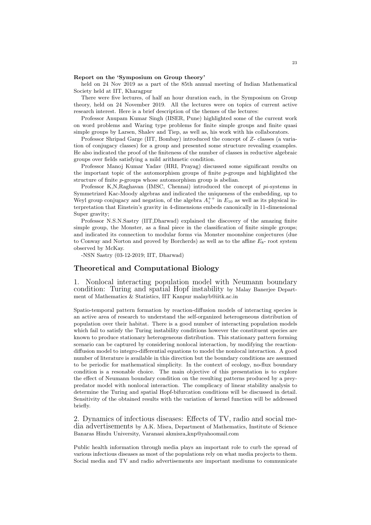#### Report on the 'Symposium on Group theory'

held on 24 Nov 2019 as a part of the 85th annual meeting of Indian Mathematical Society held at IIT, Kharagpur

There were five lectures, of half an hour duration each, in the Symposium on Group theory, held on 24 November 2019. All the lectures were on topics of current active research interest. Here is a brief description of the themes of the lectures:

Professor Anupam Kumar Singh (IISER, Pune) highlighted some of the current work on word problems and Waring type problems for finite simple groups and finite quasi simple groups by Larsen, Shalev and Tiep, as well as, his work with his collaborators.

Professor Shripad Garge (IIT, Bombay) introduced the concept of Z- classes (a variation of conjugacy classes) for a group and presented some structure revealing examples. He also indicated the proof of the finiteness of the number of classes in reductive algebraic groups over fields satisfying a mild arithmetic condition.

Professor Manoj Kumar Yadav (HRI, Prayag) discussed some significant results on the important topic of the automorphism groups of finite  $p$ -groups and highlighted the structure of finite p-groups whose automorphism group is abelian.

Professor K,N,Raghavan (IMSC, Chennai) introduced the concept of  $pi$ -systems in Symmetrized Kac-Moody algebras and indicated the uniqueness of the embedding, up to Weyl group conjugacy and negation, of the algebra  $A_1^{++}$  in  $E_{10}$  as well as its physical interpretation that Einstein's gravity in 4-dimensions embeds canonically in 11-dimensional Super gravity;

Professor N.S.N.Sastry (IIT,Dharwad) explained the discovery of the amazing finite simple group, the Monster, as a final piece in the classification of finite simple groups; and indicated its connection to modular forms via Monster moonshine conjectures (due to Conway and Norton and proved by Borcherds) as well as to the affine  $E_8$ - root system observed by McKay.

-NSN Sastry (03-12-2019; IIT, Dharwad)

## Theoretical and Computational Biology

1. Nonlocal interacting population model with Neumann boundary condition: Turing and spatial Hopf instability by Malay Banerjee Department of Mathematics & Statistics, IIT Kanpur malayb@iitk.ac.in

Spatio-temporal pattern formation by reaction-diffusion models of interacting species is an active area of research to understand the self-organized heterogeneous distribution of population over their habitat. There is a good number of interacting population models which fail to satisfy the Turing instability conditions however the constituent species are known to produce stationary heterogeneous distribution. This stationary pattern forming scenario can be captured by considering nonlocal interaction, by modifying the reactiondiffusion model to integro-differential equations to model the nonlocal interaction. A good number of literature is available in this direction but the boundary conditions are assumed to be periodic for mathematical simplicity. In the context of ecology, no-flux boundary condition is a resonable choice. The main objective of this presentation is to explore the effect of Neumann boundary condition on the resulting patterns produced by a preypredator model with nonlocal interaction. The complicacy of linear stability analysis to determine the Turing and spatial Hopf-bifurcation conditions will be discussed in detail. Sensitivity of the obtained results with the variation of kernel function will be addressed briefly.

2. Dynamics of infectious diseases: Effects of TV, radio and social media advertisements by A.K. Misra, Department of Mathematics, Institute of Science Banaras Hindu University, Varanasi akmisra knp@yahoomail.com

Public health information through media plays an important role to curb the spread of various infectious diseases as most of the populations rely on what media projects to them. Social media and TV and radio advertisements are important mediums to communicate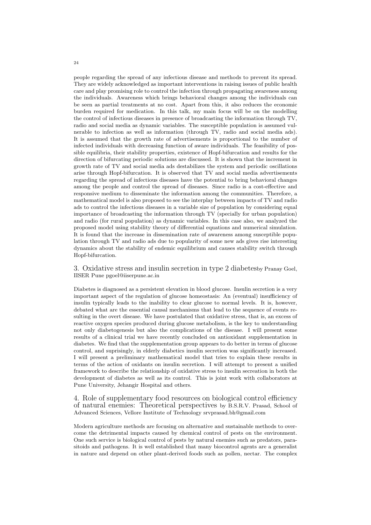people regarding the spread of any infectious disease and methods to prevent its spread. They are widely acknowledged as important interventions in raising issues of public health care and play promising role to control the infection through propagating awareness among the individuals. Awareness which brings behavioral changes among the individuals can be seen as partial treatments at no cost. Apart from this, it also reduces the economic burden required for medication. In this talk, my main focus will be on the modelling the control of infectious diseases in presence of broadcasting the information through TV, radio and social media as dynamic variables. The susceptible population is assumed vulnerable to infection as well as information (through TV, radio and social media ads). It is assumed that the growth rate of advertisements is proportional to the number of infected individuals with decreasing function of aware individuals. The feasibility of possible equilibria, their stability properties, existence of Hopf-bifurcation and results for the direction of bifurcating periodic solutions are discussed. It is shown that the increment in growth rate of TV and social media ads destabilizes the system and periodic oscillations arise through Hopf-bifurcation. It is observed that TV and social media advertisements regarding the spread of infectious diseases have the potential to bring behavioral changes among the people and control the spread of diseases. Since radio is a cost-effective and responsive medium to disseminate the information among the communities. Therefore, a mathematical model is also proposed to see the interplay between impacts of TV and radio ads to control the infectious diseases in a variable size of population by considering equal importance of broadcasting the information through TV (specially for urban population) and radio (for rural population) as dynamic variables. In this case also, we analyzed the proposed model using stability theory of differential equations and numerical simulation. It is found that the increase in dissemination rate of awareness among susceptible population through TV and radio ads due to popularity of some new ads gives rise interesting dynamics about the stability of endemic equilibrium and causes stability switch through Hopf-bifurcation.

3. Oxidative stress and insulin secretion in type 2 diabetesby Pranay Goel, IISER Pune pgoel@iiserpune.ac.in

Diabetes is diagnosed as a persistent elevation in blood glucose. Insulin secretion is a very important aspect of the regulation of glucose homeostasis: An (eventual) insufficiency of insulin typically leads to the inability to clear glucose to normal levels. It is, however, debated what are the essential causal mechanisms that lead to the sequence of events resulting in the overt disease. We have postulated that oxidative stress, that is, an excess of reactive oxygen species produced during glucose metabolism, is the key to understanding not only diabetogenesis but also the complications of the disease. I will present some results of a clinical trial we have recently concluded on antioxidant supplementation in diabetes. We find that the supplementation group appears to do better in terms of glucose control, and suprisingly, in elderly diabetics insulin secretion was significantly increased. I will present a preliminary mathematical model that tries to explain these results in terms of the action of oxidants on insulin secretion. I will attempt to present a unified framework to describe the relationship of oxidative stress to insulin secreation in both the development of diabetes as well as its control. This is joint work with collaborators at Pune University, Jehangir Hospital and others.

4. Role of supplementary food resources on biological control efficiency of natural enemies: Theoretical perspectives by B.S.R.V. Prasad, School of Advanced Sciences, Vellore Institute of Technology srvprasad.bh@gmail.com

Modern agriculture methods are focusing on alternative and sustainable methods to overcome the detrimental impacts caused by chemical control of pests on the environment. One such service is biological control of pests by natural enemies such as predators, parasitoids and pathogens. It is well established that many biocontrol agents are a generalist in nature and depend on other plant-derived foods such as pollen, nectar. The complex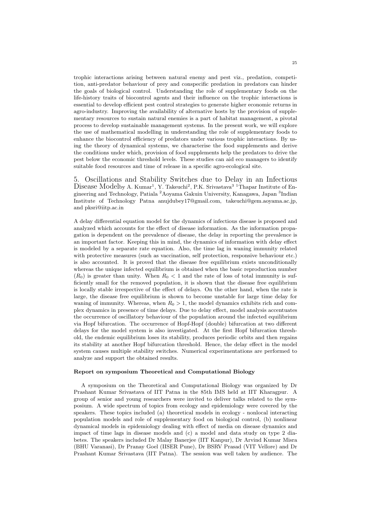trophic interactions arising between natural enemy and pest viz., predation, competition, anti-predator behaviour of prey and conspecific predation in predators can hinder the goals of biological control. Understanding the role of supplementary foods on the life-history traits of biocontrol agents and their influence on the trophic interactions is essential to develop efficient pest control strategies to generate higher economic returns in agro-industry. Improving the availability of alternative hosts by the provision of supplementary resources to sustain natural enemies is a part of habitat management, a pivotal process to develop sustainable management systems. In the present work, we will explore the use of mathematical modelling in understanding the role of supplementary foods to enhance the biocontrol efficiency of predators under various trophic interactions. By using the theory of dynamical systems, we characterise the food supplements and derive the conditions under which, provision of food supplements help the predators to drive the pest below the economic threshold levels. These studies can aid eco managers to identify suitable food resources and time of release in a specific agro-ecological site.

5. Oscillations and Stability Switches due to Delay in an Infectious Disease Modelby A. Kumar<sup>1</sup>, Y. Takeuchi<sup>2</sup>, P.K. Srivastava<sup>3</sup> <sup>1</sup>Thapar Institute of Engineering and Technology, Patiala <sup>2</sup> Aoyama Gakuin University, Kanagawa, Japan <sup>3</sup>Indian Institute of Technology Patna anujdubey17@gmail.com, takeuchi@gem.aoyama.ac.jp, and pksri@iitp.ac.in

A delay differential equation model for the dynamics of infectious disease is proposed and analyzed which accounts for the effect of disease information. As the information propagation is dependent on the prevalence of disease, the delay in reporting the prevalence is an important factor. Keeping this in mind, the dynamics of information with delay effect is modeled by a separate rate equation. Also, the time lag in waning immunity related with protective measures (such as vaccination, self protection, responsive behaviour etc.) is also accounted. It is proved that the disease free equilibrium exists unconditionally whereas the unique infected equilibrium is obtained when the basic reproduction number  $(R_0)$  is greater than unity. When  $R_0 < 1$  and the rate of loss of total immunity is sufficiently small for the removed population, it is shown that the disease free equilibrium is locally stable irrespective of the effect of delays. On the other hand, when the rate is large, the disease free equilibrium is shown to become unstable for large time delay for waning of immunity. Whereas, when  $R_0 > 1$ , the model dynamics exhibits rich and complex dynamics in presence of time delays. Due to delay effect, model analysis accentuates the occurrence of oscillatory behaviour of the population around the infected equilibrium via Hopf bifurcation. The occurrence of Hopf-Hopf (double) bifurcation at two different delays for the model system is also investigated. At the first Hopf bifurcation threshold, the endemic equilibrium loses its stability, produces periodic orbits and then regains its stability at another Hopf bifurcation threshold. Hence, the delay effect in the model system causes multiple stability switches. Numerical experimentations are performed to analyze and support the obtained results.

### Report on symposium Theoretical and Computational Biology

A symposium on the Theoretical and Computational Biology was organized by Dr Prashant Kumar Srivastava of IIT Patna in the 85th IMS held at IIT Kharagpur. A group of senior and young researchers were invited to deliver talks related to the symposium. A wide spectrum of topics from ecology and epidemiology were covered by the speakers. These topics included (a) theoretical models in ecology - nonlocal interacting population models and role of supplementary food on biological control, (b) nonlinear dynamical models in epidemiology dealing with effect of media on disease dynamics and impact of time lags in disease models and (c) a model and data study on type 2 diabetes. The speakers included Dr Malay Banerjee (IIT Kanpur), Dr Arvind Kumar Misra (BHU Varanasi), Dr Pranay Goel (IISER Pune), Dr BSRV Prasad (VIT Vellore) and Dr Prashant Kumar Srivastava (IIT Patna). The session was well taken by audience. The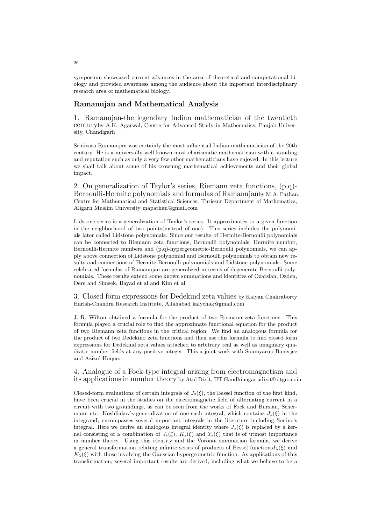symposium showcased current advances in the area of theoretical and computational biology and provided awareness among the audience about the important interdisciplinary research area of mathematical biology.

## Ramanujan and Mathematical Analysis

1. Ramanujan-the legendary Indian mathematician of the twentieth centuryby A.K. Agarwal, Centre for Advanced Study in Mathematics, Panjab University, Chandigarh

Srinivasa Ramanujan was certainly the most influential Indian mathematician of the 20th century. He is a universally well known most charismatic mathematician with a standing and reputation such as only a very few other mathematicians have enjoyed. In this lecture we shall talk about some of his crowning mathematical achievements and their global impact.

2. On generalization of Taylor's series, Riemann zeta functions, (p,q)- Bernoulli-Hermite polynomials and formulas of Ramanujanby M.A. Pathan, Centre for Mathematical and Statistical Sciences, Thrissur Department of Mathematics, Aligarh Muslim University mapathan@gmail.com

Lidstone series is a generalization of Taylor's series. It approximates to a given function in the neighborhood of two points(instead of one). This series includes the polynomials later called Lidstone polynomials. Since our results of Hermite-Bernoulli polynomials can be connected to Riemann zeta functions, Bernoulli polynomials, Hermite number, Bernoulli-Hermite numbers and (p,q)-hypergeometric-Bernoulli polynomials, we can apply above connection of Lidstone polynomial and Bernoulli polynomials to obtain new results and connections of Hermite-Bernoulli polynomials and Lidstone polynomials. Some celebrated formulas of Ramanujan are generalized in terms of degenerate Bernoulli polynomials. These results extend some known summations and identities of Ozarslan, Ozden, Dere and Simsek, Bayad et al and Kim et al.

3. Closed form expressions for Dedekind zeta values by Kalyan Chakraborty Harish-Chandra Research Institute, Allahabad kalychak@gmail.com

J. R. Wilton obtained a formula for the product of two Riemann zeta functions. This formula played a crucial role to find the approximate functional equation for the product of two Riemann zeta functions in the critical region. We find an analogous formula for the product of two Dedekind zeta functions and then use this formula to find closed form expressions for Dedekind zeta values attached to arbitrary real as well as imaginary quadratic number fields at any positive integer. This a joint work with Soumyarup Banerjee and Azizul Hoque.

4. Analogue of a Fock-type integral arising from electromagnetism and its applications in number theory by Atul Dixit, IIT Gandhinagar adixit@iitgn.ac.in

Closed-form evaluations of certain integrals of  $J_0(\xi)$ , the Bessel function of the first kind, have been crucial in the studies on the electromagnetic field of alternating current in a circuit with two groundings, as can be seen from the works of Fock and Bursian, Schermann etc. Koshliakov's generalization of one such integral, which contains  $J_s(\xi)$  in the integrand, encompasses several important integrals in the literature including Sonine's integral. Here we derive an analogous integral identity where  $J_s(\xi)$  is replaced by a kernel consisting of a combination of  $J_s(\xi)$ ,  $K_s(\xi)$  and  $Y_s(\xi)$  that is of utmost importance in number theory. Using this identity and the Voronoi summation formula, we derive a general transformation relating infinite series of products of Bessel functions $I_\lambda(\xi)$  and  $K_{\lambda}(\xi)$  with those involving the Gaussian hypergeometric function. As applications of this transformation, several important results are derived, including what we believe to be a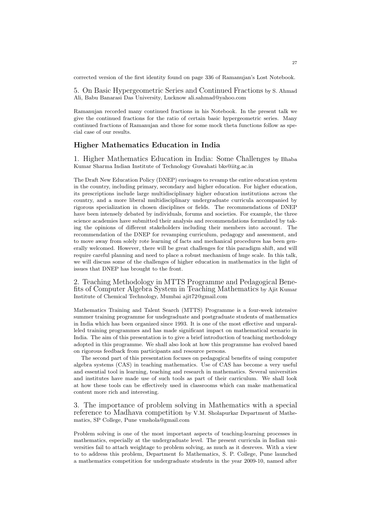corrected version of the first identity found on page 336 of Ramanujan's Lost Notebook.

5. On Basic Hypergeometric Series and Continued Fractions by S. Ahmad Ali, Babu Banarasi Das University, Lucknow ali.sahmad@yahoo.com

Ramanujan recorded many continued fractions in his Notebook. In the present talk we give the continued fractions for the ratio of certain basic hypergeometric series. Many continued fractions of Ramanujan and those for some mock theta functions follow as special case of our results.

### Higher Mathematics Education in India

1. Higher Mathematics Education in India: Some Challenges by Bhaba Kumar Sharma Indian Institute of Technology Guwahati bks@iitg.ac.in

The Draft New Education Policy (DNEP) envisages to revamp the entire education system in the country, including primary, secondary and higher education. For higher education, its prescriptions include large multidisciplinary higher education institutions across the country, and a more liberal multidisciplinary undergraduate curricula accompanied by rigorous specialization in chosen disciplines or fields. The recommendations of DNEP have been intensely debated by individuals, forums and societies. For example, the three science academies have submitted their analysis and recommendations formulated by taking the opinions of different stakeholders including their members into account. The recommendation of the DNEP for revamping curriculum, pedagogy and assessment, and to move away from solely rote learning of facts and mechanical procedures has been generally welcomed. However, there will be great challenges for this paradigm shift, and will require careful planning and need to place a robust mechanism of huge scale. In this talk, we will discuss some of the challenges of higher education in mathematics in the light of issues that DNEP has brought to the front.

2. Teaching Methodology in MTTS Programme and Pedagogical Benefits of Computer Algebra System in Teaching Mathematics by Ajit Kumar Institute of Chemical Technology, Mumbai ajit72@gmail.com

Mathematics Training and Talent Search (MTTS) Programme is a four-week intensive summer training programme for undegraduate and postgraduate students of mathematics in India which has been organized since 1993. It is one of the most effective and unparalleled training programmes and has made significant impact on mathematical scenario in India. The aim of this presentation is to give a brief introduction of teaching methodology adopted in this programme. We shall also look at how this programme has evolved based on rigorous feedback from participants and resource persons.

The second part of this presentation focuses on pedagogical benefits of using computer algebra systems (CAS) in teaching mathematics. Use of CAS has become a very useful and essential tool in learning, teaching and research in mathematics. Several universities and institutes have made use of such tools as part of their carriculum. We shall look at how these tools can be effectively used in classrooms which can make mathematical content more rich and interesting.

3. The importance of problem solving in Mathematics with a special reference to Madhava competition by V.M. Sholapurkar Department of Mathematics, SP College, Pune vmshola@gmail.com

Problem solving is one of the most important aspects of teaching-learning processes in mathematics, especially at the undergraduate level. The present curricula in Indian universities fail to attach weightage to problem solving, as much as it desreves. With a view to to address this problem, Department fo Mathematics, S. P. College, Pune launched a mathematics competition for undergraduate students in the year 2009-10, named after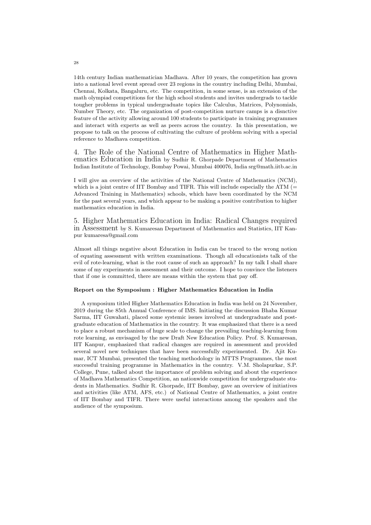14th century Indian mathematician Madhava. After 10 years, the competition has grown into a national level event spread over 23 regions in the country including Delhi, Mumbai, Chennai, Kolkata, Bangaluru, etc. The competition, in some sense, is an extension of the math olympiad competitions for the high school students and invites undergrads to tackle tougher problems in typical undergraduate topics like Calculus, Matrices, Polynomials, Number Theory, etc. The organization of post-competition nurture camps is a disnctive feature of the activity allowing around 100 students to participate in training programmes and interact with experts as well as peers across the country. In this presentation, we propose to talk on the process of cultivating the culture of problem solving with a special reference to Madhava competition.

4. The Role of the National Centre of Mathematics in Higher Mathematics Education in India by Sudhir R. Ghorpade Department of Mathematics Indian Institute of Technology, Bombay Powai, Mumbai 400076, India srg@math.iitb.ac.in

I will give an overview of the activities of the National Centre of Mathematics (NCM), which is a joint centre of IIT Bombay and TIFR. This will include especially the ATM  $(=$ Advanced Training in Mathematics) schools, which have been coordinated by the NCM for the past several years, and which appear to be making a positive contribution to higher mathematics education in India.

5. Higher Mathematics Education in India: Radical Changes required in Assessment by S. Kumaresan Department of Mathematics and Statistics, IIT Kanpur kumaresa@gmail.com

Almost all things negative about Education in India can be traced to the wrong notion of equating assessment with written examinations. Though all educationists talk of the evil of rote-learning, what is the root cause of such an approach? In my talk I shall share some of my experiments in assessment and their outcome. I hope to convince the listeners that if one is committed, there are means within the system that pay off.

### Report on the Symposium : Higher Mathematics Education in India

A symposium titled Higher Mathematics Education in India was held on 24 November, 2019 during the 85th Annual Conference of IMS. Initiating the discussion Bhaba Kumar Sarma, IIT Guwahati, placed some systemic issues involved at undergraduate and postgraduate education of Mathematics in the country. It was emphasized that there is a need to place a robust mechanism of huge scale to change the prevailing teaching-learning from rote learning, as envisaged by the new Draft New Education Policy. Prof. S. Kumaresan, IIT Kanpur, emphasized that radical changes are required in assessment and provided several novel new techniques that have been successfully experimented. Dr. Ajit Kumar, ICT Mumbai, presented the teaching methodology in MTTS Programmes, the most successful training programme in Mathematics in the country. V.M. Sholapurkar, S.P. College, Pune, talked about the importance of problem solving and about the experience of Madhava Mathematics Competition, an nationwide competition for undergraduate students in Mathematics. Sudhir R. Ghorpade, IIT Bombay, gave an overview of initiatives and activities (like ATM, AFS, etc.) of National Centre of Mathematics, a joint centre of IIT Bombay and TIFR. There were useful interactions among the speakers and the audience of the symposium.

28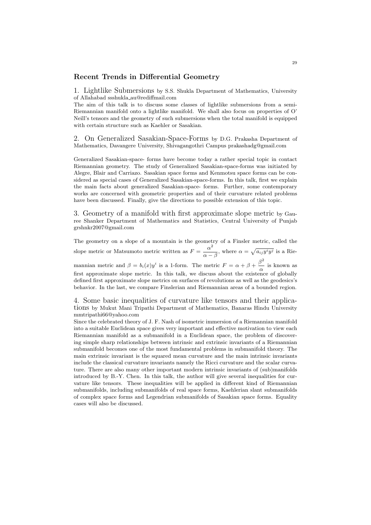### Recent Trends in Differential Geometry

1. Lightlike Submersions by S.S. Shukla Department of Mathematics, University of Allahabad ssshukla au@rediffmail.com

The aim of this talk is to discuss some classes of lightlike submersions from a semi-Riemannian manifold onto a lightlike manifold. We shall also focus on properties of O' Neill's tensors and the geometry of such submersions when the total manifold is equipped with certain structure such as Kaehler or Sasakian.

2. On Generalized Sasakian-Space-Forms by D.G. Prakasha Department of Mathematics, Davangere University, Shivagangothri Campus prakashadg@gmail.com

Generalized Sasakian-space- forms have become today a rather special topic in contact Riemannian geometry. The study of Generalized Sasakian-space-forms was initiated by Alegre, Blair and Carriazo. Sasakian space forms and Kenmotsu space forms can be considered as special cases of Generalized Sasakian-space-forms. In this talk, first we explain the main facts about generalized Sasakian-space- forms. Further, some contemporary works are concerned with geometric properties and of their curvature related problems have been discussed. Finally, give the directions to possible extension of this topic.

3. Geometry of a manifold with first approximate slope metric by Gauree Shanker Department of Mathematics and Statistics, Central University of Punjab grshnkr2007@gmail.com

The geometry on a slope of a mountain is the geometry of a Finsler metric, called the slope metric or Matsumoto metric written as  $F = \frac{\alpha^2}{\alpha}$  $\frac{\alpha}{\alpha - \beta}$ , where  $\alpha = \sqrt{a_{ij}y^i y^j}$  is a Riemannian metric and  $\beta = b_i(x)y^i$  is a 1-form. The metric  $F = \alpha + \beta + \frac{\beta^2}{\beta}$  $\frac{\infty}{\alpha}$  is known as first approximate slope metric. In this talk, we discuss about the existence of globally defined first approximate slope metrics on surfaces of revolutions as well as the geodesics's behavior. In the last, we compare Finslerian and Riemannian areas of a bounded region.

4. Some basic inequalities of curvature like tensors and their applications by Mukut Mani Tripathi Department of Mathematics, Banaras Hindu University mmtripathi66@yahoo.com

Since the celebrated theory of J. F. Nash of isometric immersion of a Riemannian manifold into a suitable Euclidean space gives very important and effective motivation to view each Riemannian manifold as a submanifold in a Euclidean space, the problem of discovering simple sharp relationships between intrinsic and extrinsic invariants of a Riemannian submanifold becomes one of the most fundamental problems in submanifold theory. The main extrinsic invariant is the squared mean curvature and the main intrinsic invariants include the classical curvature invariants namely the Ricci curvature and the scalar curvature. There are also many other important modern intrinsic invariants of (sub)manifolds introduced by B.-Y. Chen. In this talk, the author will give several inequalities for curvature like tensors. These inequalities will be applied in different kind of Riemannian submanifolds, including submanifolds of real space forms, Kaehlerian slant submanifolds of complex space forms and Legendrian submanifolds of Sasakian space forms. Equality cases will also be discussed.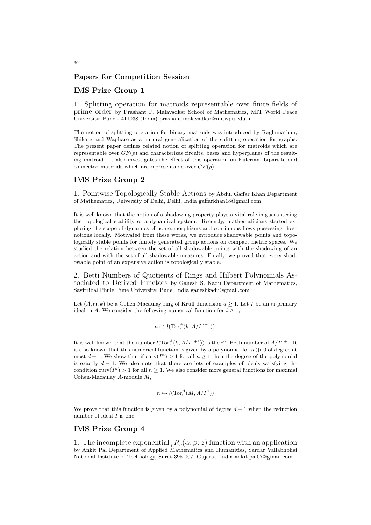### Papers for Competition Session

### IMS Prize Group 1

1. Splitting operation for matroids representable over finite fields of prime order by Prashant P. Malavadkar School of Mathematics, MIT World Peace University, Pune - 411038 (India) prashant.malavadkar@mitwpu.edu.in

The notion of splitting operation for binary matroids was introduced by Raghunathan, Shikare and Waphare as a natural generalization of the splitting operation for graphs. The present paper defines related notion of splitting operation for matroids which are representable over  $GF(p)$  and characterizes circuits, bases and hyperplanes of the resulting matroid. It also investigates the effect of this operation on Eulerian, bipartite and connected matroids which are representable over  $GF(p)$ .

### IMS Prize Group 2

1. Pointwise Topologically Stable Actions by Abdul Gaffar Khan Department of Mathematics, University of Delhi, Delhi, India gaffarkhan18@gmail.com

It is well known that the notion of a shadowing property plays a vital role in guaranteeing the topological stability of a dynamical system. Recently, mathematicians started exploring the scope of dynamics of homeomorphisms and continuous flows possessing these notions locally. Motivated from these works, we introduce shadowable points and topologically stable points for finitely generated group actions on compact metric spaces. We studied the relation between the set of all shadowable points with the shadowing of an action and with the set of all shadowable measures. Finally, we proved that every shadowable point of an expansive action is topologically stable.

2. Betti Numbers of Quotients of Rings and Hilbert Polynomials Associated to Derived Functors by Ganesh S. Kadu Department of Mathematics, Savitribai Phule Pune University, Pune, India ganeshkadu@gmail.com

Let  $(A, \mathfrak{m}, k)$  be a Cohen-Macaulay ring of Krull dimension  $d \geq 1$ . Let I be an  $\mathfrak{m}$ -primary ideal in A. We consider the following numerical function for  $i \geq 1$ ,

$$
n \mapsto l(\operatorname{Tor}_i^A(k, A/I^{n+1})).
$$

It is well known that the number  $l(\text{Tor}_i^A(k, A/I^{n+1}))$  is the  $i^{th}$  Betti number of  $A/I^{n+1}$ . It is also known that this numerical function is given by a polynomial for  $n \gg 0$  of degree at most  $d-1$ . We show that if  $\text{curv}(I^n) > 1$  for all  $n \geq 1$  then the degree of the polynomial is exactly  $d-1$ . We also note that there are lots of examples of ideals satisfying the condition curv $(I^n) > 1$  for all  $n \geq 1$ . We also consider more general functions for maximal Cohen-Macaulay A-module M,

$$
n \mapsto l(\operatorname{Tor}_i^A(M, A/I^n))
$$

We prove that this function is given by a polynomial of degree  $d-1$  when the reduction number of ideal I is one.

### IMS Prize Group 4

1. The incomplete exponential  ${}_{p}R_{q}(\alpha,\beta;z)$  function with an application by Ankit Pal Department of Applied Mathematics and Humanities, Sardar Vallabhbhai National Institute of Technology, Surat-395 007, Gujarat, India ankit.pal07@gmail.com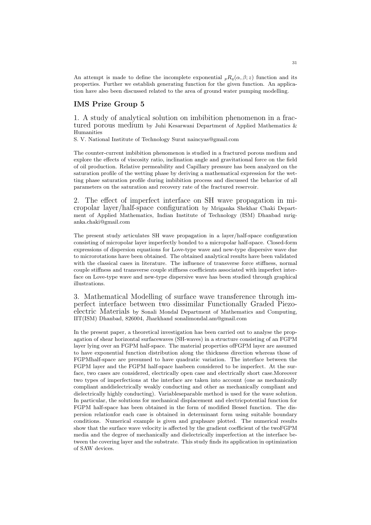An attempt is made to define the incomplete exponential  ${}_{p}R_{q}(\alpha, \beta; z)$  function and its properties. Further we establish generating function for the given function. An application have also been discussed related to the area of ground water pumping modelling.

## IMS Prize Group 5

1. A study of analytical solution on imbibition phenomenon in a fractured porous medium by Juhi Kesarwani Department of Applied Mathematics & Humanities

S. V. National Institute of Technology Surat naincyas@gmail.com

The counter-current imbibition phenomenon is studied in a fractured porous medium and explore the effects of viscosity ratio, inclination angle and gravitational force on the field of oil production. Relative permeability and Capillary pressure has been analyzed on the saturation profile of the wetting phase by deriving a mathematical expression for the wetting phase saturation profile during imbibition process and discussed the behavior of all parameters on the saturation and recovery rate of the fractured reservoir.

2. The effect of imperfect interface on SH wave propagation in micropolar layer/half-space configuration by Mriganka Shekhar Chaki Department of Applied Mathematics, Indian Institute of Technology (ISM) Dhanbad mriganka.chaki@gmail.com

The present study articulates SH wave propagation in a layer/half-space configuration consisting of micropolar layer imperfectly bonded to a micropolar half-space. Closed-form expressions of dispersion equations for Love-type wave and new-type dispersive wave due to microrotations have been obtained. The obtained analytical results have been validated with the classical cases in literature. The influence of transverse force stiffness, normal couple stiffness and transverse couple stiffness coefficients associated with imperfect interface on Love-type wave and new-type dispersive wave has been studied through graphical illustrations.

3. Mathematical Modelling of surface wave transference through imperfect interface between two dissimilar Functionally Graded Piezoelectric Materials by Sonali Mondal Department of Mathematics and Computing, IIT(ISM) Dhanbad, 826004, Jharkhand sonalimondal.am@gmail.com

In the present paper, a theoretical investigation has been carried out to analyse the propagation of shear horizontal surfacewaves (SH-waves) in a structure consisting of an FGPM layer lying over an FGPM half-space. The material properties ofFGPM layer are assumed to have exponential function distribution along the thickness direction whereas those of FGPMhalf-space are presumed to have quadratic variation. The interface between the FGPM layer and the FGPM half-space hasbeen considered to be imperfect. At the surface, two cases are considered, electrically open case and electrically short case.Moreover two types of imperfections at the interface are taken into account (one as mechanically compliant anddielectrically weakly conducting and other as mechanically compliant and dielectrically highly conducting). Variableseparable method is used for the wave solution. In particular, the solutions for mechanical displacement and electricpotential function for FGPM half-space has been obtained in the form of modified Bessel function. The dispersion relationfor each case is obtained in determinant form using suitable boundary conditions. Numerical example is given and graphsare plotted. The numerical results show that the surface wave velocity is affected by the gradient coefficient of the twoFGPM media and the degree of mechanically and dielectrically imperfection at the interface between the covering layer and the substrate. This study finds its application in optimization of SAW devices.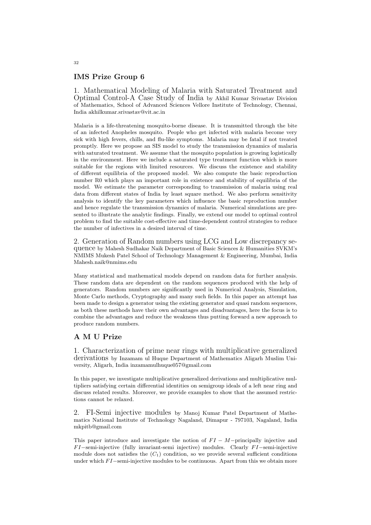## IMS Prize Group 6

1. Mathematical Modeling of Malaria with Saturated Treatment and Optimal Control-A Case Study of India by Akhil Kumar Srivastav Division of Mathematics, School of Advanced Sciences Vellore Institute of Technology, Chennai, India akhilkumar.srivastav@vit.ac.in

Malaria is a life-threatening mosquito-borne disease. It is transmitted through the bite of an infected Anopheles mosquito. People who get infected with malaria become very sick with high fevers, chills, and flu-like symptoms. Malaria may be fatal if not treated promptly. Here we propose an SIS model to study the transmission dynamics of malaria with saturated treatment. We assume that the mosquito population is growing logistically in the environment. Here we include a saturated type treatment function which is more suitable for the regions with limited resources. We discuss the existence and stability of different equilibria of the proposed model. We also compute the basic reproduction number R0 which plays an important role in existence and stability of equilibria of the model. We estimate the parameter corresponding to transmission of malaria using real data from different states of India by least square method. We also perform sensitivity analysis to identify the key parameters which influence the basic reproduction number and hence regulate the transmission dynamics of malaria. Numerical simulations are presented to illustrate the analytic findings. Finally, we extend our model to optimal control problem to find the suitable cost-effective and time-dependent control strategies to reduce the number of infectives in a desired interval of time.

2. Generation of Random numbers using LCG and Low discrepancy sequence by Mahesh Sudhakar Naik Department of Basic Sciences & Humanities SVKM's NMIMS Mukesh Patel School of Technology Management & Engineering, Mumbai, India Mahesh.naik@nmims.edu

Many statistical and mathematical models depend on random data for further analysis. These random data are dependent on the random sequences produced with the help of generators. Random numbers are significantly used in Numerical Analysis, Simulation, Monte Carlo methods, Cryptography and many such fields. In this paper an attempt has been made to design a generator using the existing generator and quasi random sequences, as both these methods have their own advantages and disadvantages, here the focus is to combine the advantages and reduce the weakness thus putting forward a new approach to produce random numbers.

## A M U Prize

1. Characterization of prime near rings with multiplicative generalized derivations by Inzamam ul Huque Department of Mathematics Aligarh Muslim University, Aligarh, India inzamamulhuque057@gmail.com

In this paper, we investigate multiplicative generalized derivations and multiplicative multipliers satisfying certain differential identities on semigroup ideals of a left near ring and discuss related results. Moreover, we provide examples to show that the assumed restrictions cannot be relaxed.

2. FI-Semi injective modules by Manoj Kumar Patel Department of Mathematics National Institute of Technology Nagaland, Dimapur - 797103, Nagaland, India mkpitb@gmail.com

This paper introduce and investigate the notion of  $FI - M$ -principally injective and  $FI$ –semi-injective (fully invariant-semi injective) modules. Clearly  $FI$ –semi-injective module does not satisfies the  $(C_1)$  condition, so we provide several sufficient conditions under which  $FI$  –semi-injective modules to be continuous. Apart from this we obtain more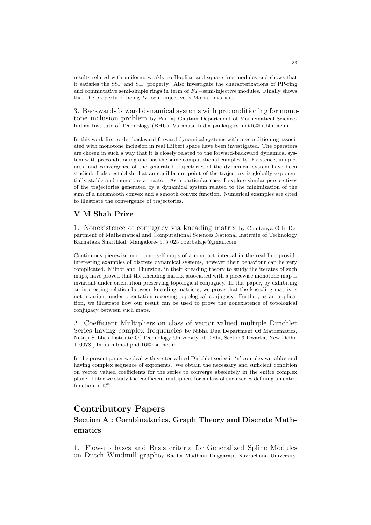results related with uniform, weakly co-Hopfian and square free modules and shows that it satisfies the SSP and SIP property. Also investigate the characterizations of PP-ring and commutative semi-simple rings in term of  $FI$ -semi-injective modules. Finally shows that the property of being  $fi$ -semi-injective is Morita invariant.

3. Backward-forward dynamical systems with preconditioning for monotone inclusion problem by Pankaj Gautam Department of Mathematical Sciences Indian Institute of Technology (BHU), Varanasi, India pankajg.rs.mat16@iitbhu.ac.in

In this work first-order backward-forward dynamical systems with preconditioning associated with monotone inclusion in real Hilbert space have been investigated. The operators are chosen in such a way that it is closely related to the forward-backward dynamical system with preconditioning and has the same computational complexity. Existence, uniqueness, and convergence of the generated trajectories of the dynamical system have been studied. I also establish that an equilibrium point of the trajectory is globally exponentially stable and monotone attractor. As a particular case, I explore similar perspectives of the trajectories generated by a dynamical system related to the minimization of the sum of a nonsmooth convex and a smooth convex function. Numerical examples are cited to illustrate the convergence of trajectories.

## V M Shah Prize

1. Nonexistence of conjugacy via kneading matrix by Chaitanya G K Department of Mathematical and Computational Sciences National Institute of Technology Karnataka Suarthkal, Mangalore- 575 025 cberbalaje@gmail.com

Continuous piecewise monotone self-maps of a compact interval in the real line provide interesting examples of discrete dynamical systems, however their behaviour can be very complicated. Milnor and Thurston, in their kneading theory to study the iterates of such maps, have proved that the kneading matrix associated with a piecewise monotone map is invariant under orientation-preserving topological conjugacy. In this paper, by exhibiting an interesting relation between kneading matrices, we prove that the kneading matrix is not invariant under orientation-reversing topological conjugacy. Further, as an application, we illustrate how our result can be used to prove the nonexistence of topological conjugacy between such maps.

2. Coefficient Multipliers on class of vector valued multiple Dirichlet Series having complex frequencies by Nibha Dua Department Of Mathematics, Netaji Subhas Institute Of Technology University of Delhi, Sector 3 Dwarka, New Delhi-110078 , India nibhad.phd.16@nsit.net.in

In the present paper we deal with vector valued Dirichlet series in 'n' complex variables and having complex sequence of exponents. We obtain the necessary and sufficient condition on vector valued coefficients for the series to converge absolutely in the entire complex plane. Later we study the coefficient multipliers for a class of such series defining an entire function in  $\mathbb{C}^n$ .

## Contributory Papers

# Section A : Combinatorics, Graph Theory and Discrete Mathematics

1. Flow-up bases and Basis criteria for Generalized Spline Modules on Dutch Windmill graphby Radha Madhavi Duggaraju Navrachana University,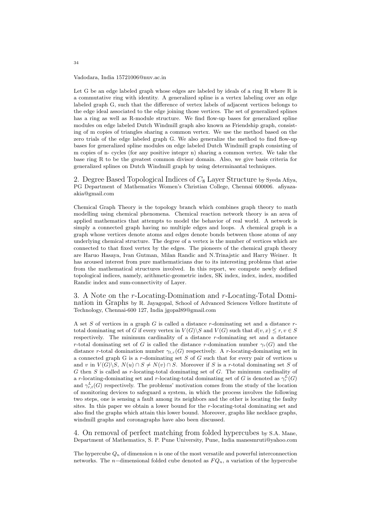#### Vadodara, India 15721006@nuv.ac.in

Let G be an edge labeled graph whose edges are labeled by ideals of a ring R where R is a commutative ring with identity. A generalized spline is a vertex labeling over an edge labeled graph G, such that the difference of vertex labels of adjacent vertices belongs to the edge ideal associated to the edge joining those vertices. The set of generalized splines has a ring as well as R-module structure. We find flow-up bases for generalized spline modules on edge labeled Dutch Windmill graph also known as Friendship graph, consisting of m copies of triangles sharing a common vertex. We use the method based on the zero trials of the edge labeled graph G. We also generalize the method to find flow-up bases for generalized spline modules on edge labeled Dutch Windmill graph consisting of m copies of n- cycles (for any positive integer n) sharing a common vertex. We take the base ring R to be the greatest common divisor domain. Also, we give basis criteria for generalized splines on Dutch Windmill graph by using determinantal techniques.

2. Degree Based Topological Indices of  $C_8$  Layer Structure by Syeda Afiya, PG Department of Mathematics Women's Christian College, Chennai 600006. afiyazaakia@gmail.com

Chemical Graph Theory is the topology branch which combines graph theory to math modelling using chemical phenomena. Chemical reaction network theory is an area of applied mathematics that attempts to model the behavior of real world. A network is simply a connected graph having no multiple edges and loops. A chemical graph is a graph whose vertices denote atoms and edges denote bonds between those atoms of any underlying chemical structure. The degree of a vertex is the number of vertices which are connected to that fixed vertex by the edges. The pioneers of the chemical graph theory are Haruo Hasaya, Ivan Gutman, Milan Randic and N.Trinajstic and Harry Weiner. It has aroused interest from pure mathematicians due to its interesting problems that arise from the mathematical structures involved. In this report, we compute newly defined topological indices, namely, arithmetic-geometric index, SK index, index, index, modified Randic index and sum-connectivity of Layer.

3. A Note on the r-Locating-Domination and r-Locating-Total Domination in Graphs by R. Jayagopal, School of Advanced Sciences Vellore Institute of Technology, Chennai-600 127, India jgopal89@gmail.com

A set S of vertices in a graph  $G$  is called a distance r-dominating set and a distance rtotal dominating set of G if every vertex in  $V(G)\backslash S$  and  $V(G)$  such that  $d(v, x) \leq r, v \in S$ respectively. The minimum cardinality of a distance r-dominating set and a distance r-total dominating set of G is called the distance r-domination number  $\gamma_r(G)$  and the distance r-total domination number  $\gamma_{t,r}(G)$  respectively. A r-locating-dominating set in a connected graph G is a  $r$ -dominating set S of G such that for every pair of vertices  $u$ and v in  $V(G)\backslash S$ ,  $N(u) \cap S \neq N(v) \cap S$ . Moreover if S is a r-total dominating set S of  $G$  then  $S$  is called as  $r$ -locating-total dominating set of  $G$ . The minimum cardinality of a r-locating-dominating set and r-locating-total dominating set of G is denoted as  $\gamma_r^L(G)$ and  $\gamma_{r,t}^{L}(G)$  respectively. The problems' motivation comes from the study of the location of monitoring devices to safeguard a system, in which the process involves the following two steps, one is sensing a fault among its neighbors and the other is locating the faulty sites. In this paper we obtain a lower bound for the r-locating-total dominating set and also find the graphs which attain this lower bound. Moreover, graphs like necklace graphs, windmill graphs and coronagraphs have also been discussed.

4. On removal of perfect matching from folded hypercubes by S.A. Mane, Department of Mathematics, S. P. Pune University, Pune, India manesmruti@yahoo.com

The hypercube  $Q_n$  of dimension n is one of the most versatile and powerful interconnection networks. The n-dimensional folded cube denoted as  $FQ_n$ , a variation of the hypercube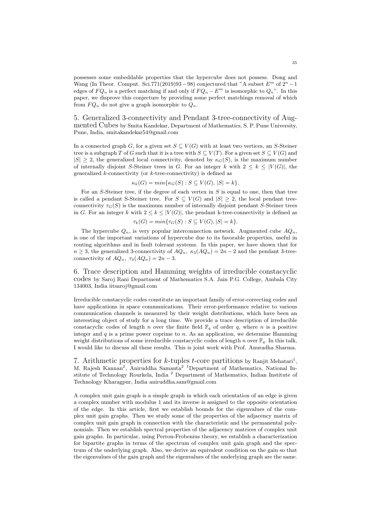possesses some embeddable properties that the hypercube does not possess. Dong and Wang (In Theor. Comput. Sci.771(2019)93 – 98) conjectured that "A subset  $E^m$  of  $2^n - 1$ edges of  $FQ_n$  is a perfect matching if and only if  $FQ_n - E^m$  is isomorphic to  $Q_n$ ". In this paper, we disprove this conjecture by providing some perfect matchings removal of which from  $FQ_n$  do not give a graph isomorphic to  $Q_n$ .

5. Generalized 3-connectivity and Pendant 3-tree-connectivity of Augmented Cubes by Smita Kandekar, Department of Mathematics, S. P. Pune University, Pune, India, smitakandekar54@gmail.com

In a connected graph G, for a given set  $S \subseteq V(G)$  with at least two vertices, an S-Steiner tree is a subgraph T of G such that it is a tree with  $S \subseteq V(T)$ . For a given set  $S \subseteq V(G)$  and  $|S| \geq 2$ , the generalized local connectivity, denoted by  $\kappa_G(S)$ , is the maximum number of internally disjoint S-Steiner trees in G. For an integer k with  $2 \leq k \leq |V(G)|$ , the generalized  $k$ -connectivity (or  $k$ -tree-connectivity) is defined as

$$
\kappa_k(G) = \min\{\kappa_G(S) : S \subseteq V(G), |S| = k\}.
$$

For an  $S$ -Steiner tree, if the degree of each vertex in  $S$  is equal to one, then that tree is called a pendant S-Steiner tree. For  $S \subseteq V(G)$  and  $|S| \geq 2$ , the local pendant treeconnectivity  $\tau_G(S)$  is the maximum number of internally disjoint pendant S-Steiner trees in G. For an integer k with  $2 \leq k \leq |V(G)|$ , the pendant k-tree-connectivity is defined as

$$
\tau_k(G) = \min\{\tau_G(S) : S \subseteq V(G), |S| = k\}.
$$

The hypercube  $Q_n$ , is very popular interconnection network. Augmented cube  $AQ_n$ , is one of the important variations of hypercube due to its favorable properties, useful in routing algorithms and in fault tolerant systems. In this paper, we have shown that for  $n \geq 3$ , the generalized 3-connectivity of  $AQ_n$ ,  $\kappa_3(AQ_n) = 2n - 2$  and the pendant 3-treeconnectivity of  $AQ_n$ ,  $\tau_3(AQ_n) = 2n - 3$ .

6. Trace description and Hamming weights of irreducible constacyclic codes by Saroj Rani Department of Mathematics S.A. Jain P.G. College, Ambala City 134003, India iitsaroj@gmail.com

Irreducible constacyclic codes constitute an important family of error-correcting codes and have applications in space communications. Their error-performance relative to various communication channels is measured by their weight distributions, which have been an interesting object of study for a long time. We provide a trace description of irreducible constacyclic codes of length n over the finite field  $\mathbb{F}_q$  of order q, where n is a positive integer and  $q$  is a prime power coprime to n. As an application, we determine Hamming weight distributions of some irreducible constacyclic codes of length n over  $\mathbb{F}_q$ . In this talk, I would like to discuss all these results. This is joint work with Prof. Anuradha Sharma.

7. Arithmetic properties for  $k$ -tuples  $t$ -core partitions by Ranjit Mehatari<sup>1</sup>, M. Rajesh Kannan<sup>2</sup>, Aniruddha Samanta<sup>2</sup> <sup>1</sup>Department of Mathematics, National Institute of Technology Rourkela, India <sup>2</sup> Department of Mathematics, Indian Institute of Technology Kharagpur, India aniruddha.sam@gmail.com

A complex unit gain graph is a simple graph in which each orientation of an edge is given a complex number with modulus 1 and its inverse is assigned to the opposite orientation of the edge. In this article, first we establish bounds for the eigenvalues of the complex unit gain graphs. Then we study some of the properties of the adjacency matrix of complex unit gain graph in connection with the characteristic and the permanental polynomials. Then we establish spectral properties of the adjacency matrices of complex unit gain graphs. In particular, using Perron-Frobenius theory, we establish a characterization for bipartite graphs in terms of the spectrum of complex unit gain graph and the spectrum of the underlying graph. Also, we derive an equivalent condition on the gain so that the eigenvalues of the gain graph and the eigenvalues of the underlying graph are the same.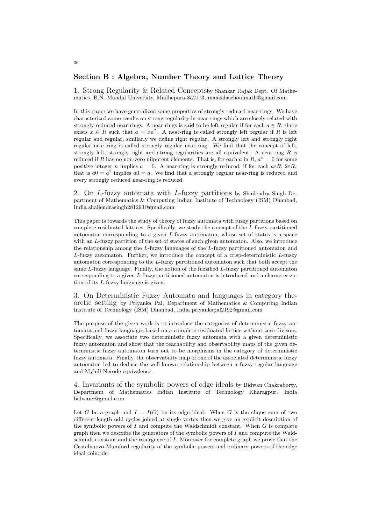## Section B : Algebra, Number Theory and Lattice Theory

1. Strong Regularity & Related Conceptsby Shankar Rajak Dept. Of Mathematics, B.N. Mandal University, Madhepura-852113, maakalaschoolmath@gmail.com

In this paper we have generalized some properties of strongly reduced near-rings. We have characterized some results on strong regularity in near-rings which are closely related with strongly reduced near-rings. A near rings is said to be left regular if for each  $a \in R$ , there exists  $x \in R$  such that  $a = xa^2$ . A near-ring is called strongly left regular if R is left regular and regular, similarly we define right regular. A strongly left and strongly right regular near-ring is called strongly regular near-ring. We find that the concept of left, strongly left, strongly right and strong regularities are all equivalent. A near-ring  $R$  is reduced if R has no non-zero nilpotent elements. That is, for each a in R,  $a^n = 0$  for some positive integer n implies  $a = 0$ . A near-ring is strongly reduced, if for each  $a \in R$ ,  $2 \in R_c$ that is  $a_0 = a^2$  implies  $a_0 = a$ . We find that a strongly regular near-ring is reduced and every strongly reduced near-ring is reduced.

2. On L-fuzzy automata with L-fuzzy partitions by Shailendra Singh Department of Mathematics & Computing Indian Institute of Technology (ISM) Dhanbad, India shailendrasingh281293@gmail.com

This paper is towards the study of theory of fuzzy automata with fuzzy partitions based on complete residuated lattices. Specifically, we study the concept of the L-fuzzy partitioned automaton corresponding to a given L-fuzzy automaton, whose set of states is a space with an *L*-fuzzy partition of the set of states of such given automaton. Also, we introduce the relationship among the L-fuzzy languages of the L-fuzzy partitioned automaton and L-fuzzy automaton. Further, we introduce the concept of a crisp-deterministic L-fuzzy automaton corresponding to the L-fuzzy partitioned automaton such that both accept the same L-fuzzy language. Finally, the notion of the fuzzified L-fuzzy partitioned automaton corresponding to a given L-fuzzy partitioned automaton is introduced and a characterization of its L-fuzzy language is given.

3. On Deterministic Fuzzy Automata and languages in category theoretic setting by Priyanka Pal, Department of Mathematics & Computing Indian Institute of Technology (ISM) Dhanbad, India priyankapal2192@gmail.com

The purpose of the given work is to introduce the categories of deterministic fuzzy automata and fuzzy languages based on a complete residuated lattice without zero divisors. Specifically, we associate two deterministic fuzzy automata with a given deterministic fuzzy automaton and show that the reachability and observability maps of the given deterministic fuzzy automaton turn out to be morphisms in the category of deterministic fuzzy automata. Finally, the observability map of one of the associated deterministic fuzzy automaton led to deduce the well-known relationship between a fuzzy regular language and Myhill-Nerode equivalence.

4. Invariants of the symbolic powers of edge ideals by Bidwan Chakraborty, Department of Mathematics Indian Institute of Technology Kharagpur, India bidwanc@gmail.com

Let G be a graph and  $I = I(G)$  be its edge ideal. When G is the clique sum of two different length odd cycles joined at single vertex then we give an explicit description of the symbolic powers of  $I$  and compute the Waldschmidt constant. When  $G$  is complete graph then we describe the generators of the symbolic powers of I and compute the Waldschmidt constant and the resurgence of I. Moreover for complete graph we prove that the Castelnuovo-Mumford regularity of the symbolic powers and ordinary powers of the edge ideal coincide.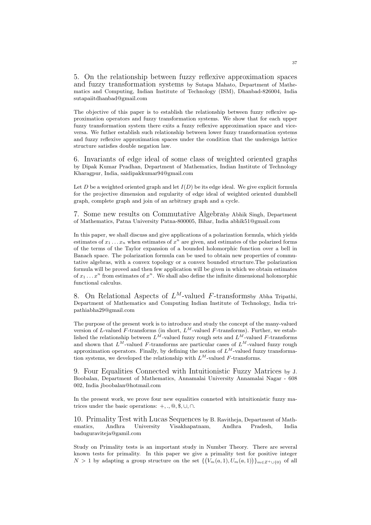5. On the relationship between fuzzy reflexive approximation spaces and fuzzy transformation systems by Sutapa Mahato, Department of Mathematics and Computing, Indian Institute of Technology (ISM), Dhanbad-826004, India sutapaiitdhanbad@gmail.com

The objective of this paper is to establish the relationship between fuzzy reflexive approximation operators and fuzzy transformation systems. We show that for each upper fuzzy transformation system there exits a fuzzy reflexive approximation space and viceversa. We futher establish such relationship between lower fuzzy transformation systems and fuzzy reflexive approximation spaces under the condition that the undersign lattice structure satisfies double negation law.

6. Invariants of edge ideal of some class of weighted oriented graphs by Dipak Kumar Pradhan, Department of Mathematics, Indian Institute of Technology Kharagpur, India, saidipakkumar94@gmail.com

Let D be a weighted oriented graph and let  $I(D)$  be its edge ideal. We give explicit formula for the projective dimension and regularity of edge ideal of weighted oriented dumbbell graph, complete graph and join of an arbitrary graph and a cycle.

7. Some new results on Commutative Algebraby Abhik Singh, Department of Mathematics, Patna University Patna-800005, Bihar, India abhik51@gmail.com

In this paper, we shall discuss and give applications of a polarization formula, which yields estimates of  $x_1 \ldots x_n$  when estimates of  $x^n$  are given, and estimates of the polarized forms of the terms of the Taylor expansion of a bounded holomorphic function over a bell in Banach space. The polarization formula can be used to obtain new properties of commutative algebras, with a convex topology or a convex bounded structure.The polarization formula will be proved and then few application will be given in which we obtain estimates of  $x_1 \ldots x^n$  from estimates of  $x^n$ . We shall also define the infinite dimensional holomorphic functional calculus.

8. On Relational Aspects of  $L^M$ -valued F-transformsby Abha Tripathi, Department of Mathematics and Computing Indian Institute of Technology, India tripathiabha29@gmail.com

The purpose of the present work is to introduce and study the concept of the many-valued version of L-valued F-transforms (in short,  $L^M$ -valued F-transforms). Further, we established the relationship between  $L^M$ -valued fuzzy rough sets and  $L^M$ -valued F-transforms and shown that  $L^M$ -valued F-transforms are particular cases of  $L^M$ -valued fuzzy rough approximation operators. Finally, by defining the notion of  $L^M$ -valued fuzzy transformation systems, we developed the relationship with  $L^M$ -valued F-transforms.

9. Four Equalities Connected with Intuitionistic Fuzzy Matrices by J. Boobalan, Department of Mathematics, Annamalai University Annamalai Nagar - 608 002, India jboobalan@hotmail.com

In the present work, we prove four new equalities conneted with intuitionistic fuzzy matrices under the basic operations:  $+$ , .,  $\mathcal{Q}, \mathcal{S}, \cup, \cap$ .

10. Primality Test with Lucas Sequences by B. Ravitheja, Department of Mathematics, Andhra University Visakhapatnam, Andhra Pradesh, India baduguraviteja@gamil.com

Study on Primality tests is an important study in Number Theory. There are several known tests for primality. In this paper we give a primality test for positive integer  $N > 1$  by adapting a group structure on the set  $\left\{ (V_m(a,1), U_m(a,1)) \right\}_{m \in \mathbb{Z}^+ \cup \{0\}}$  of all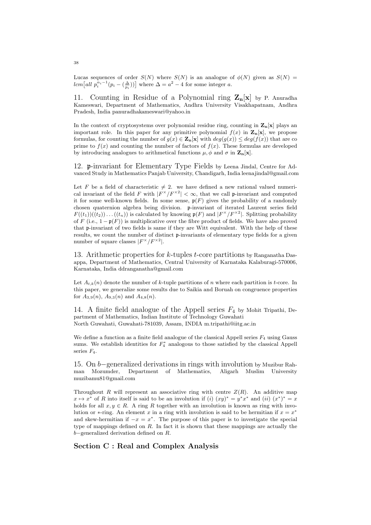Lucas sequences of order  $S(N)$  where  $S(N)$  is an analogue of  $\phi(N)$  given as  $S(N)$  = lcm [all  $p_i^{\alpha_i-1}(p_i - \left(\frac{\Delta}{p_i}\right))]$  where  $\Delta = a^2 - 4$  for some integer a.

11. Counting in Residue of a Polynomial ring  $\mathbf{Z}_{\mathbf{n}}[\mathbf{x}]$  by P. Anuradha Kameswari, Department of Mathematics, Andhra University Visakhapatnam, Andhra Pradesh, India panuradhakameswari@yahoo.in

In the context of cryptosystems over polynomial residue ring, counting in  $\mathbf{Z}_n[\mathbf{x}]$  plays an important role. In this paper for any primitive polynomial  $f(x)$  in  $\mathbf{Z_n}[x]$ , we propose formulas, for counting the number of  $g(x) \in \mathbf{Z}_{n}[\mathbf{x}]$  with  $deg(g(x)) \leq deg(f(x))$  that are co prime to  $f(x)$  and counting the number of factors of  $f(x)$ . These formulas are developed by introducing analogues to arithmetical functions  $\mu$ ,  $\phi$  and  $\sigma$  in  $\mathbf{Z}_{\mathbf{n}}[\mathbf{x}]$ .

12. p-invariant for Elementary Type Fields by Leena Jindal, Centre for Advanced Study in Mathematics Panjab University, Chandigarh, India leenajindal@gmail.com

Let F be a field of characteristic  $\neq 2$ . we have defined a new rational valued numerical invariant of the field F with  $|F^{\times}/F^{\times 2}| < \infty$ , that we call p-invariant and computed it for some well-known fields. In some sense,  $\mathfrak{p}(F)$  gives the probability of a randomly chosen quaternion algebra being division. p-invariant of iterated Laurent series field  $F((t_1))((t_2))\dots((t_n))$  is calculated by knowing  $\mathfrak{p}(F)$  and  $|F^{\times}/F^{\times 2}|$ . Splitting probability of F (i.e.,  $1 - p(F)$ ) is multiplicative over the fibre product of fields. We have also proved that p-invariant of two fields is same if they are Witt equivalent. With the help of these results, we count the number of distinct p-invariants of elementary type fields for a given number of square classes  $|F^{\times}/F^{\times 2}|$ .

13. Arithmetic properties for  $k$ -tuples  $t$ -core partitions by Ranganatha Dasappa, Department of Mathematics, Central University of Karnataka Kalaburagi-570006, Karnataka, India ddranganatha@gmail.com

Let  $A_{t,k}(n)$  denote the number of k-tuple partitions of n where each partition is t-core. In this paper, we generalize some results due to Saikia and Boruah on congruence properties for  $A_{3,9}(n)$ ,  $A_{9,3}(n)$  and  $A_{4,8}(n)$ .

14. A finite field analogue of the Appell series  $F_4$  by Mohit Tripathi, Department of Mathematics, Indian Institute of Technology Guwahati North Guwahati, Guwahati-781039, Assam, INDIA m.tripathi@iitg.ac.in

We define a function as a finite field analogue of the classical Appell series  $F_4$  using Gauss sums. We establish identities for  $F_4^*$  analogous to those satisfied by the classical Appell series F4.

15. On b−generalized derivations in rings with involution by Muzibur Rahman Mozumder, Department of Mathematics, Aligarh Muslim University muzibamu81@gmail.com

Throughout R will represent an associative ring with centre  $Z(R)$ . An additive map  $x \mapsto x^*$  of R into itself is said to be an involution if (i)  $(xy)^* = y^*x^*$  and (ii)  $(x^*)^* = x^*$ holds for all  $x, y \in R$ . A ring R together with an involution is known as ring with involution or \*-ring. An element x in a ring with involution is said to be hermitian if  $x = x^*$ and skew-hermitian if  $-x = x^*$ . The purpose of this paper is to investigate the special type of mappings defined on R. In fact it is shown that these mappings are actually the b−generalized derivation defined on R.

Section C : Real and Complex Analysis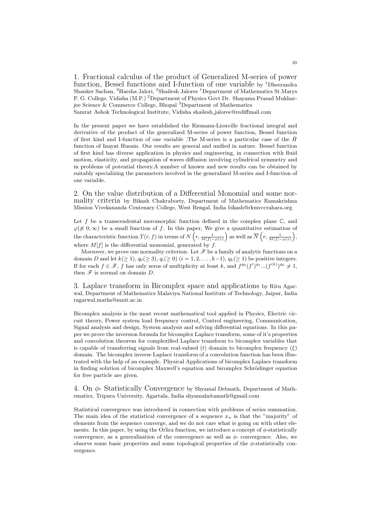1. Fractional calculus of the product of Generalized M-series of power function, Bessel functions and I-function of one variable by <sup>1</sup>Dheerandra Shanker Sachan, <sup>2</sup>Harsha Jalori, <sup>3</sup>Shailesh Jaloree <sup>1</sup>Department of Mathematics St.Marys P. G. College, Vidisha (M.P.)<sup>2</sup>Department of Physics Govt Dr. Shayama Prasad Mukharjee Science & Commerce College, Bhopal <sup>3</sup>Department of Mathematics Samrat Ashok Technological Institute, Vidisha shailesh jaloree@rediffmail.com

In the present paper we have established the Riemann-Liouville fractional integral and derivative of the product of the generalized M-series of power function, Bessel function of first kind and I-function of one variable .The M-series is a particular case of the  $\bar{H}$ function of Inayat Husain. Our results are general and unified in nature. Bessel function of first kind has diverse application in physics and engineering, in connection with fluid motion, elasticity, and propagation of waves diffusion involving cylindrical symmetry and in problems of potential theory.A number of known and new results can be obtained by suitably specializing the parameters involved in the generalized M-series and I-function of one variable.

2. On the value distribution of a Differential Monomial and some normality criteria by Bikash Chakraborty, Department of Mathematics Ramakrishna Mission Vivekananda Centenary College, West Bengal, India bikash@rkmvccrahara.org

Let  $f$  be a transcendental meromorphic function defined in the complex plane  $\mathbb{C}$ , and  $\varphi(\neq 0,\infty)$  be a small function of f. In this paper, We give a quantitative estimation of the characteristic function  $T(r, f)$  in terms of  $N\left(r, \frac{1}{M[f]-\varphi(z)}\right)$  as well as  $\overline{N}\left(r, \frac{1}{M[f]-\varphi(z)}\right)$ , where  $M[f]$  is the differential monomial, generated by f.

Moreover, we prove one normality criterion: Let  $\mathscr F$  be a family of analytic functions on a domain D and let  $k(\geq 1)$ ,  $q_0(\geq 3)$ ,  $q_i(\geq 0)$   $(i = 1, 2, \ldots, k-1)$ ,  $q_k(\geq 1)$  be positive integers. If for each  $f \in \mathscr{F}$ , f has only zeros of multiplicity at least k, and  $f^{q_0}(f')^{q_1}...(f^{(k)})^{q_k} \neq 1$ , then  $\mathscr F$  is normal on domain  $D$ .

3. Laplace transform in Bicomplex space and applications by Ritu Agarwal, Department of Mathematics Malaviya National Institute of Technology, Jaipur, India ragarwal.maths@mnit.ac.in

Bicomplex analysis is the most recent mathematical tool applied in Physics, Electric circuit theory, Power system load frequency control, Control engineering, Communication, Signal analysis and design, System analysis and solving differential equations. In this paper we prove the inversion formula for bicomplex Laplace transform, some of it's properties and convolution theorem for complexified Laplace transform to bicomplex variables that is capable of transferring signals from real-valued (t) domain to bicomplex frequency  $(\xi)$ domain. The bicomplex inverse Laplace transform of a convolution function has been illustrated with the help of an example. Physical Applications of bicomplex Laplace transform in finding solution of bicomplex Maxwell's equation and bicomplex Schrödinger equation for free particle are given.

4. On φ- Statistically Convergence by Shyamal Debnath, Department of Mathematics, Tripura University, Agartala, India shyamalnitamath@gmail.com

Statistical convergence was introduced in connection with problems of series summation. The main idea of the statistical convergence of a sequence  $x_n$  is that the "majority" of elements from the sequence converge, and we do not care what is going on with other elements. In this paper, by using the Orlicz function, we introduce a concept of  $\phi$ -statistically convergence, as a generalization of the convergence as well as  $\phi$ - convergence. Also, we observe some basic properties and some topological properties of the  $\phi$ -statistically convergence.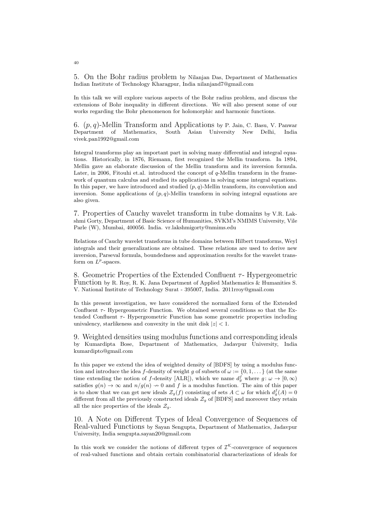5. On the Bohr radius problem by Nilanjan Das, Department of Mathematics Indian Institute of Technology Kharagpur, India nilanjand7@gmail.com

In this talk we will explore various aspects of the Bohr radius problem, and discuss the extensions of Bohr inequality in different directions. We will also present some of our works regarding the Bohr phenomenon for holomorphic and harmonic functions.

6. (p, q)-Mellin Transform and Applications by P. Jain, C. Basu, V. Panwar Department of Mathematics, South Asian University New Delhi, India vivek.pan1992@gmail.com

Integral transforms play an important part in solving many differential and integral equations. Historically, in 1876, Riemann, first recognized the Mellin transform. In 1894, Mellin gave an elaborate discussion of the Mellin transform and its inversion formula. Later, in 2006, Fitouhi et.al. introduced the concept of  $q$ -Mellin transform in the framework of quantum calculus and studied its applications in solving some integral equations. In this paper, we have introduced and studied  $(p, q)$ -Mellin transform, its convolution and inversion. Some applications of  $(p, q)$ -Mellin transform in solving integral equations are also given.

7. Properties of Cauchy wavelet transform in tube domains by V.R. Lakshmi Gorty, Department of Basic Science of Humanities, SVKM's NMIMS University, Vile Parle (W), Mumbai, 400056. India. vr.lakshmigorty@nmims.edu

Relations of Cauchy wavelet transforms in tube domains between Hilbert transforms, Weyl integrals and their generalizations are obtained. These relations are used to derive new inversion, Parseval formula, boundedness and approximation results for the wavelet transform on  $L^p$ -spaces.

8. Geometric Properties of the Extended Confluent  $\tau$ - Hypergeometric Function by R. Roy, R. K. Jana Department of Applied Mathematics & Humanities S. V. National Institute of Technology Surat - 395007, India. 2011rroy@gmail.com

In this present investigation, we have considered the normalized form of the Extended Confluent  $\tau$ - Hypergeometric Function. We obtained several conditions so that the Extended Confluent  $\tau$ - Hypergeometric Function has some geometric properties including univalency, starlikeness and convexity in the unit disk  $|z| < 1$ .

9. Weighted densities using modulus functions and corresponding ideals by Kumardipta Bose, Department of Mathematics, Jadavpur University, India kumardipto@gmail.com

In this paper we extend the idea of weighted density of [BDFS] by using a modulus function and introduce the idea f-density of weight g of subsets of  $\omega := \{0, 1, \dots\}$  (at the same time extending the notion of f-density [ALR]), which we name  $d_g^f$  where  $g: \omega \to [0, \infty)$ satisfies  $g(n) \to \infty$  and  $n/g(n) \to 0$  and f is a modulus function. The aim of this paper is to show that we can get new ideals  $\mathcal{Z}_g(f)$  consisting of sets  $A \subset \omega$  for which  $d_g^f(A) = 0$ different from all the previously constructed ideals  $\mathcal{Z}_q$  of [BDFS] and moreover they retain all the nice properties of the ideals  $\mathcal{Z}_q$ .

10. A Note on Different Types of Ideal Convergence of Sequences of Real-valued Functions by Sayan Sengupta, Department of Mathematics, Jadavpur University, India sengupta.sayan20@gmail.com

In this work we consider the notions of different types of  $\mathcal{I}^{\mathcal{K}}$ -convergence of sequences of real-valued functions and obtain certain combinatorial characterizations of ideals for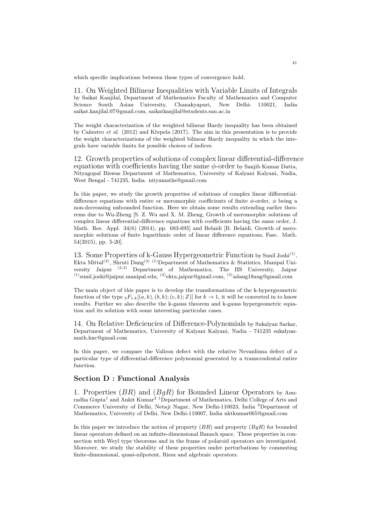which specific implications between these types of convergence hold.

11. On Weighted Bilinear Inequalities with Variable Limits of Integrals by Saikat Kanjilal, Department of Mathematics Faculty of Mathematics and Computer Science South Asian University, Chanakyapuri, New Delhi- 110021, India saikat.kanjilal.07@gmail.com, saikatkanjilal@students.sau.ac.in

The weight characterization of the weighted bilinear Hardy inequality has been obtained by Cañestro et al.  $(2012)$  and Křepela  $(2017)$ . The aim in this presentation is to provide the weight characterizations of the weighted bilinear Hardy inequality in which the integrals have variable limits for possible choices of indices.

12. Growth properties of solutions of complex linear differential-difference equations with coefficients having the same  $\phi$ -order by Sanjib Kumar Datta, Nityagopal Biswas Department of Mathematics, University of Kalyani Kalyani, Nadia, West Bengal - 741235, India. nityamaths@gmail.com

In this paper, we study the growth properties of solutions of complex linear differentialdifference equations with entire or meromorphic coefficients of finite  $\phi$ -order,  $\phi$  being a non-decreasing unbounded function. Here we obtain some results extending earlier theorems due to Wu-Zheng [S. Z. Wu and X. M. Zheng, Growth of meromorphic solutions of complex linear differential-difference equations with coefficients having the same order, J. Math. Res. Appl. 34(6) (2014), pp. 683-695] and Belaidi [B. Belaidi, Growth of meromorphic solutions of finite logarithmic order of linear difference equations, Fasc. Math. 54(2015), pp. 5-20].

13. Some Properties of k-Gauss Hypergeometric Function by Sunil Joshi<sup>(1)</sup>, Ekta Mittal<sup>(2)</sup>, Shruti Dang<sup>(3)</sup> <sup>(1)</sup>Department of Mathematics & Statistics, Manipal University Jaipur (2,3) Department of Mathematics, The IIS University, Jaipur  $(1)$ sunil.joshi@jaipur.manipal.edu,  $(2)$ ekta.jaipur@gmail.com,  $(3)$ adang18aug@gmail.com

The main object of this paper is to develop the transformations of the k-hypergeometric function of the type  ${}_2F_{1,k}[(a, k), (b, k); (c, k); Z)]$  for  $k \to 1$ , it will be converted in to know results. Further we also describe the k-gauss theorem and k-gauss hypergeometric equation and its solution with some interesting particular cases.

14. On Relative Deficiencies of Difference-Polynomials by Sukalyan Sarkar, Department of Mathematics, University of Kalyani Kalyani, Nadia - 741235 sukalyanmath.knc@gmail.com

In this paper, we compare the Valiron defect with the relative Nevanlinna defect of a particular type of differential-difference polynomial generated by a transcendental entire function.

# Section D : Functional Analysis

1. Properties  $(BR)$  and  $(BqR)$  for Bounded Linear Operators by Anu $r$ adha Gupta $^1$  and Ankit Kumar $^2$   $^1$ Department of Mathematics, Delhi College of Arts and Commerce University of Delhi, Netaji Nagar, New Delhi-110023, India <sup>2</sup>Department of Mathematics, University of Delhi, New Delhi-110007, India nktkumar065@gmail.com

In this paper we introduce the notion of property  $(BR)$  and property  $(BqR)$  for bounded linear operators defined on an infinite-dimensional Banach space. These properties in connection with Weyl type theorems and in the frame of polaroid operators are investigated. Moreover, we study the stability of these properties under perturbations by commuting finite-dimensional, quasi-nilpotent, Riesz and algebraic operators.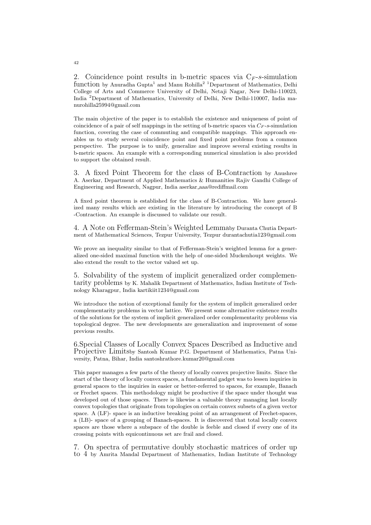2. Coincidence point results in b-metric spaces via  $C_F$ -s-simulation function by Anuradha Gupta<sup>1</sup> and Manu Rohilla<sup>2</sup> <sup>1</sup>Department of Mathematics, Delhi College of Arts and Commerce University of Delhi, Netaji Nagar, New Delhi-110023, India <sup>2</sup>Department of Mathematics, University of Delhi, New Delhi-110007, India manurohilla25994@gmail.com

The main objective of the paper is to establish the existence and uniqueness of point of coincidence of a pair of self mappings in the setting of b-metric spaces via  $C_F$ -s-simulation function, covering the case of commuting and compatible mappings. This approach enables us to study several coincidence point and fixed point problems from a common perspective. The purpose is to unify, generalize and improve several existing results in b-metric spaces. An example with a corresponding numerical simulation is also provided to support the obtained result.

3. A fixed Point Theorem for the class of B-Contraction by Anushree A. Aserkar, Department of Applied Mathematics & Humanities Rajiv Gandhi College of Engineering and Research, Nagpur, India aserkar aaa@rediffmail.com

A fixed point theorem is established for the class of B-Contraction. We have generalized many results which are existing in the literature by introducing the concept of B -Contraction. An example is discussed to validate our result.

4. A Note on Fefferman-Stein's Weighted Lemmaby Duranta Chutia Department of Mathematical Sciences, Tezpur University, Tezpur durantachutia123@gmail.com

We prove an inequality similar to that of Fefferman-Stein's weighted lemma for a generalized one-sided maximal function with the help of one-sided Muckenhoupt weights. We also extend the result to the vector valued set up.

5. Solvability of the system of implicit generalized order complementarity problems by K. Mahalik Department of Mathematics, Indian Institute of Technology Kharagpur, India kartikiit1234@gmail.com

We introduce the notion of exceptional family for the system of implicit generalized order complementarity problems in vector lattice. We present some alternative existence results of the solutions for the system of implicit generalized order complementarity problems via topological degree. The new developments are generalization and improvement of some previous results.

6.Special Classes of Locally Convex Spaces Described as Inductive and Projective Limitsby Santosh Kumar P.G. Department of Mathematics, Patna University, Patna, Bihar, India santoshrathore.kumar20@gmail.com

This paper manages a few parts of the theory of locally convex projective limits. Since the start of the theory of locally convex spaces, a fundamental gadget was to lessen inquiries in general spaces to the inquiries in easier or better-referred to spaces, for example, Banach or Frechet spaces. This methodology might be productive if the space under thought was developed out of those spaces. There is likewise a valuable theory managing last locally convex topologies that originate from topologies on certain convex subsets of a given vector space. A (LF)- space is an inductive breaking point of an arrangement of Frechet-spaces, a (LB)- space of a grouping of Banach-spaces. It is discovered that total locally convex spaces are those where a subspace of the double is feeble and closed if every one of its crossing points with equicontinuous set are frail and closed.

7. On spectra of permutative doubly stochastic matrices of order up to 4 by Amrita Mandal Department of Mathematics, Indian Institute of Technology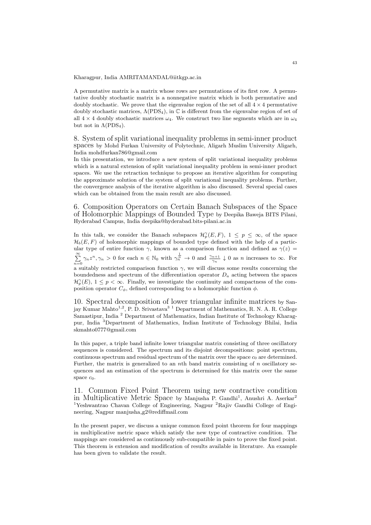Kharagpur, India AMRITAMANDAL@iitkgp.ac.in

A permutative matrix is a matrix whose rows are permutations of its first row. A permutative doubly stochastic matrix is a nonnegative matrix which is both permutative and doubly stochastic. We prove that the eigenvalue region of the set of all  $4 \times 4$  permutative doubly stochastic matrices,  $\Lambda(PDS_4)$ , in C is different from the eigenvalue region of set of all  $4 \times 4$  doubly stochastic matrices  $\omega_4$ . We construct two line segments which are in  $\omega_4$ but not in  $\Lambda$ (PDS<sub>4</sub>).

8. System of split variational inequality problems in semi-inner product spaces by Mohd Furkan University of Polytechnic, Aligarh Muslim University Aligarh, India mohdfurkan786@gmail.com

In this presentation, we introduce a new system of split variational inequality problems which is a natural extension of split variational inequality problem in semi-inner product spaces. We use the retraction technique to propose an iterative algorithm for computing the approximate solution of the system of split variational inequality problems. Further, the convergence analysis of the iterative algorithm is also discussed. Several special cases which can be obtained from the main result are also discussed.

6. Composition Operators on Certain Banach Subspaces of the Space of Holomorphic Mappings of Bounded Type by Deepika Baweja BITS Pilani, Hyderabad Campus, India deepika@hyderabad.bits-pilani.ac.in

In this talk, we consider the Banach subspaces  $\mathcal{H}_p^{\gamma}(E,F)$ ,  $1 \leq p \leq \infty$ , of the space  $\mathcal{H}_b(E, F)$  of holomorphic mappings of bounded type defined with the help of a particular type of entire function  $\gamma$ , known as a comparison function and defined as  $\gamma(z)$  =  $\sum_{n=0}^{\infty} \gamma_n z^n, \gamma_n > 0$  for each  $n \in \mathbb{N}_0$  with  $\gamma_n^{\frac{1}{n}} \to 0$  and  $\frac{\gamma_{n+1}}{\gamma_n} \downarrow 0$  as n increases to  $\infty$ . For a suitably restricted comparison function  $\gamma$ , we will discuss some results concerning the boundedness and spectrum of the differentiation operator  $D_a$  acting between the spaces  $\mathcal{H}_p^{\gamma}(E)$ ,  $1 \leq p < \infty$ . Finally, we investigate the continuity and compactness of the composition operator  $C_{\phi}$ , defined corresponding to a holomorphic function  $\phi$ .

10. Spectral decomposition of lower triangular infinite matrices by Sanjay Kumar Mahto<sup>1,2</sup>, P. D. Srivastava<sup>3 1</sup> Department of Mathematics, R. N. A. R. College Samastipur, India <sup>2</sup> Department of Mathematics, Indian Institute of Technology Kharagpur, India <sup>3</sup>Department of Mathematics, Indian Institute of Technology Bhilai, India skmahto0777@gmail.com

In this paper, a triple band infinite lower triangular matrix consisting of three oscillatory sequences is considered. The spectrum and its disjoint decompositions: point spectrum, continuous spectrum and residual spectrum of the matrix over the space  $c_0$  are determined. Further, the matrix is generalized to an nth band matrix consisting of  $n$  oscillatory sequences and an estimation of the spectrum is determined for this matrix over the same space  $c_0$ .

11. Common Fixed Point Theorem using new contractive condition in Multiplicative Metric Space by Manjusha P. Gandhi<sup>1</sup>, Anushri A. Aserkar<sup>2</sup> <sup>1</sup>Yeshwantrao Chavan College of Engineering, Nagpur <sup>2</sup>Rajiv Gandhi College of Engineering, Nagpur manjusha g2@rediffmail.com

In the present paper, we discuss a unique common fixed point theorem for four mappings in multiplicative metric space which satisfy the new type of contractive condition. The mappings are considered as continuously sub-compatible in pairs to prove the fixed point. This theorem is extension and modification of results available in literature. An example has been given to validate the result.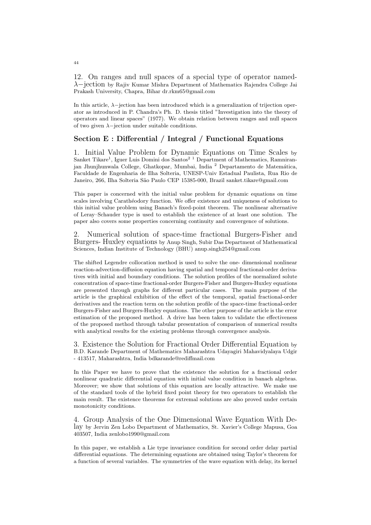12. On ranges and null spaces of a special type of operator namedλ−jection by Rajiv Kumar Mishra Department of Mathematics Rajendra College Jai Prakash University, Chapra, Bihar dr.rkm65@gmail.com

In this article,  $\lambda$ −jection has been introduced which is a generalization of trijection operator as introduced in P. Chandra's Ph. D. thesis titled "Investigation into the theory of operators and linear spaces" (1977). We obtain relation between ranges and null spaces of two given  $\lambda$ -jection under suitable conditions.

# Section E : Differential / Integral / Functional Equations

1. Initial Value Problem for Dynamic Equations on Time Scales by Sanket Tikare<sup>1</sup>, Iguer Luis Domini dos Santos<sup>2 1</sup> Department of Mathematics, Ramniranjan Jhunjhunwala College, Ghatkopar, Mumbai, India <sup>2</sup> Departamento de Matemática, Faculdade de Engenharia de Ilha Solteria, UNESP-Univ Estadual Paulista, Rua Rio de Janeiro, 266, Ilha Solteria São Paulo CEP 15385-000, Brazil sanket.tikare@gmail.com

This paper is concerned with the initial value problem for dynamic equations on time scales involving Carathéodory function. We offer existence and uniqueness of solutions to this initial value problem using Banach's fixed-point theorem. The nonlinear alternative of Leray–Schauder type is used to establish the existence of at least one solution. The paper also covers some properties concerning continuity and convergence of solutions.

2. Numerical solution of space-time fractional Burgers-Fisher and Burgers- Huxley equations by Anup Singh, Subir Das Department of Mathematical Sciences, Indian Institute of Technology (BHU) anup.singh254@gmail.com

The shifted Legendre collocation method is used to solve the one- dimensional nonlinear reaction-advection-diffusion equation having spatial and temporal fractional-order derivatives with initial and boundary conditions. The solution profiles of the normalized solute concentration of space-time fractional-order Burgers-Fisher and Burgers-Huxley equations are presented through graphs for different particular cases. The main purpose of the article is the graphical exhibition of the effect of the temporal, spatial fractional-order derivatives and the reaction term on the solution profile of the space-time fractional-order Burgers-Fisher and Burgers-Huxley equations. The other purpose of the article is the error estimation of the proposed method. A drive has been taken to validate the effectiveness of the proposed method through tabular presentation of comparison of numerical results with analytical results for the existing problems through convergence analysis.

3. Existence the Solution for Fractional Order Differential Equation by B.D. Karande Department of Mathematics Maharashtra Udayagiri Mahavidyalaya Udgir - 413517, Maharashtra, India bdkarande@rediffmail.com

In this Paper we have to prove that the existence the solution for a fractional order nonlinear quadratic differential equation with initial value condition in banach algebras. Moreover; we show that solutions of this equation are locally attractive. We make use of the standard tools of the hybrid fixed point theory for two operators to establish the main result. The existence theorems for extremal solutions are also proved under certain monotonicity conditions.

4. Group Analysis of the One Dimensional Wave Equation With Delay by Jervin Zen Lobo Department of Mathematics, St. Xavier's College Mapusa, Goa 403507, India zenlobo1990@gmail.com

In this paper, we establish a Lie type invariance condition for second order delay partial differential equations. The determining equations are obtained using Taylor's theorem for a function of several variables. The symmetries of the wave equation with delay, its kernel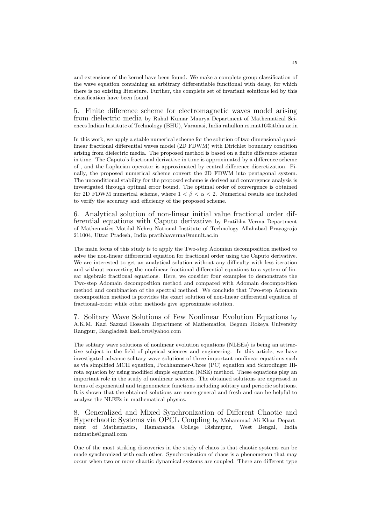and extensions of the kernel have been found. We make a complete group classification of the wave equation containing an arbitrary differentiable functional with delay, for which there is no existing literature. Further, the complete set of invariant solutions led by this classification have been found.

5. Finite difference scheme for electromagnetic waves model arising from dielectric media by Rahul Kumar Maurya Department of Mathematical Sciences Indian Institute of Technology (BHU), Varanasi, India rahulkm.rs.mat16@itbhu.ac.in

In this work, we apply a stable numerical scheme for the solution of two dimensional quasilinear fractional differential waves model (2D FDWM) with Dirichlet boundary condition arising from dielectric media. The proposed method is based on a finite difference scheme in time. The Caputo's fractional derivative in time is approximated by a difference scheme of , and the Laplacian operator is approximated by central difference discretization. Finally, the proposed numerical scheme convert the 2D FDWM into pentagonal system. The unconditional stability for the proposed scheme is derived and convergence analysis is investigated through optimal error bound. The optimal order of convergence is obtained for 2D FDWM numerical scheme, where  $1 < \beta < \alpha < 2$ . Numerical results are included to verify the accuracy and efficiency of the proposed scheme.

6. Analytical solution of non-linear initial value fractional order differential equations with Caputo derivative by Pratibha Verma Department of Mathematics Motilal Nehru National Institute of Technology Allahabad Prayagraja 211004, Uttar Pradesh, India pratibhaverma@mnnit.ac.in

The main focus of this study is to apply the Two-step Adomian decomposition method to solve the non-linear differential equation for fractional order using the Caputo derivative. We are interested to get an analytical solution without any difficulty with less iteration and without converting the nonlinear fractional differential equations to a system of linear algebraic fractional equations. Here, we consider four examples to demonstrate the Two-step Adomain decomposition method and compared with Adomain decomposition method and combination of the spectral method. We conclude that Two-step Adomain decomposition method is provides the exact solution of non-linear differential equation of fractional-order while other methods give approximate solution.

7. Solitary Wave Solutions of Few Nonlinear Evolution Equations by A.K.M. Kazi Sazzad Hossain Department of Mathematics, Begum Rokeya University Rangpur, Bangladesh kazi bru@yahoo.com

The solitary wave solutions of nonlinear evolution equations (NLEEs) is being an attractive subject in the field of physical sciences and engineering. In this article, we have investigated advance solitary wave solutions of three important nonlinear equations such as via simplified MCH equation, Pochhammer-Chree (PC) equation and Schrodinger Hirota equation by using modified simple equation (MSE) method. These equations play an important role in the study of nonlinear sciences. The obtained solutions are expressed in terms of exponential and trigonometric functions including solitary and periodic solutions. It is shown that the obtained solutions are more general and fresh and can be helpful to analyze the NLEEs in mathematical physics.

8. Generalized and Mixed Synchronization of Different Chaotic and Hyperchaotic Systems via OPCL Coupling by Mohammad Ali Khan Department of Mathematics, Ramananda College Bishnupur, West Bengal, India mdmaths@gmail.com

One of the most striking discoveries in the study of chaos is that chaotic systems can be made synchronized with each other. Synchronization of chaos is a phenomenon that may occur when two or more chaotic dynamical systems are coupled. There are different type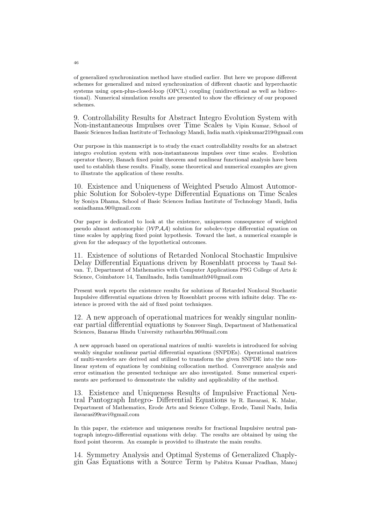of generalized synchronization method have studied earlier. But here we propose different schemes for generalized and mixed synchronization of different chaotic and hyperchaotic systems using open-plus-closed-loop (OPCL) coupling (unidirectional as well as bidirectional). Numerical simulation results are presented to show the efficiency of our proposed schemes.

9. Controllability Results for Abstract Integro Evolution System with Non-instantaneous Impulses over Time Scales by Vipin Kumar, School of Bassic Sciences Indian Institute of Technology Mandi, India math.vipinkumar219@gmail.com

Our purpose in this manuscript is to study the exact controllability results for an abstract integro evolution system with non-instantaneous impulses over time scales. Evolution operator theory, Banach fixed point theorem and nonlinear functional analysis have been used to establish these results. Finally, some theoretical and numerical examples are given to illustrate the application of these results.

10. Existence and Uniqueness of Weighted Pseudo Almost Automorphic Solution for Sobolev-type Differential Equations on Time Scales by Soniya Dhama, School of Basic Sciences Indian Institute of Technology Mandi, India soniadhama.90@gmail.com

Our paper is dedicated to look at the existence, uniqueness consequence of weighted pseudo almost automorphic  $(WPAA)$  solution for sobolev-type differential equation on time scales by applying fixed point hypothesis. Toward the last, a numerical example is given for the adequacy of the hypothetical outcomes.

11. Existence of solutions of Retarded Nonlocal Stochastic Impulsive Delay Differential Equations driven by Rosenblatt process by Tamil Selvan. T, Department of Mathematics with Computer Applications PSG College of Arts & Science, Coimbatore 14, Tamilnadu, India tamilmath94@gmail.com

Present work reports the existence results for solutions of Retarded Nonlocal Stochastic Impulsive differential equations driven by Rosenblatt process with infinite delay. The existence is proved with the aid of fixed point techniques.

12. A new approach of operational matrices for weakly singular nonlinear partial differential equations by Somveer Singh, Department of Mathematical Sciences, Banaras Hindu University rathaurbhu.90@mail.com

A new approach based on operational matrices of multi- wavelets is introduced for solving weakly singular nonlinear partial differential equations (SNPDEs). Operational matrices of multi-wavelets are derived and utilized to transform the given SNPDE into the nonlinear system of equations by combining collocation method. Convergence analysis and error estimation the presented technique are also investigated. Some numerical experiments are performed to demonstrate the validity and applicability of the method.

13. Existence and Uniqueness Results of Impulsive Fractional Neutral Pantograph Integro- Differential Equations by R. Ilavarasi, K. Malar, Department of Mathematics, Erode Arts and Science College, Erode, Tamil Nadu, India ilavarasi99ravi@gmail.com

In this paper, the existence and uniqueness results for fractional Impulsive neutral pantograph integro-differential equations with delay. The results are obtained by using the fixed point theorem. An example is provided to illustrate the main results.

14. Symmetry Analysis and Optimal Systems of Generalized Chaplygin Gas Equations with a Source Term by Pabitra Kumar Pradhan, Manoj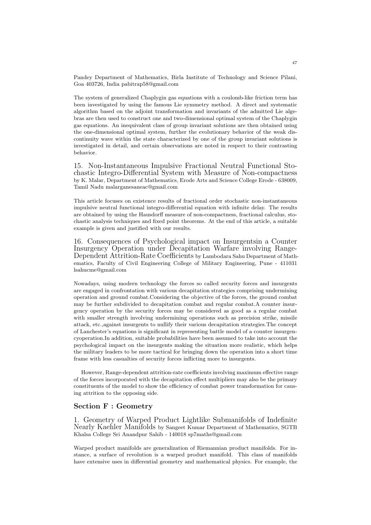Pandey Department of Mathematics, Birla Institute of Technology and Science Pilani, Goa 403726, India pabitrap58@gmail.com

The system of generalized Chaplygin gas equations with a coulomb-like friction term has been investigated by using the famous Lie symmetry method. A direct and systematic algorithm based on the adjoint transformation and invariants of the admitted Lie algebras are then used to construct one and two-dimensional optimal system of the Chaplygin gas equations. An inequivalent class of group invariant solutions are then obtained using the one-dimensional optimal system, further the evolutionary behavior of the weak discontinuity wave within the state characterized by one of the group invariant solutions is investigated in detail, and certain observations are noted in respect to their contrasting behavior.

15. Non-Instantaneous Impulsive Fractional Neutral Functional Stochastic Integro-Differential System with Measure of Non-compactness by K. Malar, Department of Mathematics, Erode Arts and Science College Erode - 638009, Tamil Nadu malarganesaneac@gmail.com

This article focuses on existence results of fractional order stochastic non-instantaneous impulsive neutral functional integro-differential equation with infinite delay. The results are obtained by using the Hausdorff measure of non-compactness, fractional calculus, stochastic analysis techniques and fixed point theorems. At the end of this article, a suitable example is given and justified with our results.

16. Consequences of Psychological impact on Insurgentsin a Counter Insurgency Operation under Decapitation Warfare involving Range-Dependent Attrition-Rate Coefficients by Lambodara Sahu Department of Mathematics, Faculty of Civil Engineering College of Military Engineering, Pune - 411031 lsahucme@gmail.com

Nowadays, using modern technology the forces so called security forces and insurgents are engaged in confrontation with various decapitation strategies comprising undermining operation and ground combat.Considering the objective of the forces, the ground combat may be further subdivided to decapitation combat and regular combat.A counter insurgency operation by the security forces may be considered as good as a regular combat with smaller strength involving undermining operations such as precision strike, missile attack, etc.,against insurgents to nullify their various decapitation strategies.The concept of Lanchester's equations is significant in representing battle model of a counter insurgencyoperation.In addition, suitable probabilities have been assumed to take into account the psychological impact on the insurgents making the situation more realistic, which helps the military leaders to be more tactical for bringing down the operation into a short time frame with less casualties of security forces inflicting more to insurgents.

However, Range-dependent attrition-rate coefficients involving maximum effective range of the forces incorporated with the decapitation effect multipliers may also be the primary constituents of the model to show the efficiency of combat power transformation for causing attrition to the opposing side.

# Section F : Geometry

1. Geometry of Warped Product Lightlike Submanifolds of Indefinite Nearly Kaehler Manifolds by Sangeet Kumar Department of Mathematics, SGTB Khalsa College Sri Anandpur Sahib - 140018 sp7maths@gmail.com

Warped product manifolds are generalization of Riemannian product manifolds. For instance, a surface of revolution is a warped product manifold. This class of manifolds have extensive uses in differential geometry and mathematical physics. For example, the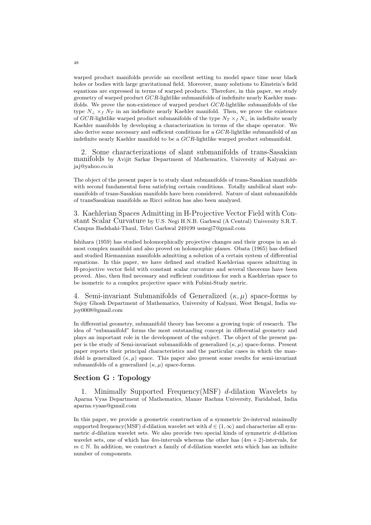warped product manifolds provide an excellent setting to model space time near black holes or bodies with large gravitational field. Moreover, many solutions to Einstein's field equations are expressed in terms of warped products. Therefore, in this paper, we study geometry of warped product GCR-lightlike submanifolds of indefinite nearly Kaehler manifolds. We prove the non-existence of warped product GCR-lightlike submanifolds of the type  $N_{\perp} \times_f N_T$  in an indefinite nearly Kaehler manifold. Then, we prove the existence of GCR-lightlike warped product submanifolds of the type  $N_T \times_f N_\perp$  in indefinite nearly Kaehler manifolds by developing a characterization in terms of the shape operator. We also derive some necessary and sufficient conditions for a GCR-lightlike submanifold of an indefinite nearly Kaehler manifold to be a GCR-lightlike warped product submanifold.

2. Some characterizations of slant submanifolds of trans-Sasakian manifolds by Avijit Sarkar Department of Mathematics, University of Kalyani avjaj@yahoo.co.in

The object of the present paper is to study slant submanifolds of trans-Sasakian manifolds with second fundamental form satisfying certain conditions. Totally umbilical slant submanifolds of trans-Sasakian manifolds have been considered. Nature of slant submanifolds of transSasakian manifolds as Ricci soliton has also been analyzed.

3. Kaehlerian Spaces Admitting in H-Projective Vector Field with Constant Scalar Curvature by U.S. Negi H.N.B. Garhwal (A Central) University S.R.T. Campus Badshahi-Thaul, Tehri Garhwal 249199 usnegi7@gmail.com

Ishihara (1959) has studied holomorphically projective changes and their groups in an almost complex manifold and also proved on holomorphic planes. Obata (1965) has defined and studied Riemannian manifolds admitting a solution of a certain system of differential equations. In this paper, we have defined and studied Kaehlerian spaces admitting in H-projective vector field with constant scalar curvature and several theorems have been proved. Also, then find necessary and sufficient conditions for such a Kaehlerian space to be isometric to a complex projective space with Fubini-Study metric.

4. Semi-invariant Submanifolds of Generalized  $(\kappa, \mu)$  space-forms by Sujoy Ghosh Department of Mathematics, University of Kalyani, West Bengal, India sujoy0008@gmail.com

In differential geometry, submanifold theory has become a growing topic of research. The idea of "submanifold" forms the most outstanding concept in differential geometry and plays an important role in the development of the subject. The object of the present paper is the study of Semi-invariant submanifolds of generalized  $(\kappa, \mu)$  space-forms. Present paper reports their principal characteristics and the particular cases in which the manifold is generalized  $(\kappa, \mu)$  space. This paper also present some results for semi-invariant submanifolds of a generalized  $(\kappa, \mu)$  space-forms.

# Section G : Topology

Minimally Supported Frequency(MSF) d-dilation Wavelets by Aparna Vyas Department of Mathematics, Manav Rachna University, Faridabad, India aparna.vyaas@gmail.com

In this paper, we provide a geometric construction of a symmetric  $2n$ -interval minimally supported frequency(MSF) d-dilation wavelet set with  $d \in (1,\infty)$  and characterize all symmetric d-dilation wavelet sets. We also provide two special kinds of symmetric d-dilation wavelet sets, one of which has  $4m$ -intervals whereas the other has  $(4m + 2)$ -intervals, for  $m \in \mathbb{N}$ . In addition, we construct a family of d-dilation wavelet sets which has an infinite number of components.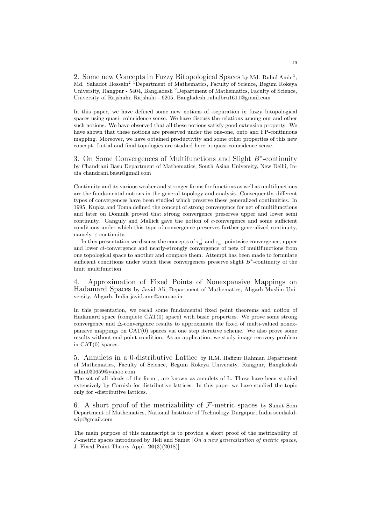2. Some new Concepts in Fuzzy Bitopological Spaces by Md. Ruhul Amin<sup>1</sup>, Md. Sahadot Hossain<sup>2 1</sup>Department of Mathematics, Faculty of Science, Begum Rokeya University, Rangpur - 5404, Bangladesh <sup>2</sup>Department of Mathematics, Faculty of Science. University of Rajshahi, Rajshahi - 6205, Bangladesh ruhulbru1611@gmail.com

In this paper, we have defined some new notions of -separation in fuzzy bitopological spaces using quasi- coincidence sense. We have discuss the relations among our and other such notions. We have observed that all these notions satisfy good extension property. We have shown that these notions are preserved under the one-one, onto and FP-continuous mapping. Moreover, we have obtained productivity and some other properties of this new concept. Initial and final topologies are studied here in quasi-coincidence sense.

3. On Some Convergences of Multifunctions and Slight  $B^*$ -continuity by Chandrani Basu Department of Mathematics, South Asian University, New Delhi, India chandrani.basu@gmail.com

Continuity and its various weaker and stronger forms for functions as well as multifunctions are the fundamental notions in the general topology and analysis. Consequently, different types of convergences have been studied which preserve these generalized continuities. In 1995, Kupka and Toma defined the concept of strong convergence for net of multifunctions and later on Domnik proved that strong convergence preserves upper and lower semi continuity. Ganguly and Mallick gave the notion of  $c$ -convergence and some sufficient conditions under which this type of convergence preserves further generalized continuity, namely,  $\varepsilon$ -continuity.

In this presentation we discuss the concepts of  $\tau_{cl}^+$  and  $\tau_{cl}^-$ -pointwise convergence, upper and lower cl-convergence and nearly-strongly convergence of nets of multifunctions from one topological space to another and compare them. Attempt has been made to formulate sufficient conditions under which these convergences preserve slight  $B^*$ -continuity of the limit multifunction.

4. Approximation of Fixed Points of Nonexpansive Mappings on Hadamard Spaces by Javid Ali, Department of Mathematics, Aligarh Muslim University, Aligarh, India javid.mm@amu.ac.in

In this presentation, we recall some fundamental fixed point theorems and notion of Hadamard space (complete CAT(0) space) with basic properties. We prove some strong convergence and ∆-convergence results to approximate the fixed of multi-valued nonexpansive mappings on CAT(0) spaces via one step iterative scheme. We also prove some results without end point condition. As an application, we study image recovery problem in CAT(0) spaces.

5. Annulets in a 0-distributive Lattice by R.M. Hafizur Rahman Department of Mathematics, Faculty of Science, Begum Rokeya University, Rangpur, Bangladesh salim030659@yahoo.com

The set of all ideals of the form , are known as annulets of L. These have been studied extensively by Cornish for distributive lattices. In this paper we have studied the topic only for -distributive lattices.

6. A short proof of the metrizability of  $\mathcal{F}\text{-metric}$  spaces by Sumit Som Department of Mathematics, National Institute of Technology Durgapur, India somkakdwip@gmail.com

The main purpose of this manuscript is to provide a short proof of the metrizability of  $F$ -metric spaces introduced by Jleli and Samet  $[On a new generalization of metric spaces,$ J. Fixed Point Theory Appl. 20(3)(2018)].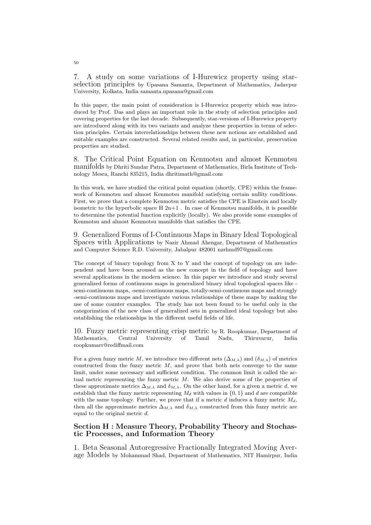7. A study on some variations of I-Hurewicz property using starselection principles by Upasana Samanta, Department of Mathematics, Jadavpur University, Kolkata, India samanta.upasana@gmail.com

In this paper, the main point of consideration is I-Hurewicz property which was introduced by Prof. Das and plays an important role in the study of selection principles and covering properties for the last decade. Subsequently, star-versions of I-Hurewicz property are introduced along with its two variants and analyze these properties in terms of selection principles. Certain interrelationships between these new notions are established and suitable examples are constructed. Several related results and, in particular, preservation properties are studied.

8. The Critical Point Equation on Kenmotsu and almost Kenmotsu manifolds by Dhriti Sundar Patra, Department of Mathematics, Birla Institute of Technology Mesra, Ranchi 835215, India dhritimath@gmail.com

In this work, we have studied the critical point equation (shortly, CPE) within the framework of Kenmotsu and almost Kenmotsu manifold satisfying certain nullity conditions. First, we prove that a complete Kenmotsu metric satisfies the CPE is Einstein and locally isometric to the hyperbolic space  $H 2n+1$ . In case of Kenmotsu manifolds, it is possible to determine the potential function explicitly (locally). We also provide some examples of Kenmotsu and almost Kenmotsu manifolds that satisfies the CPE.

9. Generalized Forms of I-Continuous Maps in Binary Ideal Topological Spaces with Applications by Nazir Ahmad Ahengar, Department of Mathematics and Computer Science R.D. University, Jabalpur 482001 nzrhmd97@gmail.com

The concept of binary topology from X to Y and the concept of topology on are independent and have been aroused as the new concept in the field of topology and have several applications in the modern science. In this paper we introduce and study several generalized forms of continuous maps in generalized binary ideal topological spaces like semi-continuous maps, -semi-continuous maps, totally-semi-continuous maps and strongly -semi-continuous maps and investigate various relationships of these maps by making the use of some counter examples. The study has not been found to be useful only in the categorization of the new class of generalized sets in generalized ideal topology but also establishing the relationships in the different useful fields of life.

10. Fuzzy metric representing crisp metric by R. Roopkumar, Department of Mathematics, Central University of Tamil Nadu, Thiruvarur, India roopkumarr@rediffmail.com

For a given fuzzy metric M, we introduce two different nets  $(\Delta_{M,\lambda})$  and  $(\delta_{M,\lambda})$  of metrics constructed from the fuzzy metric  $M$ , and prove that both nets converge to the same limit, under some necessary and sufficient condition. The common limit is called the actual metric representing the fuzzy metric  $M$ . We also derive some of the properties of these approximate metrics  $\Delta_{M,\lambda}$  and  $\delta_{M,\lambda}$ . On the other hand, for a given a metric d, we establish that the fuzzy metric representing  $M_d$  with values in  $\{0, 1\}$  and d are compatible with the same topology. Further, we prove that if a metric  $d$  induces a fuzzy metric  $M_d$ , then all the approximate metrics  $\Delta_{M,\lambda}$  and  $\delta_{M,\lambda}$  constructed from this fuzzy metric are equal to the original metric  $d$ .

## Section H : Measure Theory, Probability Theory and Stochastic Processes, and Information Theory

1. Beta Seasonal Autoregressive Fractionally Integrated Moving Average Models by Mohammad Shad, Department of Mathematics, NIT Hamirpur, India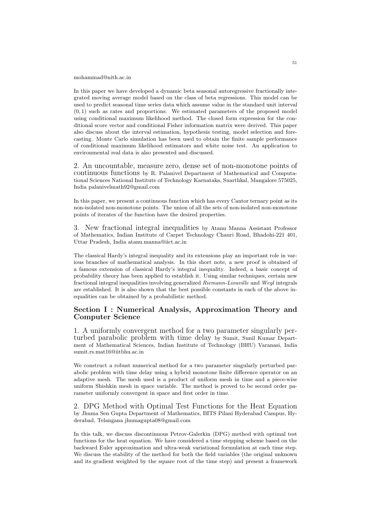#### mohammad@nith.ac.in

In this paper we have developed a dynamic beta seasonal autoregressive fractionally integrated moving average model based on the class of beta regressions. This model can be used to predict seasonal time series data which assume value in the standard unit interval  $(0, 1)$  such as rates and proportions. We estimated parameters of the proposed model using conditional maximum likelihood method. The closed form expression for the conditional score vector and conditional Fisher information matrix were derived. This paper also discuss about the interval estimation, hypothesis testing, model selection and forecasting. Monte Carlo simulation has been used to obtain the finite sample performance of conditional maximum likelihood estimators and white noise test. An application to environmental real data is also presented and discussed.

2. An uncountable, measure zero, dense set of non-monotone points of continuous functions by R. Palanivel Department of Mathematical and Computational Sciences National Institute of Technology Karnataka, Suarthkal, Mangalore 575025, India palanivelmath92@gmail.com

In this paper, we present a continuous function which has every Cantor ternary point as its non-isolated non-monotone points. The union of all the sets of non-isolated non-monotone points of iterates of the function have the desired properties.

3. New fractional integral inequalities by Atanu Manna Assistant Professor of Mathematics, Indian Institute of Carpet Technology Chauri Road, Bhadohi-221 401, Uttar Pradesh, India atanu.manna@iict.ac.in

The classical Hardy's integral inequality and its extensions play an important role in various branches of mathematical analysis. In this short note, a new proof is obtained of a famous extension of classical Hardy's integral inequality. Indeed, a basic concept of probability theory has been applied to establish it. Using similar techniques, certain new fractional integral inequalities involving generalized Riemann-Liouville and Weyl integrals are established. It is also shown that the best possible constants in each of the above inequalities can be obtained by a probabilistic method.

# Section I : Numerical Analysis, Approximation Theory and Computer Science

1. A uniformly convergent method for a two parameter singularly perturbed parabolic problem with time delay by Sumit, Sunil Kumar Department of Mathematical Sciences, Indian Institute of Technology (BHU) Varanasi, India sumit.rs.mat16@iitbhu.ac.in

We construct a robust numerical method for a two parameter singularly perturbed parabolic problem with time delay using a hybrid monotone finite difference operator on an adaptive mesh. The mesh used is a product of uniform mesh in time and a piece-wise uniform Shishkin mesh in space variable. The method is proved to be second order parameter uniformly convergent in space and first order in time.

2. DPG Method with Optimal Test Functions for the Heat Equation by Jhuma Sen Gupta Department of Mathematics, BITS Pilani Hyderabad Campus, Hyderabad, Telangana jhumagupta08@gmail.com

In this talk, we discuss discontinuous Petrov-Galerkin (DPG) method with optimal test functions for the heat equation. We have considered a time stepping scheme based on the backward Euler approximation and ultra-weak variational formulation at each time step. We discuss the stability of the method for both the field variables (the original unknown and its gradient weighted by the square root of the time step) and present a framework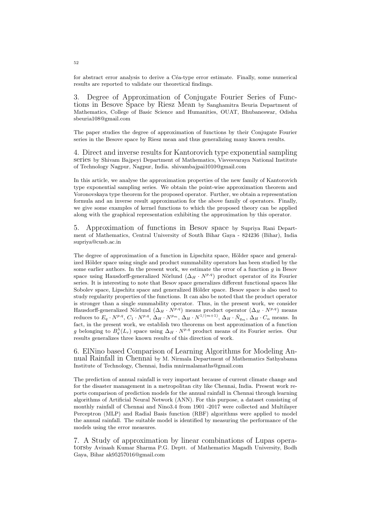for abstract error analysis to derive a Céa-type error estimate. Finally, some numerical results are reported to validate our theoretical findings.

3. Degree of Approximation of Conjugate Fourier Series of Functions in Besove Space by Riesz Mean by Sanghamitra Beuria Department of Mathematics, College of Basic Science and Humanities, OUAT, Bhubaneswar, Odisha sbeuria108@gmail.com

The paper studies the degree of approximation of functions by their Conjugate Fourier series in the Besove space by Riesz mean and thus generalizing many known results.

4. Direct and inverse results for Kantorovich type exponential sampling series by Shivam Bajpeyi Department of Mathematics, Visvesvaraya National Institute of Technology Nagpur, Nagpur, India. shivambajpai1010@gmail.com

In this article, we analyse the approximation properties of the new family of Kantorovich type exponential sampling series. We obtain the point-wise approximation theorem and Voronovskaya type theorem for the proposed operator. Further, we obtain a representation formula and an inverse result approximation for the above family of operators. Finally, we give some examples of kernel functions to which the proposed theory can be applied along with the graphical representation exhibiting the approximation by this operator.

5. Approximation of functions in Besov space by Supriya Rani Department of Mathematics, Central University of South Bihar Gaya - 824236 (Bihar), India supriya@cusb.ac.in

The degree of approximation of a function in Lipschitz space, Hölder space and generalized Hölder space using single and product summability operators has been studied by the some earlier authors. In the present work, we estimate the error of a function g in Besov space using Hausdorff-generalized Nörlund  $(\Delta_H \cdot N^{p,q})$  product operator of its Fourier series. It is interesting to note that Besov space generalizes different functional spaces like Sobolev space, Lipschitz space and generalized Hölder space. Besov space is also used to study regularity properties of the functions. It can also be noted that the product operator is stronger than a single summability operator. Thus, in the present work, we consider Hausdorff-generalized Nörlund  $(\Delta_H \cdot N^{p,q})$  means product operator  $(\Delta_H \cdot N^{p,q})$  means reduces to  $E_q \cdot N^{p,q}, C_1 \cdot N^{p,q}, \Delta_H \cdot N^{p_m}, \Delta_H \cdot N^{1/(m+1)}, \Delta_H \cdot \bar{N}_{q_m}, \Delta_H \cdot C_\alpha$  means. In fact, in the present work, we establish two theorems on best approximation of a function g belonging to  $B_q^{\lambda}(L_r)$  space using  $\Delta_H \cdot N^{p,q}$  product means of its Fourier series. Our results generalizes three known results of this direction of work.

6. ElNino based Comparison of Learning Algorithms for Modeling Annual Rainfall in Chennai by M. Nirmala Department of Mathematics Sathyabama Institute of Technology, Chennai, India mnirmalamaths@gmail.com

The prediction of annual rainfall is very important because of current climate change and for the disaster management in a metropolitan city like Chennai, India. Present work reports comparison of prediction models for the annual rainfall in Chennai through learning algorithms of Artificial Neural Network (ANN). For this purpose, a dataset consisting of monthly rainfall of Chennai and Nino3.4 from 1901 -2017 were collected and Multilayer Perceptron (MLP) and Radial Basis function (RBF) algorithms were applied to model the annual rainfall. The suitable model is identified by measuring the performance of the models using the error measures.

7. A Study of approximation by linear combinations of Lupas operatorsby Avinash Kumar Sharma P.G. Deptt. of Mathematics Magadh University, Bodh Gaya, Bihar ak95257016@gmail.com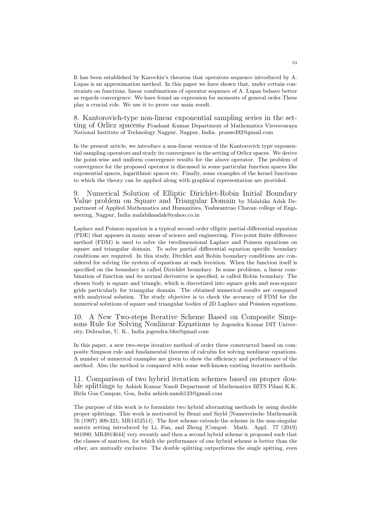It has been established by Karovkin's theorem that operators sequence introduced by A. Lupas is an approximation method. In this paper we have shown that, under certain constraints on functions, linear combinations of operator sequence of A. Lupas behave better as regards convergence. We have found an expression for moments of general order.These play a crucial role. We use it to prove our main result.

8. Kantorovich-type non-linear exponential sampling series in the setting of Orlicz spacesby Prashant Kumar Department of Mathematics Visvesvaraya National Institute of Technology Nagpur, Nagpur, India. pranwd92@gmail.com

In the present article, we introduce a non-linear version of the Kantorovich type exponential sampling operators and study its convergence in the setting of Orlicz spaces. We derive the point-wise and uniform convergence results for the above operator. The problem of convergence for the proposed operator is discussed in some particular function spaces like exponential spaces, logarithmic spaces etc. Finally, some examples of the kernel functions to which the theory can be applied along with graphical representation are provided.

9. Numerical Solution of Elliptic Dirichlet-Robin Initial Boundary Value problem on Square and Triangular Domain by Malabika Adak Department of Applied Mathematics and Humanities, Yeshwantrao Chavan college of Engineering, Nagpur, India malabikaadak@yahoo.co.in

Laplace and Poisson equation is a typical second order elliptic partial differential equation (PDE) that appears in many areas of science and engineering. Five-point finite difference method (FDM) is used to solve the twodimensional Laplace and Poisson equations on square and triangular domain. To solve partial differential equation specific boundary conditions are required. In this study, Dirchlet and Robin boundary conditions are considered for solving the system of equations at each iteration. When the function itself is specified on the boundary is called Dirichlet boundary. In some problems, a linear combination of function and its normal derivative is specified, is called Robin boundary. The chosen body is square and triangle, which is discretized into square grids and non-square grids particularly for triangular domain. The obtained numerical results are compared with analytical solution. The study objective is to check the accuracy of FDM for the numerical solutions of square and triangular bodies of 2D Laplace and Poission equations.

10. A New Two-steps Iterative Scheme Based on Composite Simpsons Rule for Solving Nonlinear Equations by Jogendra Kumar DIT University, Dehradun, U. K., India jogendra.bhu@gmail.com

In this paper, a new two-steps iterative method of order three constructed based on composite Simpson rule and fundamental theorem of calculus for solving nonlinear equations. A number of numerical examples are given to show the efficiency and performance of the method. Also the method is compared with some well-known existing iterative methods.

11. Comparison of two hybrid iteration schemes based on proper double splittings by Ashish Kumar Nandi Department of Mathematics BITS Pilani K.K. Birla Goa Campus, Goa, India ashish.nandi123@gmail.com

The purpose of this work is to formulate two hybrid alternating methods by using double proper splittings. This work is motivated by Benzi and Szyld [Numererische Mathematik 76 (1997) 309-321; MR1452511]. The first scheme extends the scheme in the non-singular matrix setting introduced by Li, Fan, and Zheng [Comput. Math. Appl. 77 (2019) 981990; MR3913644] very recently and then a second hybrid scheme is proposed such that the classes of matrices, for which the performance of one hybrid scheme is better than the other, are mutually exclusive. The double splitting outperforms the single spitting, even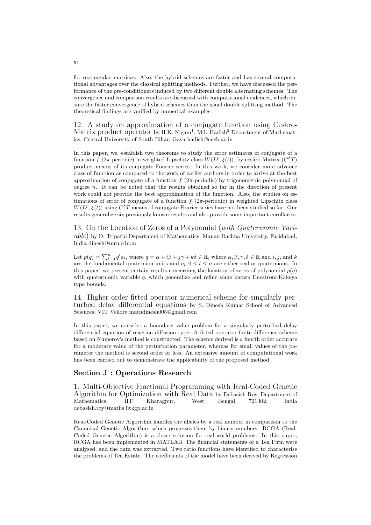for rectangular matrices. Also, the hybrid schemes are faster and has several computational advantages over the classical splitting methods. Further, we have discussed the performance of the pre-conditioners induced by two different double alternating schemes. The convergence and comparison results are discussed with computational evidences, which ensure the faster convergence of hybrid schemes than the usual double splitting method. The theoretical findings are verified by numerical examples.

12. A study on approximation of a conjugate function using Cesaro-Matrix product operator by H.K. Nigam<sup>1</sup>, Md. Hadish<sup>2</sup> Department of Mathematics, Central University of South Bihar, Gaya hadish@cusb.ac.in

In this paper, we, establish two theorems to study the error estimates of conjugate of a function f (2π-periodic) in weighted Lipschitz class  $W(L^p, \xi(t))$ , by cesaro-Matrix  $(C^{\delta}T)$ product means of its conjugate Fourier series. In this work, we consider more advance class of function as compared to the work of earlier authors in order to arrive at the best approximation of conjugate of a function  $f(2\pi\text{-periodic})$  by trigonometric polynomial of degree  $n$ . It can be noted that the results obtained so far in the direction of present work could not provide the best approximation of the function. Also, the studies on estimations of error of conjugate of a function  $f(2\pi\text{-periodic})$  in weighted Lipschitz class  $W(L^p, \xi(t))$  using  $C^{\delta}T$  means of conjugate Fourier series have not been studied so far. Our results generalize six previously known results and also provide some important corollaries.

13. On the Location of Zeros of a Polynomial (with Quaternionic Vari $able)$  by D. Tripathi Department of Mathematics, Manav Rachna University, Faridabad, India dinesh@mru.edu.in

Let  $p(q) = \sum_{l=0}^{n} q^{l} a_{l}$ , where  $q = \alpha + i\beta + j\gamma + k\delta \in \mathbb{H}$ , where  $\alpha, \beta, \gamma, \delta \in \mathbb{R}$  and  $i, j$ , and k are the fundamental quaternion units and  $a_l, 0 \leq l \leq n$  are either real or quaternions. In this paper, we present certain results concerning the location of zeros of polynomial  $p(q)$ with quaternionic variable  $q$ , which generalize and refine some known Eneström-Kakeya type bounds.

14. Higher order fitted operator numerical scheme for singularly perturbed delay differential equations by S. Dinesh Kumar School of Advanced Sciences, VIT Vellore mathdinesh005@gmail.com

In this paper, we consider a boundary value problem for a singularly perturbed delay differential equation of reaction-diffusion type. A fitted operator finite difference scheme based on Numerov's method is constructed. The scheme derived is a fourth order accurate for a moderate value of the perturbation parameter, whereas for small values of the parameter the method is second order or less. An extensive amount of computational work has been carried out to demonstrate the applicability of the proposed method.

### Section J : Operations Research

1. Multi-Objective Fractional Programming with Real-Coded Genetic Algorithm for Optimization with Real Data by Debasish Roy, Department of Mathematics. IIT Kharagpur, West Bengal 721302, India Mathematics, IIT Kharagpur, debasish.roy@maths.iitkgp.ac.in

Real-Coded Genetic Algorithm handles the alleles by a real number in comparison to the Canonical Genetic Algorithm, which processes them by binary numbers. RCGA (Real-Coded Genetic Algorithm) is a closer solution for real-world problems. In this paper, RCGA has been implemented in MATLAB. The financial statements of a Tea Firm were analysed, and the data was extracted. Two ratio functions have identified to characterise the problems of Tea Estate. The coefficients of the model have been derived by Regression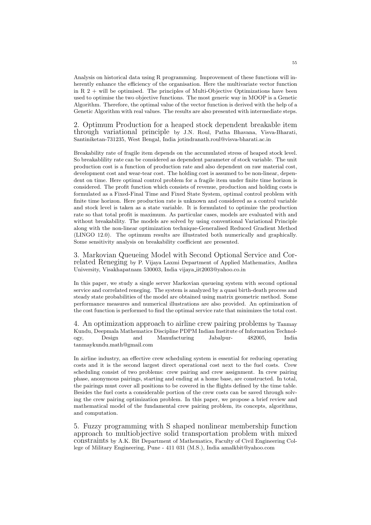Analysis on historical data using R programming. Improvement of these functions will inherently enhance the efficiency of the organisation. Here the multivariate vector function in R  $2 +$  will be optimised. The principles of Multi-Objective Optimizations have been used to optimise the two objective functions. The most generic way in MOOP is a Genetic Algorithm. Therefore, the optimal value of the vector function is derived with the help of a Genetic Algorithm with real values. The results are also presented with intermediate steps.

2. Optimum Production for a heaped stock dependent breakable item through variational principle by J.N. Roul, Patha Bhavana, Visva-Bharati, Santiniketan-731235, West Bengal, India jotindranath.roul@visva-bharati.ac.in

Breakability rate of fragile item depends on the accumulated stress of heaped stock level. So breakablility rate can be considered as dependent parameter of stock variable. The unit production cost is a function of production rate and also dependent on raw material cost, development cost and wear-tear cost. The holding cost is assumed to be non-linear, dependent on time. Here optimal control problem for a fragile item under finite time horizon is considered. The profit function which consists of revenue, production and holding costs is formulated as a Fixed-Final Time and Fixed State System, optimal control problem with finite time horizon. Here production rate is unknown and considered as a control variable and stock level is taken as a state variable. It is formulated to optimize the production rate so that total profit is maximum. As particular cases, models are evaluated with and without breakability. The models are solved by using conventional Variational Principle along with the non-linear optimization technique-Generalised Reduced Gradient Method (LINGO 12.0). The optimum results are illustrated both numerically and graphically. Some sensitivity analysis on breakability coefficient are presented.

3. Markovian Queueing Model with Second Optional Service and Correlated Reneging by P. Vijaya Laxmi Department of Applied Mathematics, Andhra University, Visakhapatnam 530003, India vijaya iit2003@yahoo.co.in

In this paper, we study a single server Markovian queueing system with second optional service and correlated reneging. The system is analyzed by a quasi birth-death process and steady state probabilities of the model are obtained using matrix geometric method. Some performance measures and numerical illustrations are also provided. An optimization of the cost function is performed to find the optimal service rate that minimizes the total cost.

4. An optimization approach to airline crew pairing problems by Tanmay Kundu, Deepmala Mathematics Discipline PDPM Indian Institute of Information Technology, Design and Manufacturing Jabalpur- 482005, India tanmaykundu.math@gmail.com

In airline industry, an effective crew scheduling system is essential for reducing operating costs and it is the second largest direct operational cost next to the fuel costs. Crew scheduling consist of two problems: crew pairing and crew assignment. In crew pairing phase, anonymous pairings, starting and ending at a home base, are constructed. In total, the pairings must cover all positions to be covered in the flights defined by the time table. Besides the fuel costs a considerable portion of the crew costs can be saved through solving the crew pairing optimization problem. In this paper, we propose a brief review and mathematical model of the fundamental crew pairing problem, its concepts, algorithms, and computation.

5. Fuzzy programming with S shaped nonlinear membership function approach to multiobjective solid transportation problem with mixed constraints by A.K. Bit Department of Mathematics, Faculty of Civil Engineering College of Military Engineering, Pune - 411 031 (M.S.), India amalkbit@yahoo.com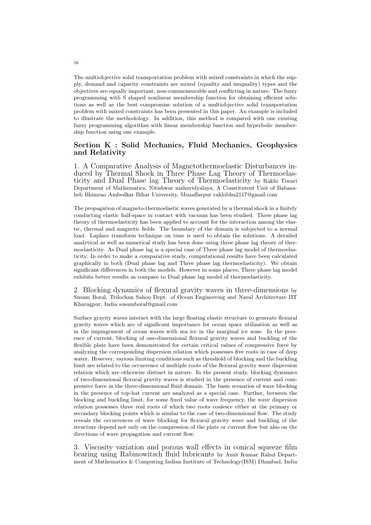The multiobjective solid transportation problem with mixed constraints in which the supply, demand and capacity constraints are mixed (equality and inequality) types and the objectives are equally important, non-commensurable and conflicting in nature. The fuzzy programming with S shaped nonlinear membership function for obtaining efficient solutions as well as the best compromise solution of a multiobjective solid transportation problem with mixed constraints has been presented in this paper. An example is included to illustrate the methodology. In addition, this method is compared with one existing fuzzy programming algorithm with linear membership function and hyperbolic membership function using one example.

## Section K : Solid Mechanics, Fluid Mechanics, Geophysics and Relativity

1. A Comparative Analysis of Magnetothermoelastic Disturbances induced by Thermal Shock in Three Phase Lag Theory of Thermoelasticity and Dual Phase lag Theory of Thermoelasticity by Rakhi Tiwari Department of Mathematics, Nitishwar mahavidyalaya, A Constitutent Unit of Babasaheb Bhimrao Ambedkar Bihar University, Muzaffarpur rakhibhu2117@gmail.com

The propagation of magneto-thermoelastic waves generated by a thermal shock in a finitely conducting elastic half-space in contact with vacuum has been studied. Three phase lag theory of thermoelasticity has been applied to account for the interaction among the elastic, thermal and magnetic fields. The boundary of the domain is subjected to a normal load. Laplace transform technique on time is used to obtain the solutions. A detailed analytical as well as numerical study has been done using three phase lag theory of thermoelasticity. As Dual phase lag is a special case of Three phase lag model of thermoelasticity. In order to make a comparative study, computational results have been calculated graphically in both (Dual phase lag and Three phase lag thermoelasticity). We obtain significant differences in both the models. However in some places, Three phase lag model exhibits better results as compare to Dual phase lag model of thermoelasticity.

2. Blocking dynamics of flexural gravity waves in three-dimensions by Susam Boral, Trilochan Sahoo Dept. of Ocean Engineering and Naval Architecture IIT Kharagpur, India susamboral@gmail.com

Surface gravity waves interact with the large floating elastic structure to generate flexural gravity waves which are of significant importance for ocean space utilization as well as in the impingement of ocean waves with sea ice in the marginal ice zone. In the presence of current, blocking of one-dimensional flexural gravity waves and buckling of the flexible plate have been demonstrated for certain critical values of compressive force by analyzing the corresponding dispersion relation which possesses five roots in case of deep water. However, various limiting conditions such as threshold of blocking and the buckling limit are related to the occurrence of multiple roots of the flexural gravity wave dispersion relation which are otherwise distinct in nature. In the present study, blocking dynamics of two-dimensional flexural gravity waves is studied in the presence of current and compressive force in the three-dimensional fluid domain. The basic scenarios of wave blocking in the presence of top-hat current are analyzed as a special case. Further, between the blocking and buckling limit, for some fixed value of wave frequency, the wave dispersion relation possesses three real roots of which two roots coalesce either at the primary or secondary blocking points which is similar to the case of two-dimensional flow. The study reveals the occurrences of wave blocking for flexural gravity wave and buckling of the structure depend not only on the compression of the plate or current flow but also on the directions of wave propagation and current flow.

3. Viscosity variation and porous wall effects in conical squeeze film bearing using Rabinowitsch fluid lubricants by Amit Kumar Rahul Department of Mathematics & Computing Indian Institute of Technology(ISM) Dhanbad, India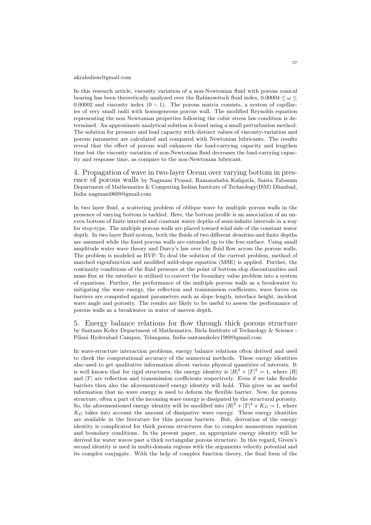#### akrahulism@gmail.com

In this research article, viscosity variation of a non-Newtonian fluid with porous conical bearing has been theoretically analyzed over the Rabinowitsch fluid index, 0.00004  $\leq \omega$ 0.00002 and viscosity index  $(0 - 1)$ . The porous matrix consists, a system of capillaries of very small radii with homogeneous porous wall. The modified Reynolds equation representing the non Newtonian properties following the cubic stress law condition is determined. An approximate analytical solution is found using a small perturbation method. The solution for pressure and load capacity with distinct values of viscosity-variation and porous parameter are calculated and compared with Newtonian lubricants. The results reveal that the effect of porous wall enhances the load-carrying capacity and lengthen time but the viscosity variation of non-Newtonian fluid decreases the load-carrying capacity and response time, as compare to the non-Newtonian lubricant.

4. Propagation of wave in two-layer Ocean over varying bottom in presence of porous walls by Nagmani Prasad, Ramanababu Kaligatla, Saista Tabssum Department of Mathematics & Computing Indian Institute of Technology(ISM) Dhanbad, India nagmani0609@gmail.com

In two layer fluid, a scattering problem of oblique wave by multiple porous walls in the presence of varying bottom is tackled. Here, the bottom profile is an association of an uneven bottom of finite interval and constant water depths of semi-infinite intervals in a way for step-type. The multiple porous walls are placed toward wind side of the constant water depth. In two layer fluid system, both the fluids of two different densities and finite depths are assumed while the fixed porous walls are extended up to the free surface. Using small amplitude water wave theory and Darcy's law over the fluid flow across the porous walls, The problem is modeled as BVP. To deal the solution of the current problem, method of matched eigenfunction and modified mild-slope equation (MSE) is applied. Further, the continuity conditions of the fluid pressure at the point of bottom slop discontinuities and mass flux at the interface is utilized to convert the boundary value problem into a system of equations. Further, the performance of the multiple porous walls as a breakwater to mitigating the wave energy, the reflection and transmission coefficients, wave forces on barriers are computed against parameters such as slope length, interface height, incident wave angle and porosity. The results are likely to be useful to assess the performance of porous walls as a breakwater in water of uneven depth.

5. Energy balance relations for flow through thick porous structure by Santanu Koley Department of Mathematics, Birla Institute of Technology & Science - Pilani Hyderabad Campus, Telangana, India santanukoley1989@gmail.com

In wave-structure interaction problems, energy balance relations often derived and used to check the computational accuracy of the numerical methods. These energy identities also used to get qualitative information about various physical quantities of interests. It is well known that for rigid structures, the energy identity is  $|R|^2 + |T|^2 = 1$ , where  $|R|$ and  $|T|$  are reflection and transmission coefficients respectively. Even if we take flexible barriers then also the aforementioned energy identity will hold. This gives us an useful information that no wave energy is used to deform the flexible barrier. Now, for porous structure, often a part of the incoming wave energy is dissipated by the structural porosity. So, the aforementioned energy identity will be modified into  $|R|^2 + |T|^2 + K_D = 1$ , where  $K_D$  takes into account the amount of dissipative wave energy. These energy identities are available in the literature for thin porous barriers. But, derivation of the energy identity is complicated for thick porous structures due to complex momentum equation and boundary conditions. In the present paper, an appropriate energy identity will be derived for water waves past a thick rectangular porous structure. In this regard, Green's second identity is used in multi-domain regions with the arguments velocity potential and its complex conjugate. With the help of complex function theory, the final form of the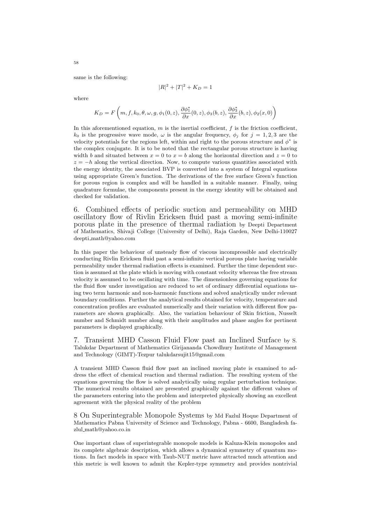same is the following:

$$
|R|^2 + |T|^2 + K_D = 1
$$

where

$$
K_D = F\left(m, f, k_0, \theta, \omega, g, \phi_1(0, z), \frac{\partial \phi_1^*}{\partial x}(0, z), \phi_3(b, z), \frac{\partial \phi_3^*}{\partial x}(b, z), \phi_2(x, 0)\right)
$$

In this aforementioned equation,  $m$  is the inertial coefficient,  $f$  is the friction coefficient,  $k_0$  is the progressive wave mode,  $\omega$  is the angular frequency,  $\phi_i$  for  $j = 1, 2, 3$  are the velocity potentials for the regions left, within and right to the porous structure and  $\phi^*$  is the complex conjugate. It is to be noted that the rectangular porous structure is having width b and situated between  $x = 0$  to  $x = b$  along the horizontal direction and  $z = 0$  to  $z = -h$  along the vertical direction. Now, to compute various quantities associated with the energy identity, the associated BVP is converted into a system of Integral equations using appropriate Green's function. The derivations of the free surface Green's function for porous region is complex and will be handled in a suitable manner. Finally, using quadrature formulae, the components present in the energy identity will be obtained and checked for validation.

6. Combined effects of periodic suction and permeability on MHD oscillatory flow of Rivlin Ericksen fluid past a moving semi-infinite porous plate in the presence of thermal radiation by Deepti Department of Mathematics, Shivaji College (University of Delhi), Raja Garden, New Delhi-110027 deepti math@yahoo.com

In this paper the behaviour of unsteady flow of viscous incompressible and electrically conducting Rivlin Ericksen fluid past a semi-infinite vertical porous plate having variable permeability under thermal radiation effects is examined. Further the time dependent suction is assumed at the plate which is moving with constant velocity whereas the free stream velocity is assumed to be oscillating with time. The dimensionless governing equations for the fluid flow under investigation are reduced to set of ordinary differential equations using two term harmonic and non-harmonic functions and solved analytically under relevant boundary conditions. Further the analytical results obtained for velocity, temperature and concentration profiles are evaluated numerically and their variation with different flow parameters are shown graphically. Also, the variation behaviour of Skin friction, Nusselt number and Schmidt number along with their amplitudes and phase angles for pertinent parameters is displayed graphically.

7. Transient MHD Casson Fluid Flow past an Inclined Surface by S. Talukdar Department of Mathematics Girijananda Chowdhury Institute of Management and Technology (GIMT)-Tezpur talukdarsujit15@gmail.com

A transient MHD Casson fluid flow past an inclined moving plate is examined to address the effect of chemical reaction and thermal radiation. The resulting system of the equations governing the flow is solved analytically using regular perturbation technique. The numerical results obtained are presented graphically against the different values of the parameters entering into the problem and interpreted physically showing an excellent agreement with the physical reality of the problem

8 On Superintegrable Monopole Systems by Md Fazlul Hoque Department of Mathematics Pabna University of Science and Technology, Pabna - 6600, Bangladesh fazlul math@yahoo.co.in

One important class of superintegrable monopole models is Kaluza-Klein monopoles and its complete algebraic description, which allows a dynamical symmetry of quantum motions. In fact models in space with Taub-NUT metric have attracted much attention and this metric is well known to admit the Kepler-type symmetry and provides nontrivial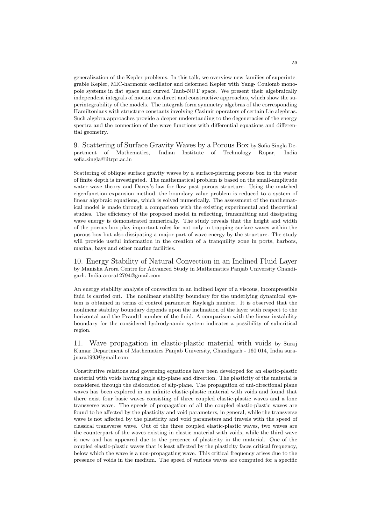generalization of the Kepler problems. In this talk, we overview new families of superintegrable Kepler, MIC-harmonic oscillator and deformed Kepler with Yang- Coulomb monopole systems in flat space and curved Taub-NUT space. We present their algebraically independent integrals of motion via direct and constructive approaches, which show the superintegrability of the models. The integrals form symmetry algebras of the corresponding Hamiltonians with structure constants involving Casimir operators of certain Lie algebras. Such algebra approaches provide a deeper understanding to the degeneracies of the energy spectra and the connection of the wave functions with differential equations and differential geometry.

9. Scattering of Surface Gravity Waves by a Porous Box by Sofia Singla De-Indian Institute of Technology Ropar, sofia.singla@iitrpr.ac.in

Scattering of oblique surface gravity waves by a surface-piercing porous box in the water of finite depth is investigated. The mathematical problem is based on the small-amplitude water wave theory and Darcy's law for flow past porous structure. Using the matched eigenfunction expansion method, the boundary value problem is reduced to a system of linear algebraic equations, which is solved numerically. The assessment of the mathematical model is made through a comparison with the existing experimental and theoretical studies. The efficiency of the proposed model in reflecting, transmitting and dissipating wave energy is demonstrated numerically. The study reveals that the height and width of the porous box play important roles for not only in trapping surface waves within the porous box but also dissipating a major part of wave energy by the structure. The study will provide useful information in the creation of a tranquility zone in ports, harbors, marina, bays and other marine facilities.

10. Energy Stability of Natural Convection in an Inclined Fluid Layer by Manisha Arora Centre for Advanced Study in Mathematics Panjab University Chandigarh, India arora12794@gmail.com

An energy stability analysis of convection in an inclined layer of a viscous, incompressible fluid is carried out. The nonlinear stability boundary for the underlying dynamical system is obtained in terms of control parameter Rayleigh number. It is observed that the nonlinear stability boundary depends upon the inclination of the layer with respect to the horizontal and the Prandtl number of the fluid. A comparison with the linear instability boundary for the considered hydrodynamic system indicates a possibility of subcritical region.

11. Wave propagation in elastic-plastic material with voids by Suraj Kumar Department of Mathematics Panjab University, Chandigarh - 160 014, India surajnara1993@gmail.com

Constitutive relations and governing equations have been developed for an elastic-plastic material with voids having single slip-plane and direction. The plasticity of the material is considered through the dislocation of slip-plane. The propagation of uni-directional plane waves has been explored in an infinite elastic-plastic material with voids and found that there exist four basic waves consisting of three coupled elastic-plastic waves and a lone transverse wave. The speeds of propagation of all the coupled elastic-plastic waves are found to be affected by the plasticity and void parameters, in general, while the transverse wave is not affected by the plasticity and void parameters and travels with the speed of classical transverse wave. Out of the three coupled elastic-plastic waves, two waves are the counterpart of the waves existing in elastic material with voids, while the third wave is new and has appeared due to the presence of plasticity in the material. One of the coupled elastic-plastic waves that is least affected by the plasticity faces critical frequency, below which the wave is a non-propagating wave. This critical frequency arises due to the presence of voids in the medium. The speed of various waves are computed for a specific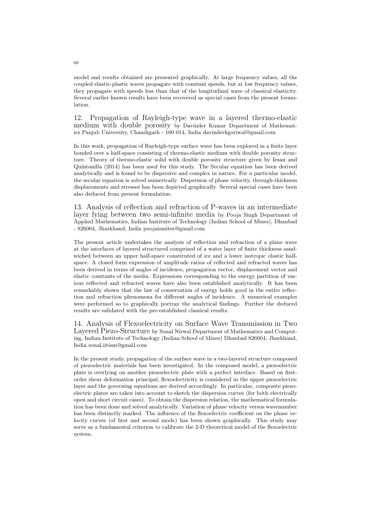model and results obtained are presented graphically. At large frequency values, all the coupled elastic-plastic waves propagate with constant speeds, but at low frequency values, they propagate with speeds less than that of the longitudinal wave of classical elasticity. Several earlier known results have been recovered as special cases from the present formulation.

12. Propagation of Rayleigh-type wave in a layered thermo-elastic medium with double porosity by Davinder Kumar Department of Mathematics Panjab University, Chandigarh - 160 014, India davinderkgoriwal@gmail.com

In this work, propagation of Rayleigh-type surface wave has been explored in a finite layer bonded over a half-space consisting of thermo-elastic medium with double porosity structure. Theory of thermo-elastic solid with double porosity structure given by Iesan and Quintanilla (2014) has been used for this study. The Secular equation has been derived analytically and is found to be dispersive and complex in nature. For a particular model, the secular equation is solved numerically. Dispersion of phase velocity, through-thickness displacements and stresses has been depicted graphically. Several special cases have been also deduced from present formulation.

13. Analysis of reflection and refraction of P-waves in an intermediate layer lying between two semi-infinite media by Pooja Singh Department of Applied Mathematics, Indian Institute of Technology (Indian School of Mines), Dhanbad - 826004, Jharkhand, India poojaismites@gmail.com

The present article undertakes the analysis of reflection and refraction of a plane wave at the interfaces of layered structured comprised of a water layer of finite thickness sandwiched between an upper half-space constituted of ice and a lower isotropic elastic halfspace. A closed form expression of amplitude ratios of reflected and refracted waves has been derived in terms of angles of incidence, propagation vector, displacement vector and elastic constants of the media. Expressions corresponding to the energy partition of various reflected and refracted waves have also been established analytically. It has been remarkably shown that the law of conservation of energy holds good in the entire reflection and refraction phenomena for different angles of incidence. A numerical examples were performed so to graphically portray the analytical findings. Further the deduced results are validated with the pre-established classical results.

14. Analysis of Flexoelectricity on Surface Wave Transmission in Two Layered Piezo-Structure by Sonal Nirwal Department of Mathematics and Computing, Indian Institute of Technology (Indian School of Mines) Dhanbad 826004, Jharkhand, India sonal.iitism@gmail.com

In the present study, propagation of the surface wave in a two-layered structure composed of piezoelectric materials has been investigated. In the composed model, a piezoelectric plate is overlying on another piezoelectric plate with a perfect interface. Based on firstorder shear deformation principal, flexoelectricity is considered in the upper piezoelectric layer and the governing equations are derived accordingly. In particular, composite piezoelectric plates are taken into account to sketch the dispersion curves (for both electrically open and short circuit cases). To obtain the dispersion relation, the mathematical formulation has been done and solved analytically. Variation of phase velocity versus wavenumber has been distinctly marked. The influence of the flexoelectric coefficient on the phase velocity curves (of first and second mode) has been shown graphically. This study may serve as a fundamental criterion to calibrate the 2-D theoretical model of the flexoelectric system.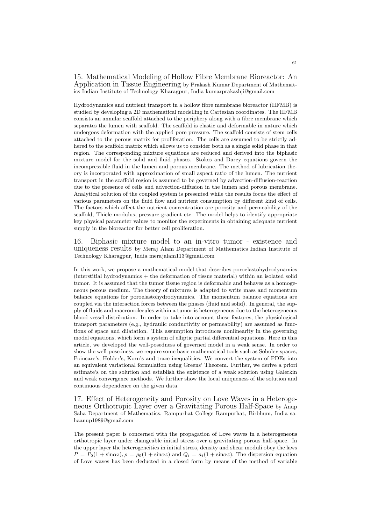15. Mathematical Modeling of Hollow Fibre Membrane Bioreactor: An Application in Tissue Engineering by Prakash Kumar Department of Mathematics Indian Institute of Technology Kharagpur, India kumarprakashji@gmail.com

Hydrodynamics and nutrient transport in a hollow fibre membrane bioreactor (HFMB) is studied by developing a 2D mathematical modelling in Cartesian coordinates. The HFMB consists an annular scaffold attached to the periphery along with a fibre membrane which separates the lumen with scaffold. The scaffold is elastic and deformable in nature which undergoes deformation with the applied pore pressure. The scaffold consists of stem cells attached to the porous matrix for proliferation. The cells are assumed to be strictly adhered to the scaffold matrix which allows us to consider both as a single solid phase in that region. The corresponding mixture equations are reduced and derived into the biphasic mixture model for the solid and fluid phases. Stokes and Darcy equations govern the incompressible fluid in the lumen and porous membrane. The method of lubrication theory is incorporated with approximation of small aspect ratio of the lumen. The nutrient transport in the scaffold region is assumed to be governed by advection-diffusion-reaction due to the presence of cells and advection-diffusion in the lumen and porous membrane. Analytical solution of the coupled system is presented while the results focus the effect of various parameters on the fluid flow and nutrient consumption by different kind of cells. The factors which affect the nutrient concentration are porosity and permeability of the scaffold, Thiele modulus, pressure gradient etc. The model helps to identify appropriate key physical parameter values to monitor the experiments in obtaining adequate nutrient supply in the bioreactor for better cell proliferation.

16. Biphasic mixture model to an in-vitro tumor - existence and uniqueness results by Meraj Alam Department of Mathematics Indian Institute of Technology Kharagpur, India merajalam113@gmail.com

In this work, we propose a mathematical model that describes poroelastohydrodynamics  $($ interstitial hydrodynamics  $+$  the deformation of tissue material) within an isolated solid tumor. It is assumed that the tumor tissue region is deformable and behaves as a homogeneous porous medium. The theory of mixtures is adapted to write mass and momentum balance equations for poroelastohydrodynamics. The momentum balance equations are coupled via the interaction forces between the phases (fluid and solid). In general, the supply of fluids and macromolecules within a tumor is heterogeneous due to the heterogeneous blood vessel distribution. In order to take into account these features, the physiological transport parameters (e.g., hydraulic conductivity or permeability) are assumed as functions of space and dilatation. This assumption introduces nonlinearity in the governing model equations, which form a system of elliptic partial differential equations. Here in this article, we developed the well-posedness of governed model in a weak sense. In order to show the well-posedness, we require some basic mathematical tools such as Sobolev spaces, Poincare's, Holder's, Korn's and trace inequalities. We convert the system of PDEs into an equivalent variational formulation using Greens' Theorem. Further, we derive a priori estimate's on the solution and establish the existence of a weak solution using Galerkin and weak convergence methods. We further show the local uniqueness of the solution and continuous dependence on the given data.

17. Effect of Heterogeneity and Porosity on Love Waves in a Heterogeneous Orthotropic Layer over a Gravitating Porous Half-Space by Anup Saha Department of Mathematics, Rampurhat College Rampurhat, Birbhum, India sahaanup1989@gmail.com

The present paper is concerned with the propagation of Love waves in a heterogeneous orthotropic layer under changeable initial stress over a gravitating porous half-space. In the upper layer the heterogeneities in initial stress, density and shear moduli obey the laws  $P = P_0(1 + \sin \alpha z), \rho = \rho_0(1 + \sin \alpha z)$  and  $Q_i = a_i(1 + \sin \alpha z)$ . The dispersion equation of Love waves has been deducted in a closed form by means of the method of variable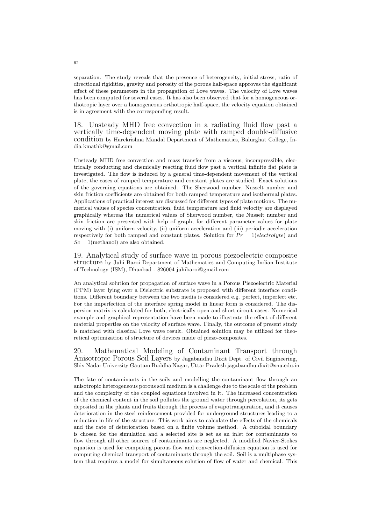separation. The study reveals that the presence of heterogeneity, initial stress, ratio of directional rigidities, gravity and porosity of the porous half-space approves the significant effect of these parameters in the propagation of Love waves. The velocity of Love waves has been computed for several cases. It has also been observed that for a homogeneous orthotropic layer over a homogeneous orthotropic half-space, the velocity equation obtained is in agreement with the corresponding result.

18. Unsteady MHD free convection in a radiating fluid flow past a vertically time-dependent moving plate with ramped double-diffusive condition by Harekrishna Mandal Department of Mathematics, Balurghat College, India kmathk@gmail.com

Unsteady MHD free convection and mass transfer from a viscous, incompressible, electrically conducting and chemically reacting fluid flow past a vertical infinite flat plate is investigated. The flow is induced by a general time-dependent movement of the vertical plate, the cases of ramped temperature and constant plates are studied. Exact solutions of the governing equations are obtained. The Sherwood number, Nusselt number and skin friction coefficients are obtained for both ramped temperature and isothermal plates. Applications of practical interest are discussed for different types of plate motions. The numerical values of species concentration, fluid temperature and fluid velocity are displayed graphically whereas the numerical values of Sherwood number, the Nusselt number and skin friction are presented with help of graph, for different parameter values for plate moving with (i) uniform velocity, (ii) uniform acceleration and (iii) periodic acceleration respectively for both ramped and constant plates. Solution for  $Pr = 1(electrolyte)$  and  $Sc = 1$ (methanol) are also obtained.

19. Analytical study of surface wave in porous piezoelectric composite structure by Juhi Baroi Department of Mathematics and Computing Indian Institute of Technology (ISM), Dhanbad - 826004 juhibaroi@gmail.com

An analytical solution for propagation of surface wave in a Porous Piezoelectric Material (PPM) layer lying over a Dielectric substrate is proposed with different interface conditions. Different boundary between the two media is considered e.g. perfect, imperfect etc. For the imperfection of the interface spring model in linear form is considered. The dispersion matrix is calculated for both, electrically open and short circuit cases. Numerical example and graphical representation have been made to illustrate the effect of different material properties on the velocity of surface wave. Finally, the outcome of present study is matched with classical Love wave result. Obtained solution may be utilized for theoretical optimization of structure of devices made of piezo-composites.

20. Mathematical Modeling of Contaminant Transport through Anisotropic Porous Soil Layers by Jagabandhu Dixit Dept. of Civil Engineering, Shiv Nadar University Gautam Buddha Nagar, Uttar Pradesh jagabandhu.dixit@snu.edu.in

The fate of contaminants in the soils and modelling the contaminant flow through an anisotropic heterogeneous porous soil medium is a challenge due to the scale of the problem and the complexity of the coupled equations involved in it. The increased concentration of the chemical content in the soil pollutes the ground water through percolation, its gets deposited in the plants and fruits through the process of evapotranspiration, and it causes deterioration in the steel reinforcement provided for underground structures leading to a reduction in life of the structure. This work aims to calculate the effects of the chemicals and the rate of deterioration based on a finite volume method. A cuboidal boundary is chosen for the simulation and a selected site is set as an inlet for contaminants to flow through all other sources of contaminants are neglected. A modified Navier-Stokes equation is used for computing porous flow and convection-diffusion equation is used for computing chemical transport of contaminants through the soil. Soil is a multiphase system that requires a model for simultaneous solution of flow of water and chemical. This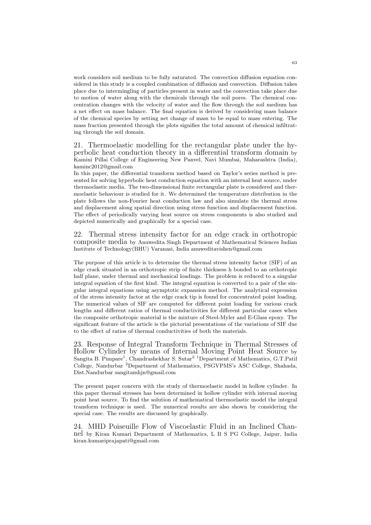work considers soil medium to be fully saturated. The convection diffusion equation considered in this study is a coupled combination of diffusion and convection. Diffusion takes place due to intermingling of particles present in water and the convection take place due to motion of water along with the chemicals through the soil pores. The chemical concentration changes with the velocity of water and the flow through the soil medium has a net effect on mass balance. The final equation is derived by considering mass balance of the chemical species by setting net change of mass to be equal to mass entering. The mass fraction presented through the plots signifies the total amount of chemical infiltrating through the soil domain.

21. Thermoelastic modelling for the rectangular plate under the hyperbolic heat conduction theory in a differential transform domain by Kamini Pillai College of Engineering New Panvel, Navi Mumbai, Maharashtra (India), kaminc2012@gmail.com

In this paper, the differential transform method based on Taylor's series method is presented for solving hyperbolic heat conduction equation with an internal heat source, under thermoelastic media. The two-dimensional finite rectangular plate is considered and thermoelastic behaviour is studied for it. We determined the temperature distribution in the plate follows the non-Fourier heat conduction law and also simulate the thermal stress and displacement along spatial direction using stress function and displacement function. The effect of periodically varying heat source on stress components is also studied and depicted numerically and graphically for a special case.

22. Thermal stress intensity factor for an edge crack in orthotropic composite media by Anuwedita Singh Department of Mathematical Sciences Indian Institute of Technology(BHU) Varanasi, India anuweditavishen@gmail.com

The purpose of this article is to determine the thermal stress intensity factor (SIF) of an edge crack situated in an orthotropic strip of finite thickness h bonded to an orthotropic half plane, under thermal and mechanical loadings. The problem is reduced to a singular integral equation of the first kind. The integral equation is converted to a pair of the singular integral equations using asymptotic expansion method. The analytical expression of the stress intensity factor at the edge crack tip is found for concentrated point loading. The numerical values of SIF are computed for different point loading for various crack lengths and different ratios of thermal conductivities for different particular cases when the composite orthotropic material is the mixture of Steel-Myler and E-Glass epoxy. The significant feature of the article is the pictorial presentations of the variations of SIF due to the effect of ratios of thermal conductivities of both the materials.

23. Response of Integral Transform Technique in Thermal Stresses of Hollow Cylinder by means of Internal Moving Point Heat Source by Sangita B. Pimpare<sup>1</sup>, Chandrashekhar S. Sutar<sup>2 1</sup>Department of Mathematics, G.T.Patil College, Nandurbar <sup>2</sup>Department of Mathematics, PSGVPMS's ASC College, Shahada, Dist.Nandurbar sangitamhjn@gmail.com

The present paper concern with the study of thermoelastic model in hollow cylinder. In this paper thermal stresses has been determined in hollow cylinder with internal moving point heat source. To find the solution of mathematical thermoelastic model the integral transform technique is used. The numerical results are also shown by considering the special case. The results are discussed by graphically.

24. MHD Poiseuille Flow of Viscoelastic Fluid in an Inclined Channel by Kiran Kumari Department of Mathematics, L B S PG College, Jaipur, India kiran.kumariprajapati@gmail.com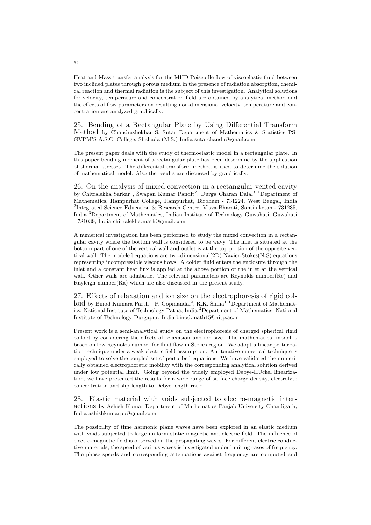Heat and Mass transfer analysis for the MHD Poiseuille flow of viscoelastic fluid between two inclined plates through porous medium in the presence of radiation absorption, chemical reaction and thermal radiation is the subject of this investigation. Analytical solutions for velocity, temperature and concentration field are obtained by analytical method and the effects of flow parameters on resulting non-dimensional velocity, temperature and concentration are analyzed graphically.

25. Bending of a Rectangular Plate by Using Differential Transform Method by Chandrashekhar S. Sutar Department of Mathematics & Statistics PS-GVPM'S A.S.C. College, Shahada (M.S.) India sutarchandu@gmail.com

The present paper deals with the study of thermoelastic model in a rectangular plate. In this paper bending moment of a rectangular plate has been determine by the application of thermal stresses. The differential transform method is used to determine the solution of mathematical model. Also the results are discussed by graphically.

26. On the analysis of mixed convection in a rectangular vented cavity by Chitralekha Sarkar<sup>1</sup>, Swapan Kumar Pandit<sup>2</sup>, Durga Charan Dalal<sup>3 1</sup>Department of Mathematics, Rampurhat College, Rampurhat, Birbhum - 731224, West Bengal, India <sup>2</sup>Integrated Science Education & Research Centre, Visva-Bharati, Santiniketan - 731235, India <sup>3</sup>Department of Mathematics, Indian Institute of Technology Guwahati, Guwahati - 781039, India chitralekha.math@gmail.com

A numerical investigation has been performed to study the mixed convection in a rectangular cavity where the bottom wall is considered to be wavy. The inlet is situated at the bottom part of one of the vertical wall and outlet is at the top portion of the opposite vertical wall. The modeled equations are two-dimensional(2D) Navier-Stokes(N-S) equations representing incompressible viscous flows. A colder fluid enters the enclosure through the inlet and a constant heat flux is applied at the above portion of the inlet at the vertical wall. Other walls are adiabatic. The relevant parameters are Reynolds number(Re) and Rayleigh number(Ra) which are also discussed in the present study.

27. Effects of relaxation and ion size on the electrophoresis of rigid colloid by Binod Kumara Parth<sup>1</sup>, P. Gopmandal<sup>2</sup>, R.K. Sinha<sup>1</sup> <sup>1</sup> Department of Mathematics, National Institute of Technology Patna, India <sup>2</sup>Department of Mathematics, National Institute of Technology Durgapur, India binod.math15@nitp.ac.in

Present work is a semi-analytical study on the electrophoresis of charged spherical rigid colloid by considering the effects of relaxation and ion size. The mathematical model is based on low Reynolds number for fluid flow in Stokes region. We adopt a linear perturbation technique under a weak electric field assumption. An iterative numerical technique is employed to solve the coupled set of perturbed equations. We have validated the numerically obtained electrophoretic mobility with the corresponding analytical solution derived under low potential limit. Going beyond the widely employed Debye-HÜckel linearization, we have presented the results for a wide range of surface charge density, electrolyte concentration and slip length to Debye length ratio.

28. Elastic material with voids subjected to electro-magnetic interactions by Ashish Kumar Department of Mathematics Panjab University Chandigarh, India ashishkumarpu@gmail.com

The possibility of time harmonic plane waves have been explored in an elastic medium with voids subjected to large uniform static magnetic and electric field. The influence of electro-magnetic field is observed on the propagating waves. For different electric conductive materials, the speed of various waves is investigated under limiting cases of frequency. The phase speeds and corresponding attenuations against frequency are computed and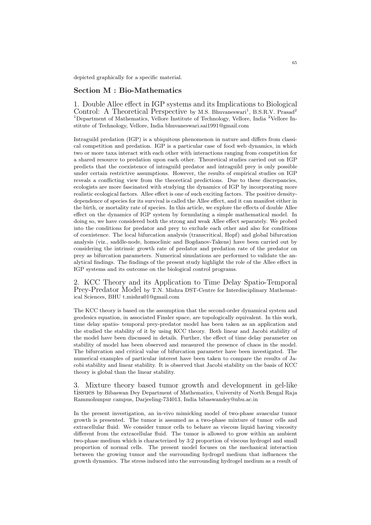depicted graphically for a specific material.

### Section M : Bio-Mathematics

1. Double Allee effect in IGP systems and its Implications to Biological Control: A Theoretical Perspective by M.S. Bhuvaneswari<sup>1</sup>, B.S.R.V. Prasad<sup>2</sup> <sup>1</sup>Department of Mathematics, Vellore Institute of Technology, Vellore, India <sup>2</sup>Vellore Institute of Technology, Vellore, India bhuvaneswari.sai1991@gmail.com

Intraguild predation (IGP) is a ubiquitous phenomenon in nature and differs from classical competition and predation. IGP is a particular case of food web dynamics, in which two or more taxa interact with each other with interactions ranging from competition for a shared resource to predation upon each other. Theoretical studies carried out on IGP predicts that the coexistence of intraguild predator and intraguild prey is only possible under certain restrictive assumptions. However, the results of empirical studies on IGP reveals a conflicting view from the theoretical predictions. Due to these discrepancies, ecologists are more fascinated with studying the dynamics of IGP by incorporating more realistic ecological factors. Allee effect is one of such exciting factors. The positive densitydependence of species for its survival is called the Allee effect, and it can manifest either in the birth, or mortality rate of species. In this article, we explore the effects of double Allee effect on the dynamics of IGP system by formulating a simple mathematical model. In doing so, we have considered both the strong and weak Allee effect separately. We probed into the conditions for predator and prey to exclude each other and also for conditions of coexistence. The local bifurcation analysis (transcritical, Hopf) and global bifurcation analysis (viz., saddle-node, homoclinic and Bogdanov-Takens) have been carried out by considering the intrinsic growth rate of predator and predation rate of the predator on prey as bifurcation parameters. Numerical simulations are performed to validate the analytical findings. The findings of the present study highlight the role of the Allee effect in IGP systems and its outcome on the biological control programs.

2. KCC Theory and its Application to Time Delay Spatio-Temporal Prey-Predator Model by T.N. Mishra DST-Centre for Interdisciplinary Mathematical Sciences, BHU t.mishra01@gmail.com

The KCC theory is based on the assumption that the second-order dynamical system and geodesics equation, in associated Finsler space, are topologically equivalent. In this work, time delay spatio- temporal prey-predator model has been taken as an application and the studied the stability of it by using KCC theory. Both linear and Jacobi stability of the model have been discussed in details. Further, the effect of time delay parameter on stability of model has been observed and measured the presence of chaos in the model. The bifurcation and critical value of bifurcation parameter have been investigated. The numerical examples of particular interest have been taken to compare the results of Jacobi stability and linear stability. It is observed that Jacobi stability on the basis of KCC theory is global than the linear stability.

3. Mixture theory based tumor growth and development in gel-like tissues by Bibaswan Dey Department of Mathematics, University of North Bengal Raja Rammohunpur campus, Darjeeling-734013, India bibaswandey@nbu.ac.in

In the present investigation, an in-vivo mimicking model of two-phase avascular tumor growth is presented. The tumor is assumed as a two-phase mixture of tumor cells and extracellular fluid. We consider tumor cells to behave as viscous liquid having viscosity different from the extracellular fluid. The tumor is allowed to grow within an ambient two-phase medium which is characterized by 3:2 proportion of viscous hydrogel and small proportion of normal cells. The present model focuses on the mechanical interaction between the growing tumor and the surrounding hydrogel medium that influences the growth dynamics. The stress induced into the surrounding hydrogel medium as a result of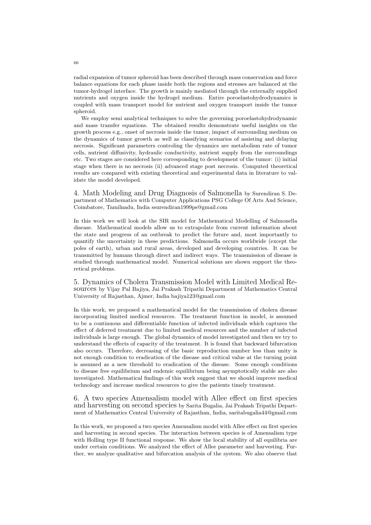radial expansion of tumor spheroid has been described through mass conservation and force balance equations for each phase inside both the regions and stresses are balanced at the tumor-hydrogel interface. The growth is mainly mediated through the externally supplied nutrients and oxygen inside the hydrogel medium. Entire poroelastohydrodynamics is coupled with mass transport model for nutrient and oxygen transport inside the tumor spheroid.

We employ semi analytical techniques to solve the governing poroelastohydrodynamic and mass transfer equations. The obtained results demonstrate useful insights on the growth process e.g., onset of necrosis inside the tumor, impact of surrounding medium on the dynamics of tumor growth as well as classifying scenarios of assisting and delaying necrosis. Significant parameters controling the dynamics are metabolism rate of tumor cells, nutrient diffusivity, hydraulic conductivity, nutrient supply from the surroundings etc. Two stages are considered here corresponding to development of the tumor: (i) initial stage when there is no necrosis (ii) advanced stage post necrosis. Computed theoretical results are compared with existing theoretical and experimental data in literature to validate the model developed.

4. Math Modeling and Drug Diagnosis of Salmonella by Surendiran S. Department of Mathematics with Computer Applications PSG College Of Arts And Science, Coimbatore, Tamilnadu, India ssurendiran1999ps@gmail.com

In this work we will look at the SIR model for Mathematical Modelling of Salmonella disease. Mathematical models allow us to extrapolate from current information about the state and progress of an outbreak to predict the future and, most importantly to quantify the uncertainty in these predictions. Salmonella occurs worldwide (except the poles of earth), urban and rural areas, developed and developing countries. It can be transmitted by humans through direct and indirect ways. The transmission of disease is studied through mathematical model. Numerical solutions are shown support the theoretical problems.

5. Dynamics of Cholera Transmission Model with Limited Medical Resources by Vijay Pal Bajiya, Jai Prakash Tripathi Department of Mathematics Central University of Rajasthan, Ajmer, India bajiya123@gmail.com

In this work, we proposed a mathematical model for the transmission of cholera disease incorporating limited medical resources. The treatment function in model, is assumed to be a continuous and differentiable function of infected individuals which captures the effect of deferred treatment due to limited medical resources and the number of infected individuals is large enough. The global dynamics of model investigated and then we try to understand the effects of capacity of the treatment. It is found that backward bifurcation also occurs. Therefore, decreasing of the basic reproduction number less than unity is not enough condition to eradication of the disease and critical value at the turning point is assumed as a new threshold to eradication of the disease. Some enough conditions to disease free equilibrium and endemic equilibrium being asymptotically stable are also investigated. Mathematical findings of this work suggest that we should improve medical technology and increase medical resources to give the patients timely treatment.

6. A two species Amensalism model with Allee effect on first species and harvesting on second species by Sarita Bugalia, Jai Prakash Tripathi Department of Mathematics Central University of Rajasthan, India, saritabugalia44@gmail.com

In this work, we proposed a two species Amensalism model with Allee effect on first species and harvesting in second species. The interaction between species is of Amensalism type with Holling type II functional response. We show the local stability of all equilibria are under certain conditions. We analyzed the effect of Allee parameter and harvesting. Further, we analyze qualitative and bifurcation analysis of the system. We also observe that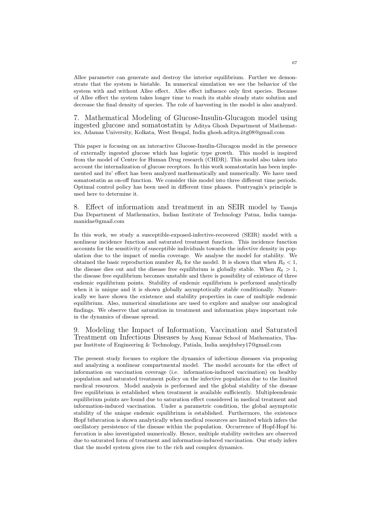Allee parameter can generate and destroy the interior equilibrium. Further we demonstrate that the system is bistable. In numerical simulation we see the behavior of the system with and without Allee effect. Allee effect influence only first species. Because of Allee effect the system takes longer time to reach its stable steady state solution and decrease the final density of species. The role of harvesting in the model is also analyzed.

7. Mathematical Modeling of Glucose-Insulin-Glucagon model using ingested glucose and somatostatin by Aditya Ghosh Department of Mathematics, Adamas University, Kolkata, West Bengal, India ghosh.aditya.iitg08@gmail.com

This paper is focusing on an interactive Glucose-Insulin-Glucagon model in the presence of externally ingested glucose which has logistic type growth. This model is inspired from the model of Centre for Human Drug research (CHDR). This model also taken into account the internalization of glucose receptors. In this work somatostatin has been implemented and its' effect has been analyzed mathematically and numerically. We have used somatostatin as on-off function. We consider this model into three different time periods. Optimal control policy has been used in different time phases. Pontryagin's principle is used here to determine it.

8. Effect of information and treatment in an SEIR model by Tanuja Das Department of Mathematics, Indian Institute of Technology Patna, India tanujamanidas@gmail.com

In this work, we study a susceptible-exposed-infective-recovered (SEIR) model with a nonlinear incidence function and saturated treatment function. This incidence function accounts for the sensitivity of susceptible individuals towards the infective density in population due to the impact of media coverage. We analyse the model for stability. We obtained the basic reproduction number  $R_0$  for the model. It is shown that when  $R_0 < 1$ , the disease dies out and the disease free equilibrium is globally stable. When  $R_0 > 1$ , the disease free equilibrium becomes unstable and there is possibility of existence of three endemic equilibrium points. Stability of endemic equilibrium is performed analytically when it is unique and it is shown globally asymptotically stable conditionally. Numerically we have shown the existence and stability properties in case of multiple endemic equilibrium. Also, numerical simulations are used to explore and analyse our analogical findings. We observe that saturation in treatment and information plays important role in the dynamics of disease spread.

9. Modeling the Impact of Information, Vaccination and Saturated Treatment on Infectious Diseases by Anuj Kumar School of Mathematics, Thapar Institute of Engineering & Technology, Patiala, India anujdubey17@gmail.com

The present study focuses to explore the dynamics of infectious diseases via proposing and analyzing a nonlinear compartmental model. The model accounts for the effect of information on vaccination coverage (i.e. information-induced vaccination) on healthy population and saturated treatment policy on the infective population due to the limited medical resources. Model analysis is performed and the global stability of the disease free equilibrium is established when treatment is available sufficiently. Multipleendemic equilibrium points are found due to saturation effect considered in medical treatment and information-induced vaccination. Under a parametric condition, the global asymptotic stability of the unique endemic equilibrium is established. Furthermore, the existence Hopf bifurcation is shown analytically when medical resources are limited which infers the oscillatory persistence of the disease within the population. Occurrence of Hopf-Hopf bifurcation is also investigated numerically. Hence, multiple stability switches are observed due to saturated form of treatment and information-induced vaccination. Our study infers that the model system gives rise to the rich and complex dynamics.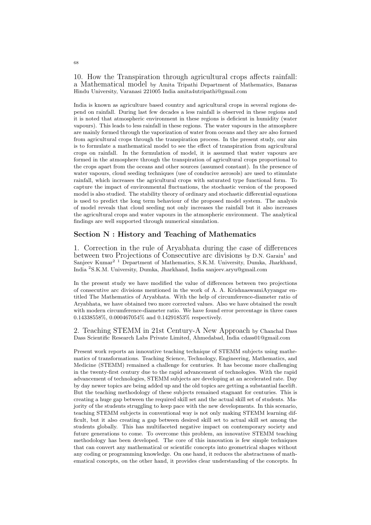10. How the Transpiration through agricultural crops affects rainfall: a Mathematical model by Amita Tripathi Department of Mathematics, Banaras Hindu University, Varanasi 221005 India amita4utripathi@gmail.com

India is known as agriculture based country and agricultural crops in several regions depend on rainfall. During last few decades a less rainfall is observed in these regions and it is noted that atmospheric environment in these regions is deficient in humidity (water vapours). This leads to less rainfall in these regions. The water vapours in the atmosphere are mainly formed through the vaporization of water from oceans and they are also formed from agricultural crops through the transpiration process. In the present study, our aim is to formulate a mathematical model to see the effect of transpiration from agricultural crops on rainfall. In the formulation of model, it is assumed that water vapours are formed in the atmosphere through the transpiration of agricultural crops proportional to the crops apart from the oceans and other sources (assumed constant). In the presence of water vapours, cloud seeding techniques (use of conducive aerosols) are used to stimulate rainfall, which increases the agricultural crops with saturated type functional form. To capture the impact of environmental fluctuations, the stochastic version of the proposed model is also studied. The stability theory of ordinary and stochastic differential equations is used to predict the long term behaviour of the proposed model system. The analysis of model reveals that cloud seeding not only increases the rainfall but it also increases the agricultural crops and water vapours in the atmospheric environment. The analytical findings are well supported through numerical simulation.

## Section N : History and Teaching of Mathematics

1. Correction in the rule of Aryabhata during the case of differences between two Projections of Consecutive arc divisions by D.N. Garain<sup>1</sup> and Sanjeev Kumar<sup>2 1</sup> Department of Mathematics, S.K.M. University, Dumka, Jharkhand, India <sup>2</sup>S.K.M. University, Dumka, Jharkhand, India sanjeev.aryu@gmail.com

In the present study we have modified the value of differences between two projections of consecutive arc divisions mentioned in the work of A. A. KrishnaswamiAyyangar entitled The Mathematics of Aryabhata. With the help of circumference-diameter ratio of Aryabhata, we have obtained two more corrected values. Also we have obtained the result with modern circumference-diameter ratio. We have found error percentage in three cases 0.14338558%, 0.000467054% and 0.14291853% respectively.

2. Teaching STEMM in 21st Century-A New Approach by Chanchal Dass Dass Scientific Research Labs Private Limited, Ahmedabad, India cdass01@gmail.com

Present work reports an innovative teaching technique of STEMM subjects using mathematics of transformations. Teaching Science, Technology, Engineering, Mathematics, and Medicine (STEMM) remained a challenge for centuries. It has become more challenging in the twenty-first century due to the rapid advancement of technologies. With the rapid advancement of technologies, STEMM subjects are developing at an accelerated rate. Day by day newer topics are being added up and the old topics are getting a substantial facelift. But the teaching methodology of these subjects remained stagnant for centuries. This is creating a huge gap between the required skill set and the actual skill set of students. Majority of the students struggling to keep pace with the new developments. In this scenario, teaching STEMM subjects in conventional way is not only making STEMM learning difficult, but it also creating a gap between desired skill set to actual skill set among the students globally. This has multifaceted negative impact on contemporary society and future generations to come. To overcome this problem, an innovative STEMM teaching methodology has been developed. The core of this innovation is few simple techniques that can convert any mathematical or scientific concepts into geometrical shapes without any coding or programming knowledge. On one hand, it reduces the abstractness of mathematical concepts, on the other hand, it provides clear understanding of the concepts. In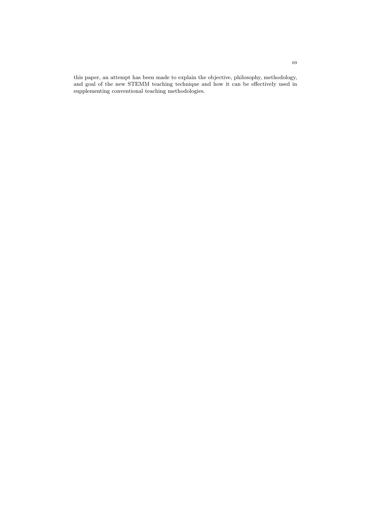this paper, an attempt has been made to explain the objective, philosophy, methodology, and goal of the new STEMM teaching technique and how it can be effectively used in supplementing conventional teaching methodologies.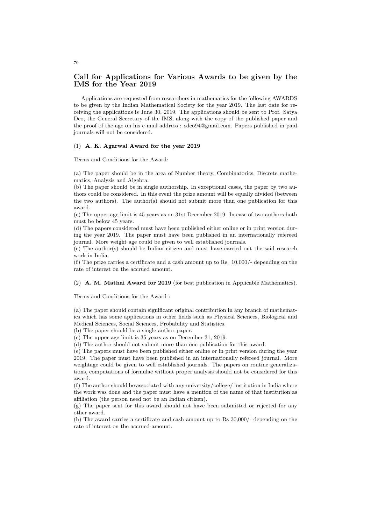# Call for Applications for Various Awards to be given by the IMS for the Year 2019

Applications are requested from researchers in mathematics for the following AWARDS to be given by the Indian Mathematical Society for the year 2019. The last date for receiving the applications is June 30, 2019. The applications should be sent to Prof. Satya Deo, the General Secretary of the IMS, along with the copy of the published paper and the proof of the age on his e-mail address : sdeo94@gmail.com. Papers published in paid journals will not be considered.

### (1) A. K. Agarwal Award for the year 2019

Terms and Conditions for the Award:

(a) The paper should be in the area of Number theory, Combinatorics, Discrete mathematics, Analysis and Algebra.

(b) The paper should be in single authorship. In exceptional cases, the paper by two authors could be considered. In this event the prize amount will be equally divided (between the two authors). The author(s) should not submit more than one publication for this award.

(c) The upper age limit is 45 years as on 31st December 2019. In case of two authors both must be below 45 years.

(d) The papers considered must have been published either online or in print version during the year 2019. The paper must have been published in an internationally refereed journal. More weight age could be given to well established journals.

(e) The author(s) should be Indian citizen and must have carried out the said research work in India.

(f) The prize carries a certificate and a cash amount up to Rs. 10,000/- depending on the rate of interest on the accrued amount.

(2) A. M. Mathai Award for 2019 (for best publication in Applicable Mathematics).

Terms and Conditions for the Award :

(a) The paper should contain significant original contribution in any branch of mathematics which has some applications in other fields such as Physical Sciences, Biological and Medical Sciences, Social Sciences, Probability and Statistics.

(b) The paper should be a single-author paper.

(c) The upper age limit is 35 years as on December 31, 2019.

(d) The author should not submit more than one publication for this award.

(e) The papers must have been published either online or in print version during the year 2019. The paper must have been published in an internationally refereed journal. More weightage could be given to well established journals. The papers on routine generalizations, computations of formulae without proper analysis should not be considered for this award.

(f) The author should be associated with any university/college/ institution in India where the work was done and the paper must have a mention of the name of that institution as affiliation (the person need not be an Indian citizen).

(g) The paper sent for this award should not have been submitted or rejected for any other award.

(h) The award carries a certificate and cash amount up to Rs 30,000/- depending on the rate of interest on the accrued amount.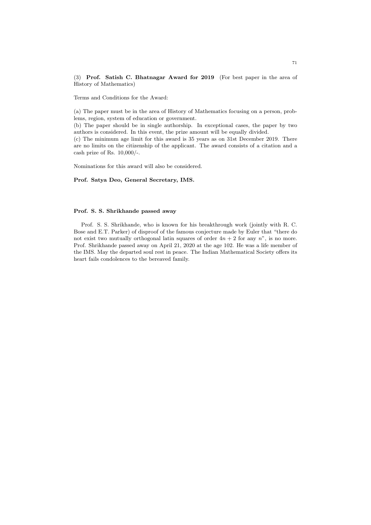(3) Prof. Satish C. Bhatnagar Award for 2019 (For best paper in the area of History of Mathematics)

Terms and Conditions for the Award:

(a) The paper must be in the area of History of Mathematics focusing on a person, problems, region, system of education or government.

(b) The paper should be in single authorship. In exceptional cases, the paper by two authors is considered. In this event, the prize amount will be equally divided.

(c) The minimum age limit for this award is 35 years as on 31st December 2019. There are no limits on the citizenship of the applicant. The award consists of a citation and a cash prize of Rs. 10,000/-.

Nominations for this award will also be considered.

## Prof. Satya Deo, General Secretary, IMS.

## Prof. S. S. Shrikhande passed away

Prof. S. S. Shrikhande, who is known for his breakthrough work (jointly with R. C. Bose and E.T. Parker) of disproof of the famous conjecture made by Euler that "there do not exist two mutually orthogonal latin squares of order  $4n + 2$  for any n", is no more. Prof. Shrikhande passed away on April 21, 2020 at the age 102. He was a life member of the IMS. May the departed soul rest in peace. The Indian Mathematical Society offers its heart fails condolences to the bereaved family.